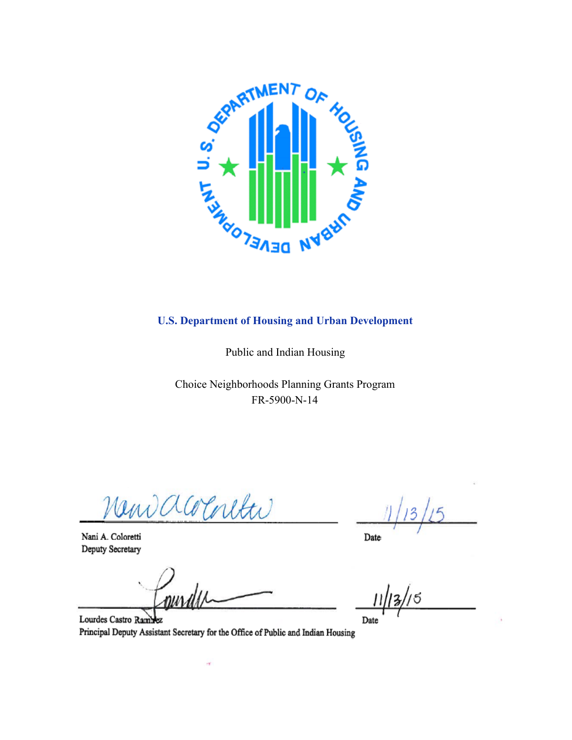

#### **U.S. Department of Housing and Urban Development**

Public and Indian Housing

Choice Neighborhoods Planning Grants Program FR-5900-N-14

New accounter

Nani A. Coloretti Deputy Secretary

nur

4

Lourdes Castro Ram ьz Principal Deputy Assistant Secretary for the Office of Public and Indian Housing

Date

/5

Date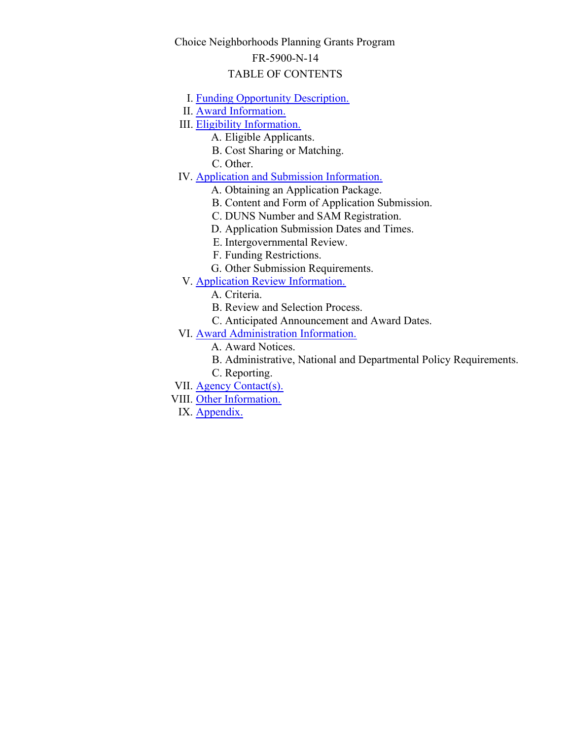## Choice Neighborhoods Planning Grants Program

#### FR-5900-N-14

#### TABLE OF CONTENTS

- I. [Funding Opportunity Description.](#page-3-0)
- II. [Award Information.](#page-12-0)
- III. [Eligibility Information.](#page-13-0)
	- A. Eligible Applicants.
	- B. Cost Sharing or Matching.
	- C. Other.
- IV. **[Application and Submission Information.](#page-27-0)** 
	- A. Obtaining an Application Package.
	- B. Content and Form of Application Submission.
	- C. DUNS Number and SAM Registration.
	- D. Application Submission Dates and Times.
	- E. Intergovernmental Review.
	- F. Funding Restrictions.
	- G. Other Submission Requirements.
- V. [Application Review Information.](#page-35-0)
	- A. Criteria.
	- B. Review and Selection Process.
	- C. Anticipated Announcement and Award Dates.
- VI. **[Award Administration Information.](#page-52-0)** 
	- A. Award Notices.
	- B. Administrative, National and Departmental Policy Requirements.
	- C. Reporting.
- VII. [Agency Contact\(s\).](#page-53-0)
- VIII. [Other Information.](#page-54-0)
- IX. Appendix.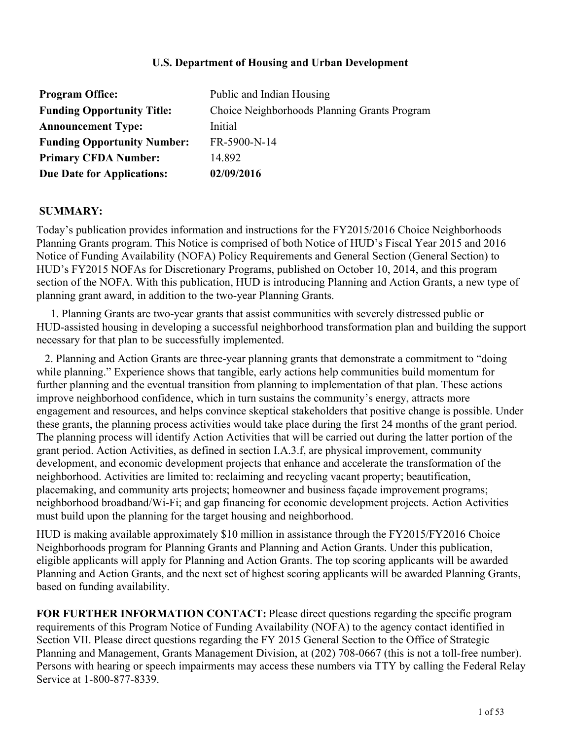#### **U.S. Department of Housing and Urban Development**

| <b>Program Office:</b>             | Public and Indian Housing                    |
|------------------------------------|----------------------------------------------|
| <b>Funding Opportunity Title:</b>  | Choice Neighborhoods Planning Grants Program |
| <b>Announcement Type:</b>          | Initial                                      |
| <b>Funding Opportunity Number:</b> | FR-5900-N-14                                 |
| <b>Primary CFDA Number:</b>        | 14 892                                       |
| <b>Due Date for Applications:</b>  | 02/09/2016                                   |

#### **SUMMARY:**

Today's publication provides information and instructions for the FY2015/2016 Choice Neighborhoods Planning Grants program. This Notice is comprised of both Notice of HUD's Fiscal Year 2015 and 2016 Notice of Funding Availability (NOFA) Policy Requirements and General Section (General Section) to HUD's FY2015 NOFAs for Discretionary Programs, published on October 10, 2014, and this program section of the NOFA. With this publication, HUD is introducing Planning and Action Grants, a new type of planning grant award, in addition to the two-year Planning Grants.

 1. Planning Grants are two-year grants that assist communities with severely distressed public or HUD-assisted housing in developing a successful neighborhood transformation plan and building the support necessary for that plan to be successfully implemented.

 2. Planning and Action Grants are three-year planning grants that demonstrate a commitment to "doing while planning." Experience shows that tangible, early actions help communities build momentum for further planning and the eventual transition from planning to implementation of that plan. These actions improve neighborhood confidence, which in turn sustains the community's energy, attracts more engagement and resources, and helps convince skeptical stakeholders that positive change is possible. Under these grants, the planning process activities would take place during the first 24 months of the grant period. The planning process will identify Action Activities that will be carried out during the latter portion of the grant period. Action Activities, as defined in section I.A.3.f, are physical improvement, community development, and economic development projects that enhance and accelerate the transformation of the neighborhood. Activities are limited to: reclaiming and recycling vacant property; beautification, placemaking, and community arts projects; homeowner and business façade improvement programs; neighborhood broadband/Wi-Fi; and gap financing for economic development projects. Action Activities must build upon the planning for the target housing and neighborhood.

HUD is making available approximately \$10 million in assistance through the FY2015/FY2016 Choice Neighborhoods program for Planning Grants and Planning and Action Grants. Under this publication, eligible applicants will apply for Planning and Action Grants. The top scoring applicants will be awarded Planning and Action Grants, and the next set of highest scoring applicants will be awarded Planning Grants, based on funding availability.

**FOR FURTHER INFORMATION CONTACT:** Please direct questions regarding the specific program requirements of this Program Notice of Funding Availability (NOFA) to the agency contact identified in Section VII. Please direct questions regarding the FY 2015 General Section to the Office of Strategic Planning and Management, Grants Management Division, at (202) 708-0667 (this is not a toll-free number). Persons with hearing or speech impairments may access these numbers via TTY by calling the Federal Relay Service at 1-800-877-8339.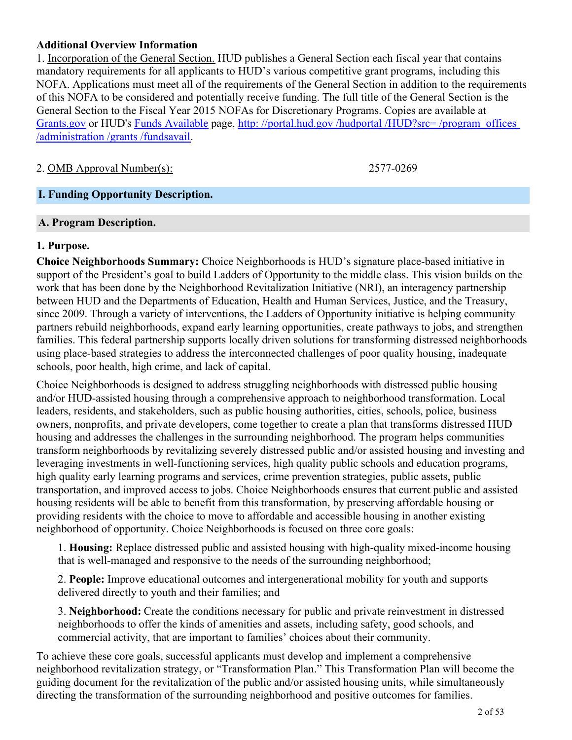#### **Additional Overview Information**

1. Incorporation of the General Section. HUD publishes a General Section each fiscal year that contains mandatory requirements for all applicants to HUD's various competitive grant programs, including this NOFA. Applications must meet all of the requirements of the General Section in addition to the requirements of this NOFA to be considered and potentially receive funding. The full title of the General Section is the General Section to the Fiscal Year 2015 NOFAs for Discretionary Programs. Copies are available at [Grants.gov](http://www.grants.gov) or HUD's [Funds Available](http://portal.hud.gov/hudportal/HUD?src=/program_offices/administration/grants/fundsavail) page, http://portal.hud.gov/hudportal/HUD?src=/program\_offices [/administration /grants /fundsavail](http://portal.hud.gov/hudportal/HUD?src=/program_offices/administration/grants/fundsavail).

## 2. OMB Approval Number(s): 2577-0269

#### <span id="page-3-0"></span>**I. Funding Opportunity Description.**

#### **A. Program Description.**

#### **1. Purpose.**

**Choice Neighborhoods Summary:** Choice Neighborhoods is HUD's signature place-based initiative in support of the President's goal to build Ladders of Opportunity to the middle class. This vision builds on the work that has been done by the Neighborhood Revitalization Initiative (NRI), an interagency partnership between HUD and the Departments of Education, Health and Human Services, Justice, and the Treasury, since 2009. Through a variety of interventions, the Ladders of Opportunity initiative is helping community partners rebuild neighborhoods, expand early learning opportunities, create pathways to jobs, and strengthen families. This federal partnership supports locally driven solutions for transforming distressed neighborhoods using place-based strategies to address the interconnected challenges of poor quality housing, inadequate schools, poor health, high crime, and lack of capital.

Choice Neighborhoods is designed to address struggling neighborhoods with distressed public housing and/or HUD-assisted housing through a comprehensive approach to neighborhood transformation. Local leaders, residents, and stakeholders, such as public housing authorities, cities, schools, police, business owners, nonprofits, and private developers, come together to create a plan that transforms distressed HUD housing and addresses the challenges in the surrounding neighborhood. The program helps communities transform neighborhoods by revitalizing severely distressed public and/or assisted housing and investing and leveraging investments in well-functioning services, high quality public schools and education programs, high quality early learning programs and services, crime prevention strategies, public assets, public transportation, and improved access to jobs. Choice Neighborhoods ensures that current public and assisted housing residents will be able to benefit from this transformation, by preserving affordable housing or providing residents with the choice to move to affordable and accessible housing in another existing neighborhood of opportunity. Choice Neighborhoods is focused on three core goals:

1. **Housing:** Replace distressed public and assisted housing with high-quality mixed-income housing that is well-managed and responsive to the needs of the surrounding neighborhood;

2. **People:** Improve educational outcomes and intergenerational mobility for youth and supports delivered directly to youth and their families; and

3. **Neighborhood:** Create the conditions necessary for public and private reinvestment in distressed neighborhoods to offer the kinds of amenities and assets, including safety, good schools, and commercial activity, that are important to families' choices about their community.

To achieve these core goals, successful applicants must develop and implement a comprehensive neighborhood revitalization strategy, or "Transformation Plan." This Transformation Plan will become the guiding document for the revitalization of the public and/or assisted housing units, while simultaneously directing the transformation of the surrounding neighborhood and positive outcomes for families.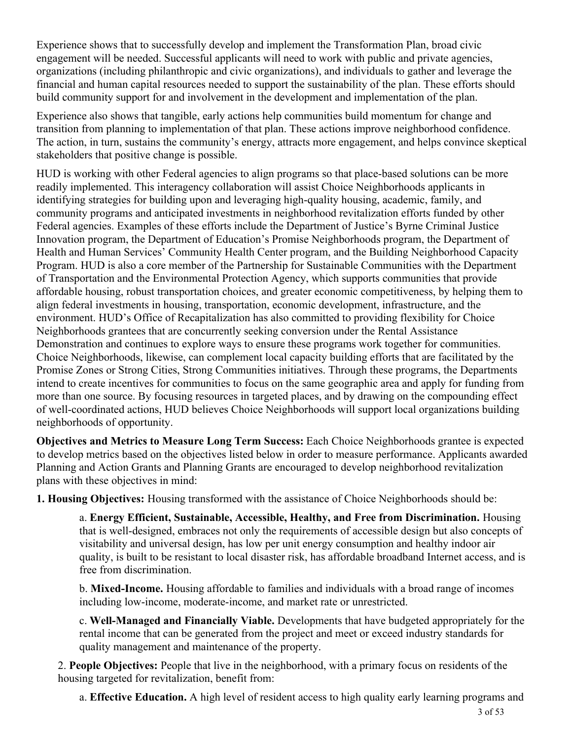Experience shows that to successfully develop and implement the Transformation Plan, broad civic engagement will be needed. Successful applicants will need to work with public and private agencies, organizations (including philanthropic and civic organizations), and individuals to gather and leverage the financial and human capital resources needed to support the sustainability of the plan. These efforts should build community support for and involvement in the development and implementation of the plan.

Experience also shows that tangible, early actions help communities build momentum for change and transition from planning to implementation of that plan. These actions improve neighborhood confidence. The action, in turn, sustains the community's energy, attracts more engagement, and helps convince skeptical stakeholders that positive change is possible.

HUD is working with other Federal agencies to align programs so that place-based solutions can be more readily implemented. This interagency collaboration will assist Choice Neighborhoods applicants in identifying strategies for building upon and leveraging high-quality housing, academic, family, and community programs and anticipated investments in neighborhood revitalization efforts funded by other Federal agencies. Examples of these efforts include the Department of Justice's Byrne Criminal Justice Innovation program, the Department of Education's Promise Neighborhoods program, the Department of Health and Human Services' Community Health Center program, and the Building Neighborhood Capacity Program. HUD is also a core member of the Partnership for Sustainable Communities with the Department of Transportation and the Environmental Protection Agency, which supports communities that provide affordable housing, robust transportation choices, and greater economic competitiveness, by helping them to align federal investments in housing, transportation, economic development, infrastructure, and the environment. HUD's Office of Recapitalization has also committed to providing flexibility for Choice Neighborhoods grantees that are concurrently seeking conversion under the Rental Assistance Demonstration and continues to explore ways to ensure these programs work together for communities. Choice Neighborhoods, likewise, can complement local capacity building efforts that are facilitated by the Promise Zones or Strong Cities, Strong Communities initiatives. Through these programs, the Departments intend to create incentives for communities to focus on the same geographic area and apply for funding from more than one source. By focusing resources in targeted places, and by drawing on the compounding effect of well-coordinated actions, HUD believes Choice Neighborhoods will support local organizations building neighborhoods of opportunity.

**Objectives and Metrics to Measure Long Term Success:** Each Choice Neighborhoods grantee is expected to develop metrics based on the objectives listed below in order to measure performance. Applicants awarded Planning and Action Grants and Planning Grants are encouraged to develop neighborhood revitalization plans with these objectives in mind:

**1. Housing Objectives:** Housing transformed with the assistance of Choice Neighborhoods should be:

a. **Energy Efficient, Sustainable, Accessible, Healthy, and Free from Discrimination.** Housing that is well-designed, embraces not only the requirements of accessible design but also concepts of visitability and universal design, has low per unit energy consumption and healthy indoor air quality, is built to be resistant to local disaster risk, has affordable broadband Internet access, and is free from discrimination.

b. **Mixed-Income.** Housing affordable to families and individuals with a broad range of incomes including low-income, moderate-income, and market rate or unrestricted.

c. **Well-Managed and Financially Viable.** Developments that have budgeted appropriately for the rental income that can be generated from the project and meet or exceed industry standards for quality management and maintenance of the property.

2. **People Objectives:** People that live in the neighborhood, with a primary focus on residents of the housing targeted for revitalization, benefit from:

a. **Effective Education.** A high level of resident access to high quality early learning programs and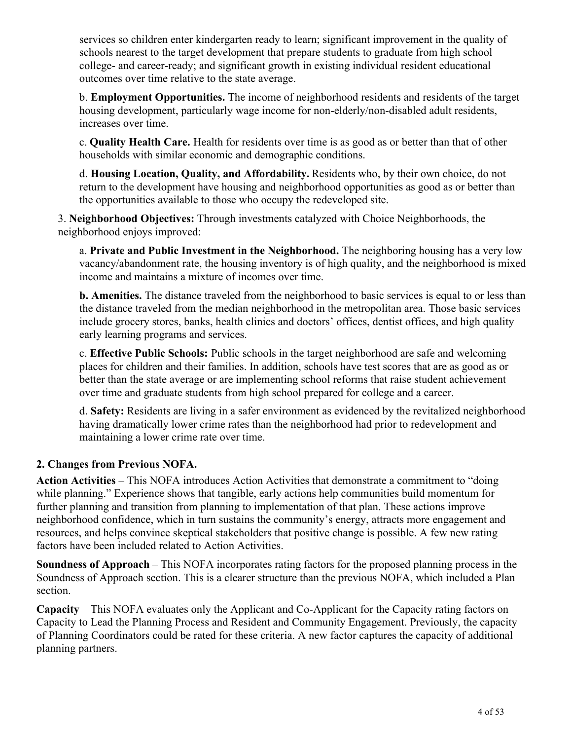services so children enter kindergarten ready to learn; significant improvement in the quality of schools nearest to the target development that prepare students to graduate from high school college- and career-ready; and significant growth in existing individual resident educational outcomes over time relative to the state average.

b. **Employment Opportunities.** The income of neighborhood residents and residents of the target housing development, particularly wage income for non-elderly/non-disabled adult residents, increases over time.

c. **Quality Health Care.** Health for residents over time is as good as or better than that of other households with similar economic and demographic conditions.

d. **Housing Location, Quality, and Affordability.** Residents who, by their own choice, do not return to the development have housing and neighborhood opportunities as good as or better than the opportunities available to those who occupy the redeveloped site.

3. **Neighborhood Objectives:** Through investments catalyzed with Choice Neighborhoods, the neighborhood enjoys improved:

a. **Private and Public Investment in the Neighborhood.** The neighboring housing has a very low vacancy/abandonment rate, the housing inventory is of high quality, and the neighborhood is mixed income and maintains a mixture of incomes over time.

**b. Amenities.** The distance traveled from the neighborhood to basic services is equal to or less than the distance traveled from the median neighborhood in the metropolitan area. Those basic services include grocery stores, banks, health clinics and doctors' offices, dentist offices, and high quality early learning programs and services.

c. **Effective Public Schools:** Public schools in the target neighborhood are safe and welcoming places for children and their families. In addition, schools have test scores that are as good as or better than the state average or are implementing school reforms that raise student achievement over time and graduate students from high school prepared for college and a career.

d. **Safety:** Residents are living in a safer environment as evidenced by the revitalized neighborhood having dramatically lower crime rates than the neighborhood had prior to redevelopment and maintaining a lower crime rate over time.

## **2. Changes from Previous NOFA.**

**Action Activities** – This NOFA introduces Action Activities that demonstrate a commitment to "doing while planning." Experience shows that tangible, early actions help communities build momentum for further planning and transition from planning to implementation of that plan. These actions improve neighborhood confidence, which in turn sustains the community's energy, attracts more engagement and resources, and helps convince skeptical stakeholders that positive change is possible. A few new rating factors have been included related to Action Activities.

**Soundness of Approach** – This NOFA incorporates rating factors for the proposed planning process in the Soundness of Approach section. This is a clearer structure than the previous NOFA, which included a Plan section.

**Capacity** – This NOFA evaluates only the Applicant and Co-Applicant for the Capacity rating factors on Capacity to Lead the Planning Process and Resident and Community Engagement. Previously, the capacity of Planning Coordinators could be rated for these criteria. A new factor captures the capacity of additional planning partners.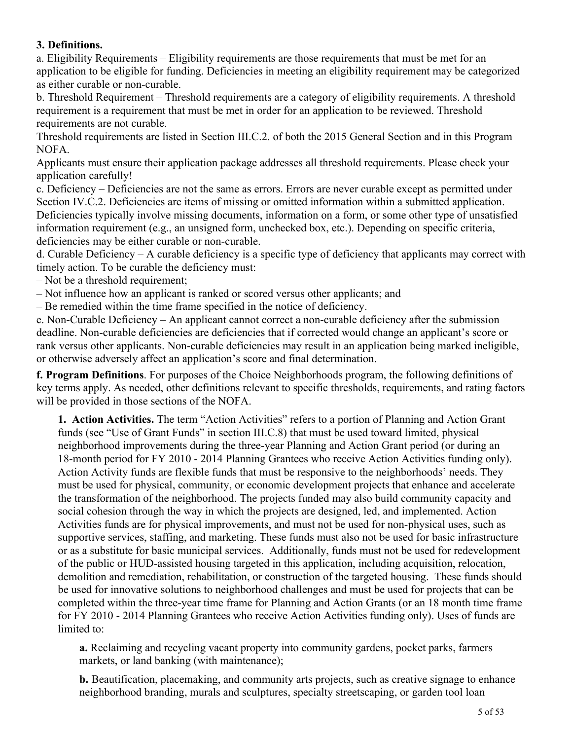## **3. Definitions.**

a. Eligibility Requirements – Eligibility requirements are those requirements that must be met for an application to be eligible for funding. Deficiencies in meeting an eligibility requirement may be categorized as either curable or non-curable.

b. Threshold Requirement – Threshold requirements are a category of eligibility requirements. A threshold requirement is a requirement that must be met in order for an application to be reviewed. Threshold requirements are not curable.

Threshold requirements are listed in Section III.C.2. of both the 2015 General Section and in this Program NOFA.

Applicants must ensure their application package addresses all threshold requirements. Please check your application carefully!

c. Deficiency – Deficiencies are not the same as errors. Errors are never curable except as permitted under Section IV.C.2. Deficiencies are items of missing or omitted information within a submitted application. Deficiencies typically involve missing documents, information on a form, or some other type of unsatisfied information requirement (e.g., an unsigned form, unchecked box, etc.). Depending on specific criteria, deficiencies may be either curable or non-curable.

d. Curable Deficiency – A curable deficiency is a specific type of deficiency that applicants may correct with timely action. To be curable the deficiency must:

– Not be a threshold requirement;

– Not influence how an applicant is ranked or scored versus other applicants; and

– Be remedied within the time frame specified in the notice of deficiency.

e. Non-Curable Deficiency – An applicant cannot correct a non-curable deficiency after the submission deadline. Non-curable deficiencies are deficiencies that if corrected would change an applicant's score or rank versus other applicants. Non-curable deficiencies may result in an application being marked ineligible, or otherwise adversely affect an application's score and final determination.

**f. Program Definitions**. For purposes of the Choice Neighborhoods program, the following definitions of key terms apply. As needed, other definitions relevant to specific thresholds, requirements, and rating factors will be provided in those sections of the NOFA.

**1. Action Activities.** The term "Action Activities" refers to a portion of Planning and Action Grant funds (see "Use of Grant Funds" in section III.C.8) that must be used toward limited, physical neighborhood improvements during the three-year Planning and Action Grant period (or during an 18-month period for FY 2010 - 2014 Planning Grantees who receive Action Activities funding only). Action Activity funds are flexible funds that must be responsive to the neighborhoods' needs. They must be used for physical, community, or economic development projects that enhance and accelerate the transformation of the neighborhood. The projects funded may also build community capacity and social cohesion through the way in which the projects are designed, led, and implemented. Action Activities funds are for physical improvements, and must not be used for non-physical uses, such as supportive services, staffing, and marketing. These funds must also not be used for basic infrastructure or as a substitute for basic municipal services. Additionally, funds must not be used for redevelopment of the public or HUD-assisted housing targeted in this application, including acquisition, relocation, demolition and remediation, rehabilitation, or construction of the targeted housing. These funds should be used for innovative solutions to neighborhood challenges and must be used for projects that can be completed within the three-year time frame for Planning and Action Grants (or an 18 month time frame for FY 2010 - 2014 Planning Grantees who receive Action Activities funding only). Uses of funds are limited to:

**a.** Reclaiming and recycling vacant property into community gardens, pocket parks, farmers markets, or land banking (with maintenance);

**b.** Beautification, placemaking, and community arts projects, such as creative signage to enhance neighborhood branding, murals and sculptures, specialty streetscaping, or garden tool loan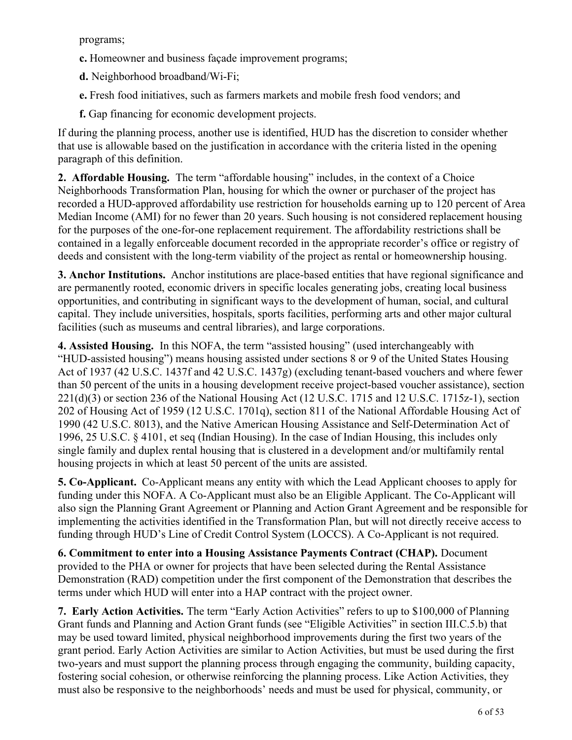programs;

- **c.** Homeowner and business façade improvement programs;
- **d.** Neighborhood broadband/Wi-Fi;
- **e.** Fresh food initiatives, such as farmers markets and mobile fresh food vendors; and
- **f.** Gap financing for economic development projects.

If during the planning process, another use is identified, HUD has the discretion to consider whether that use is allowable based on the justification in accordance with the criteria listed in the opening paragraph of this definition.

**2. Affordable Housing.** The term "affordable housing" includes, in the context of a Choice Neighborhoods Transformation Plan, housing for which the owner or purchaser of the project has recorded a HUD-approved affordability use restriction for households earning up to 120 percent of Area Median Income (AMI) for no fewer than 20 years. Such housing is not considered replacement housing for the purposes of the one-for-one replacement requirement. The affordability restrictions shall be contained in a legally enforceable document recorded in the appropriate recorder's office or registry of deeds and consistent with the long-term viability of the project as rental or homeownership housing.

**3. Anchor Institutions.**  Anchor institutions are place-based entities that have regional significance and are permanently rooted, economic drivers in specific locales generating jobs, creating local business opportunities, and contributing in significant ways to the development of human, social, and cultural capital. They include universities, hospitals, sports facilities, performing arts and other major cultural facilities (such as museums and central libraries), and large corporations.

**4. Assisted Housing.**  In this NOFA, the term "assisted housing" (used interchangeably with "HUD-assisted housing") means housing assisted under sections 8 or 9 of the United States Housing Act of 1937 (42 U.S.C. 1437f and 42 U.S.C. 1437g) (excluding tenant-based vouchers and where fewer than 50 percent of the units in a housing development receive project-based voucher assistance), section 221(d)(3) or section 236 of the National Housing Act (12 U.S.C. 1715 and 12 U.S.C. 1715z-1), section 202 of Housing Act of 1959 (12 U.S.C. 1701q), section 811 of the National Affordable Housing Act of 1990 (42 U.S.C. 8013), and the Native American Housing Assistance and Self-Determination Act of 1996, 25 U.S.C. § 4101, et seq (Indian Housing). In the case of Indian Housing, this includes only single family and duplex rental housing that is clustered in a development and/or multifamily rental housing projects in which at least 50 percent of the units are assisted.

**5. Co-Applicant.** Co-Applicant means any entity with which the Lead Applicant chooses to apply for funding under this NOFA. A Co-Applicant must also be an Eligible Applicant. The Co-Applicant will also sign the Planning Grant Agreement or Planning and Action Grant Agreement and be responsible for implementing the activities identified in the Transformation Plan, but will not directly receive access to funding through HUD's Line of Credit Control System (LOCCS). A Co-Applicant is not required.

**6. Commitment to enter into a Housing Assistance Payments Contract (CHAP).** Document provided to the PHA or owner for projects that have been selected during the Rental Assistance Demonstration (RAD) competition under the first component of the Demonstration that describes the terms under which HUD will enter into a HAP contract with the project owner.

**7. Early Action Activities.** The term "Early Action Activities" refers to up to \$100,000 of Planning Grant funds and Planning and Action Grant funds (see "Eligible Activities" in section III.C.5.b) that may be used toward limited, physical neighborhood improvements during the first two years of the grant period. Early Action Activities are similar to Action Activities, but must be used during the first two-years and must support the planning process through engaging the community, building capacity, fostering social cohesion, or otherwise reinforcing the planning process. Like Action Activities, they must also be responsive to the neighborhoods' needs and must be used for physical, community, or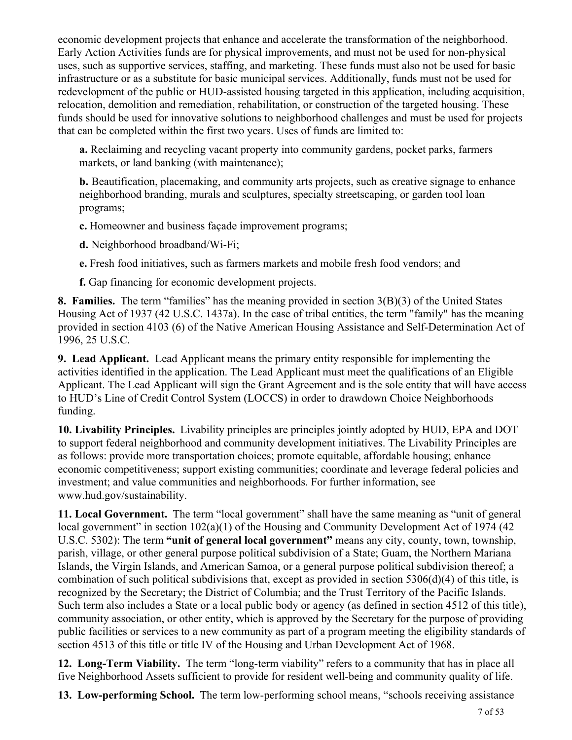economic development projects that enhance and accelerate the transformation of the neighborhood. Early Action Activities funds are for physical improvements, and must not be used for non-physical uses, such as supportive services, staffing, and marketing. These funds must also not be used for basic infrastructure or as a substitute for basic municipal services. Additionally, funds must not be used for redevelopment of the public or HUD-assisted housing targeted in this application, including acquisition, relocation, demolition and remediation, rehabilitation, or construction of the targeted housing. These funds should be used for innovative solutions to neighborhood challenges and must be used for projects that can be completed within the first two years. Uses of funds are limited to:

**a.** Reclaiming and recycling vacant property into community gardens, pocket parks, farmers markets, or land banking (with maintenance);

**b.** Beautification, placemaking, and community arts projects, such as creative signage to enhance neighborhood branding, murals and sculptures, specialty streetscaping, or garden tool loan programs;

**c.** Homeowner and business façade improvement programs;

**d.** Neighborhood broadband/Wi-Fi;

**e.** Fresh food initiatives, such as farmers markets and mobile fresh food vendors; and

**f.** Gap financing for economic development projects.

**8. Families.** The term "families" has the meaning provided in section 3(B)(3) of the United States Housing Act of 1937 (42 U.S.C. 1437a). In the case of tribal entities, the term "family" has the meaning provided in section 4103 (6) of the Native American Housing Assistance and Self-Determination Act of 1996, 25 U.S.C.

**9. Lead Applicant.** Lead Applicant means the primary entity responsible for implementing the activities identified in the application. The Lead Applicant must meet the qualifications of an Eligible Applicant. The Lead Applicant will sign the Grant Agreement and is the sole entity that will have access to HUD's Line of Credit Control System (LOCCS) in order to drawdown Choice Neighborhoods funding.

**10. Livability Principles.** Livability principles are principles jointly adopted by HUD, EPA and DOT to support federal neighborhood and community development initiatives. The Livability Principles are as follows: provide more transportation choices; promote equitable, affordable housing; enhance economic competitiveness; support existing communities; coordinate and leverage federal policies and investment; and value communities and neighborhoods. For further information, see www.hud.gov/sustainability.

**11. Local Government.** The term "local government" shall have the same meaning as "unit of general local government" in section 102(a)(1) of the Housing and Community Development Act of 1974 (42) U.S.C. 5302): The term **"unit of general local government"** means any city, county, town, township, parish, village, or other general purpose political subdivision of a State; Guam, the Northern Mariana Islands, the Virgin Islands, and American Samoa, or a general purpose political subdivision thereof; a combination of such political subdivisions that, except as provided in section 5306(d)(4) of this title, is recognized by the Secretary; the District of Columbia; and the Trust Territory of the Pacific Islands. Such term also includes a State or a local public body or agency (as defined in section 4512 of this title), community association, or other entity, which is approved by the Secretary for the purpose of providing public facilities or services to a new community as part of a program meeting the eligibility standards of section 4513 of this title or title IV of the Housing and Urban Development Act of 1968.

**12. Long-Term Viability.**  The term "long-term viability" refers to a community that has in place all five Neighborhood Assets sufficient to provide for resident well-being and community quality of life.

**13. Low-performing School.**  The term low-performing school means, "schools receiving assistance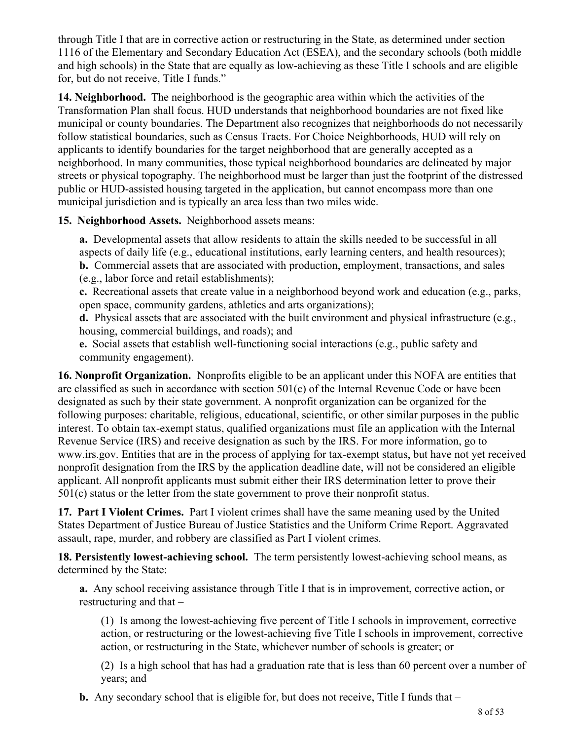through Title I that are in corrective action or restructuring in the State, as determined under section 1116 of the Elementary and Secondary Education Act (ESEA), and the secondary schools (both middle and high schools) in the State that are equally as low-achieving as these Title I schools and are eligible for, but do not receive, Title I funds."

**14. Neighborhood.** The neighborhood is the geographic area within which the activities of the Transformation Plan shall focus. HUD understands that neighborhood boundaries are not fixed like municipal or county boundaries. The Department also recognizes that neighborhoods do not necessarily follow statistical boundaries, such as Census Tracts. For Choice Neighborhoods, HUD will rely on applicants to identify boundaries for the target neighborhood that are generally accepted as a neighborhood. In many communities, those typical neighborhood boundaries are delineated by major streets or physical topography. The neighborhood must be larger than just the footprint of the distressed public or HUD-assisted housing targeted in the application, but cannot encompass more than one municipal jurisdiction and is typically an area less than two miles wide.

#### **15. Neighborhood Assets.** Neighborhood assets means:

**a.** Developmental assets that allow residents to attain the skills needed to be successful in all aspects of daily life (e.g., educational institutions, early learning centers, and health resources); **b.** Commercial assets that are associated with production, employment, transactions, and sales (e.g., labor force and retail establishments);

**c.** Recreational assets that create value in a neighborhood beyond work and education (e.g., parks, open space, community gardens, athletics and arts organizations);

**d.** Physical assets that are associated with the built environment and physical infrastructure (e.g., housing, commercial buildings, and roads); and

**e.** Social assets that establish well-functioning social interactions (e.g., public safety and community engagement).

**16. Nonprofit Organization.**  Nonprofits eligible to be an applicant under this NOFA are entities that are classified as such in accordance with section 501(c) of the Internal Revenue Code or have been designated as such by their state government. A nonprofit organization can be organized for the following purposes: charitable, religious, educational, scientific, or other similar purposes in the public interest. To obtain tax-exempt status, qualified organizations must file an application with the Internal Revenue Service (IRS) and receive designation as such by the IRS. For more information, go to www.irs.gov. Entities that are in the process of applying for tax-exempt status, but have not yet received nonprofit designation from the IRS by the application deadline date, will not be considered an eligible applicant. All nonprofit applicants must submit either their IRS determination letter to prove their 501(c) status or the letter from the state government to prove their nonprofit status.

**17. Part I Violent Crimes.** Part I violent crimes shall have the same meaning used by the United States Department of Justice Bureau of Justice Statistics and the Uniform Crime Report. Aggravated assault, rape, murder, and robbery are classified as Part I violent crimes.

**18. Persistently lowest-achieving school.** The term persistently lowest-achieving school means, as determined by the State:

**a.** Any school receiving assistance through Title I that is in improvement, corrective action, or restructuring and that –

(1) Is among the lowest-achieving five percent of Title I schools in improvement, corrective action, or restructuring or the lowest-achieving five Title I schools in improvement, corrective action, or restructuring in the State, whichever number of schools is greater; or

(2) Is a high school that has had a graduation rate that is less than 60 percent over a number of years; and

**b.** Any secondary school that is eligible for, but does not receive, Title I funds that –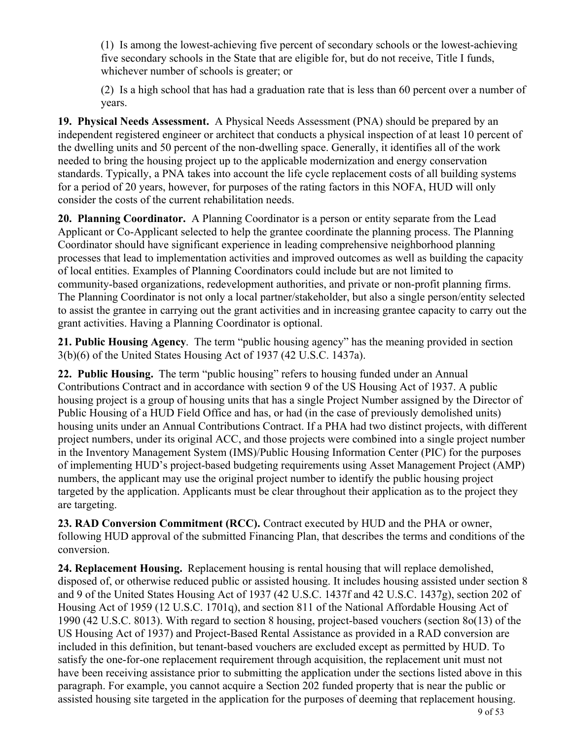(1) Is among the lowest-achieving five percent of secondary schools or the lowest-achieving five secondary schools in the State that are eligible for, but do not receive, Title I funds, whichever number of schools is greater; or

(2) Is a high school that has had a graduation rate that is less than 60 percent over a number of years.

**19. Physical Needs Assessment.** A Physical Needs Assessment (PNA) should be prepared by an independent registered engineer or architect that conducts a physical inspection of at least 10 percent of the dwelling units and 50 percent of the non-dwelling space. Generally, it identifies all of the work needed to bring the housing project up to the applicable modernization and energy conservation standards. Typically, a PNA takes into account the life cycle replacement costs of all building systems for a period of 20 years, however, for purposes of the rating factors in this NOFA, HUD will only consider the costs of the current rehabilitation needs.

**20. Planning Coordinator.** A Planning Coordinator is a person or entity separate from the Lead Applicant or Co-Applicant selected to help the grantee coordinate the planning process. The Planning Coordinator should have significant experience in leading comprehensive neighborhood planning processes that lead to implementation activities and improved outcomes as well as building the capacity of local entities. Examples of Planning Coordinators could include but are not limited to community-based organizations, redevelopment authorities, and private or non-profit planning firms. The Planning Coordinator is not only a local partner/stakeholder, but also a single person/entity selected to assist the grantee in carrying out the grant activities and in increasing grantee capacity to carry out the grant activities. Having a Planning Coordinator is optional.

**21. Public Housing Agency**. The term "public housing agency" has the meaning provided in section 3(b)(6) of the United States Housing Act of 1937 (42 U.S.C. 1437a).

**22. Public Housing.** The term "public housing" refers to housing funded under an Annual Contributions Contract and in accordance with section 9 of the US Housing Act of 1937. A public housing project is a group of housing units that has a single Project Number assigned by the Director of Public Housing of a HUD Field Office and has, or had (in the case of previously demolished units) housing units under an Annual Contributions Contract. If a PHA had two distinct projects, with different project numbers, under its original ACC, and those projects were combined into a single project number in the Inventory Management System (IMS)/Public Housing Information Center (PIC) for the purposes of implementing HUD's project-based budgeting requirements using Asset Management Project (AMP) numbers, the applicant may use the original project number to identify the public housing project targeted by the application. Applicants must be clear throughout their application as to the project they are targeting.

**23. RAD Conversion Commitment (RCC).** Contract executed by HUD and the PHA or owner, following HUD approval of the submitted Financing Plan, that describes the terms and conditions of the conversion.

**24. Replacement Housing.** Replacement housing is rental housing that will replace demolished, disposed of, or otherwise reduced public or assisted housing. It includes housing assisted under section 8 and 9 of the United States Housing Act of 1937 (42 U.S.C. 1437f and 42 U.S.C. 1437g), section 202 of Housing Act of 1959 (12 U.S.C. 1701q), and section 811 of the National Affordable Housing Act of 1990 (42 U.S.C. 8013). With regard to section 8 housing, project-based vouchers (section 8o(13) of the US Housing Act of 1937) and Project-Based Rental Assistance as provided in a RAD conversion are included in this definition, but tenant-based vouchers are excluded except as permitted by HUD. To satisfy the one-for-one replacement requirement through acquisition, the replacement unit must not have been receiving assistance prior to submitting the application under the sections listed above in this paragraph. For example, you cannot acquire a Section 202 funded property that is near the public or assisted housing site targeted in the application for the purposes of deeming that replacement housing.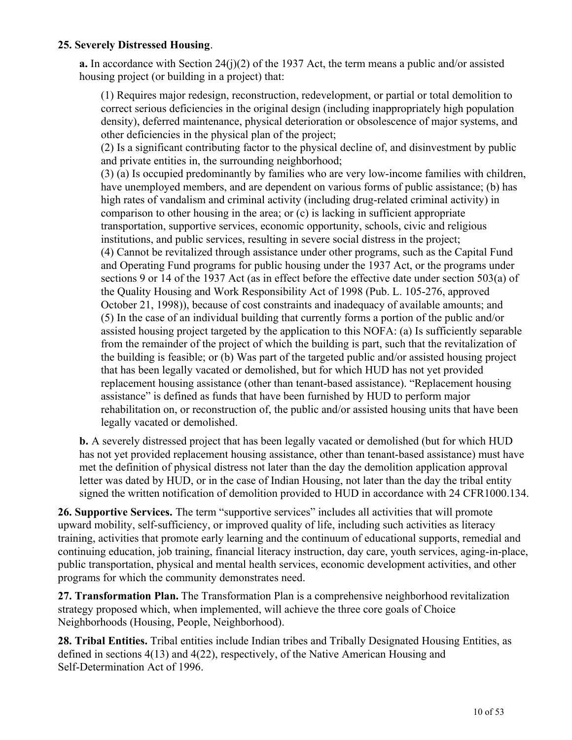#### **25. Severely Distressed Housing**.

**a.** In accordance with Section 24(j)(2) of the 1937 Act, the term means a public and/or assisted housing project (or building in a project) that:

(1) Requires major redesign, reconstruction, redevelopment, or partial or total demolition to correct serious deficiencies in the original design (including inappropriately high population density), deferred maintenance, physical deterioration or obsolescence of major systems, and other deficiencies in the physical plan of the project;

(2) Is a significant contributing factor to the physical decline of, and disinvestment by public and private entities in, the surrounding neighborhood;

(3) (a) Is occupied predominantly by families who are very low-income families with children, have unemployed members, and are dependent on various forms of public assistance; (b) has high rates of vandalism and criminal activity (including drug-related criminal activity) in comparison to other housing in the area; or (c) is lacking in sufficient appropriate transportation, supportive services, economic opportunity, schools, civic and religious institutions, and public services, resulting in severe social distress in the project; (4) Cannot be revitalized through assistance under other programs, such as the Capital Fund and Operating Fund programs for public housing under the 1937 Act, or the programs under sections 9 or 14 of the 1937 Act (as in effect before the effective date under section 503(a) of the Quality Housing and Work Responsibility Act of 1998 (Pub. L. 105-276, approved October 21, 1998)), because of cost constraints and inadequacy of available amounts; and (5) In the case of an individual building that currently forms a portion of the public and/or assisted housing project targeted by the application to this NOFA: (a) Is sufficiently separable from the remainder of the project of which the building is part, such that the revitalization of the building is feasible; or (b) Was part of the targeted public and/or assisted housing project that has been legally vacated or demolished, but for which HUD has not yet provided replacement housing assistance (other than tenant-based assistance). "Replacement housing assistance" is defined as funds that have been furnished by HUD to perform major rehabilitation on, or reconstruction of, the public and/or assisted housing units that have been legally vacated or demolished.

**b.** A severely distressed project that has been legally vacated or demolished (but for which HUD has not yet provided replacement housing assistance, other than tenant-based assistance) must have met the definition of physical distress not later than the day the demolition application approval letter was dated by HUD, or in the case of Indian Housing, not later than the day the tribal entity signed the written notification of demolition provided to HUD in accordance with 24 CFR1000.134.

**26. Supportive Services.** The term "supportive services" includes all activities that will promote upward mobility, self-sufficiency, or improved quality of life, including such activities as literacy training, activities that promote early learning and the continuum of educational supports, remedial and continuing education, job training, financial literacy instruction, day care, youth services, aging-in-place, public transportation, physical and mental health services, economic development activities, and other programs for which the community demonstrates need.

**27. Transformation Plan.** The Transformation Plan is a comprehensive neighborhood revitalization strategy proposed which, when implemented, will achieve the three core goals of Choice Neighborhoods (Housing, People, Neighborhood).

**28. Tribal Entities.** Tribal entities include Indian tribes and Tribally Designated Housing Entities, as defined in sections 4(13) and 4(22), respectively, of the Native American Housing and Self-Determination Act of 1996.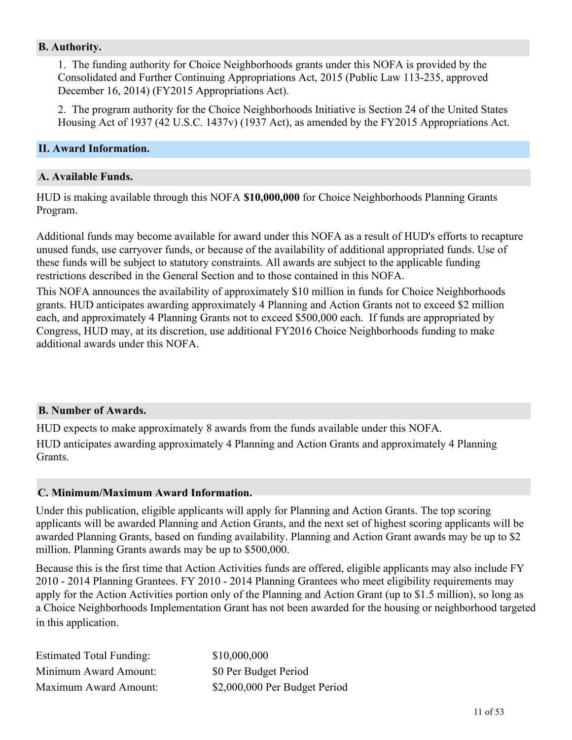#### **B. Authority.**

1. The funding authority for Choice Neighborhoods grants under this NOFA is provided by the Consolidated and Further Continuing Appropriations Act, 2015 (Public Law 113-235, approved December 16, 2014) (FY2015 Appropriations Act).

2. The program authority for the Choice Neighborhoods Initiative is Section 24 of the United States Housing Act of 1937 (42 U.S.C. 1437v) (1937 Act), as amended by the FY2015 Appropriations Act.

#### <span id="page-12-0"></span>**II. Award Information.**

#### **A. Available Funds.**

HUD is making available through this NOFA **\$10,000,000** for Choice Neighborhoods Planning Grants Program.

Additional funds may become available for award under this NOFA as a result of HUD's efforts to recapture unused funds, use carryover funds, or because of the availability of additional appropriated funds. Use of these funds will be subject to statutory constraints. All awards are subject to the applicable funding restrictions described in the General Section and to those contained in this NOFA.

This NOFA announces the availability of approximately \$10 million in funds for Choice Neighborhoods grants. HUD anticipates awarding approximately 4 Planning and Action Grants not to exceed \$2 million each, and approximately 4 Planning Grants not to exceed \$500,000 each. If funds are appropriated by Congress, HUD may, at its discretion, use additional FY2016 Choice Neighborhoods funding to make additional awards under this NOFA.

#### **B. Number of Awards.**

HUD expects to make approximately 8 awards from the funds available under this NOFA. HUD anticipates awarding approximately 4 Planning and Action Grants and approximately 4 Planning Grants.

#### **C. Minimum/Maximum Award Information.**

Under this publication, eligible applicants will apply for Planning and Action Grants. The top scoring applicants will be awarded Planning and Action Grants, and the next set of highest scoring applicants will be awarded Planning Grants, based on funding availability. Planning and Action Grant awards may be up to \$2 million. Planning Grants awards may be up to \$500,000.

Because this is the first time that Action Activities funds are offered, eligible applicants may also include FY 2010 - 2014 Planning Grantees. FY 2010 - 2014 Planning Grantees who meet eligibility requirements may apply for the Action Activities portion only of the Planning and Action Grant (up to \$1.5 million), so long as a Choice Neighborhoods Implementation Grant has not been awarded for the housing or neighborhood targeted in this application.

| <b>Estimated Total Funding:</b> | \$10,000,000                  |
|---------------------------------|-------------------------------|
| Minimum Award Amount:           | \$0 Per Budget Period         |
| Maximum Award Amount:           | \$2,000,000 Per Budget Period |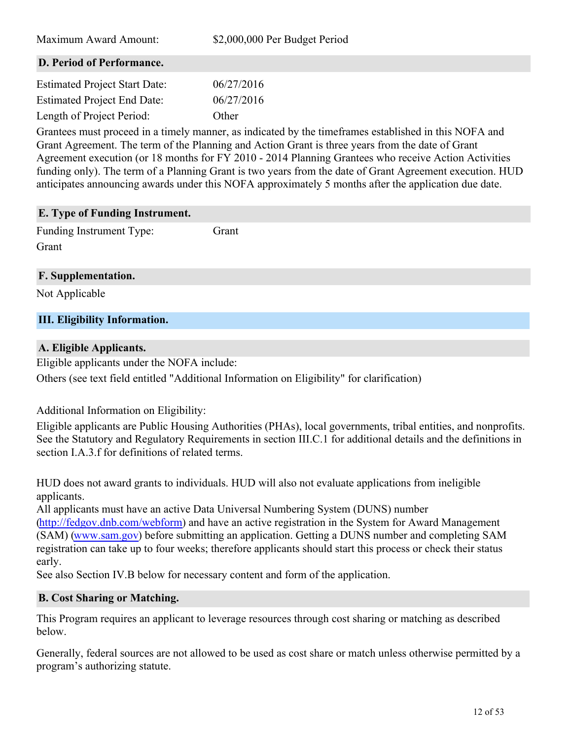| Maximum Award Amount:                                                                                 | \$2,000,000 Per Budget Period |  |
|-------------------------------------------------------------------------------------------------------|-------------------------------|--|
| D. Period of Performance.                                                                             |                               |  |
| <b>Estimated Project Start Date:</b>                                                                  | 06/27/2016                    |  |
| <b>Estimated Project End Date:</b>                                                                    | 06/27/2016                    |  |
| Length of Project Period:                                                                             | Other                         |  |
| Grantees must proceed in a timely manner, as indicated by the timeframes established in this NOFA and |                               |  |

Grant Agreement. The term of the Planning and Action Grant is three years from the date of Grant Agreement execution (or 18 months for FY 2010 - 2014 Planning Grantees who receive Action Activities funding only). The term of a Planning Grant is two years from the date of Grant Agreement execution. HUD anticipates announcing awards under this NOFA approximately 5 months after the application due date.

# **E. Type of Funding Instrument.**

Funding Instrument Type: Grant Grant

## **F. Supplementation.**

Not Applicable

## <span id="page-13-0"></span>**III. Eligibility Information.**

#### **A. Eligible Applicants.**

Eligible applicants under the NOFA include:

Others (see text field entitled "Additional Information on Eligibility" for clarification)

Additional Information on Eligibility:

Eligible applicants are Public Housing Authorities (PHAs), local governments, tribal entities, and nonprofits. See the Statutory and Regulatory Requirements in section III.C.1 for additional details and the definitions in section I.A.3.f for definitions of related terms.

HUD does not award grants to individuals. HUD will also not evaluate applications from ineligible applicants.

All applicants must have an active Data Universal Numbering System (DUNS) number

[\(http://fedgov.dnb.com/webform](http://fedgov.dnb.com/webform)) and have an active registration in the System for Award Management (SAM) [\(www.sam.gov](http://www.sam.gov)) before submitting an application. Getting a DUNS number and completing SAM registration can take up to four weeks; therefore applicants should start this process or check their status early.

See also Section IV.B below for necessary content and form of the application.

#### **B. Cost Sharing or Matching.**

This Program requires an applicant to leverage resources through cost sharing or matching as described below.

Generally, federal sources are not allowed to be used as cost share or match unless otherwise permitted by a program's authorizing statute.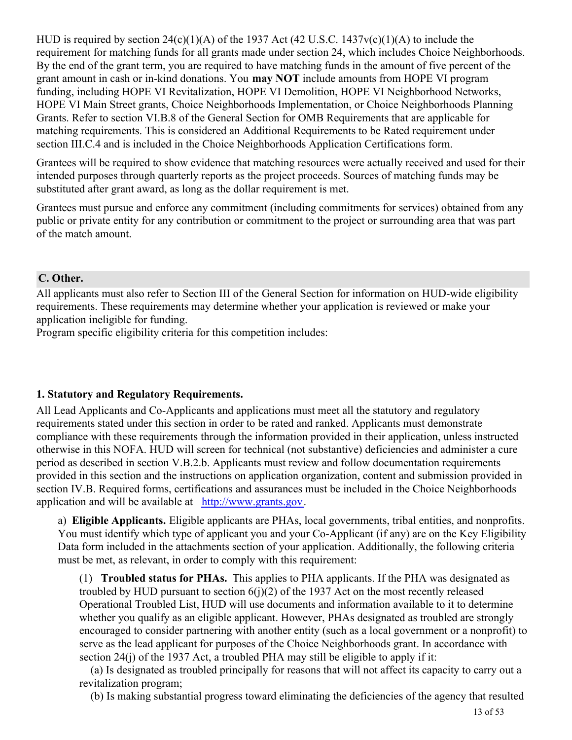HUD is required by section 24(c)(1)(A) of the 1937 Act (42 U.S.C. 1437v(c)(1)(A) to include the requirement for matching funds for all grants made under section 24, which includes Choice Neighborhoods. By the end of the grant term, you are required to have matching funds in the amount of five percent of the grant amount in cash or in-kind donations. You **may NOT** include amounts from HOPE VI program funding, including HOPE VI Revitalization, HOPE VI Demolition, HOPE VI Neighborhood Networks, HOPE VI Main Street grants, Choice Neighborhoods Implementation, or Choice Neighborhoods Planning Grants. Refer to section VI.B.8 of the General Section for OMB Requirements that are applicable for matching requirements. This is considered an Additional Requirements to be Rated requirement under section III.C.4 and is included in the Choice Neighborhoods Application Certifications form.

Grantees will be required to show evidence that matching resources were actually received and used for their intended purposes through quarterly reports as the project proceeds. Sources of matching funds may be substituted after grant award, as long as the dollar requirement is met.

Grantees must pursue and enforce any commitment (including commitments for services) obtained from any public or private entity for any contribution or commitment to the project or surrounding area that was part of the match amount.

#### **C. Other.**

All applicants must also refer to Section III of the General Section for information on HUD-wide eligibility requirements. These requirements may determine whether your application is reviewed or make your application ineligible for funding.

Program specific eligibility criteria for this competition includes:

#### **1. Statutory and Regulatory Requirements.**

All Lead Applicants and Co-Applicants and applications must meet all the statutory and regulatory requirements stated under this section in order to be rated and ranked. Applicants must demonstrate compliance with these requirements through the information provided in their application, unless instructed otherwise in this NOFA. HUD will screen for technical (not substantive) deficiencies and administer a cure period as described in section V.B.2.b. Applicants must review and follow documentation requirements provided in this section and the instructions on application organization, content and submission provided in section IV.B. Required forms, certifications and assurances must be included in the Choice Neighborhoods application and will be available at <http://www.grants.gov>.

a) **Eligible Applicants.** Eligible applicants are PHAs, local governments, tribal entities, and nonprofits. You must identify which type of applicant you and your Co-Applicant (if any) are on the Key Eligibility Data form included in the attachments section of your application. Additionally, the following criteria must be met, as relevant, in order to comply with this requirement:

(1) **Troubled status for PHAs.** This applies to PHA applicants. If the PHA was designated as troubled by HUD pursuant to section  $6(i)(2)$  of the 1937 Act on the most recently released Operational Troubled List, HUD will use documents and information available to it to determine whether you qualify as an eligible applicant. However, PHAs designated as troubled are strongly encouraged to consider partnering with another entity (such as a local government or a nonprofit) to serve as the lead applicant for purposes of the Choice Neighborhoods grant. In accordance with section  $24(i)$  of the 1937 Act, a troubled PHA may still be eligible to apply if it:

 (a) Is designated as troubled principally for reasons that will not affect its capacity to carry out a revitalization program;

(b) Is making substantial progress toward eliminating the deficiencies of the agency that resulted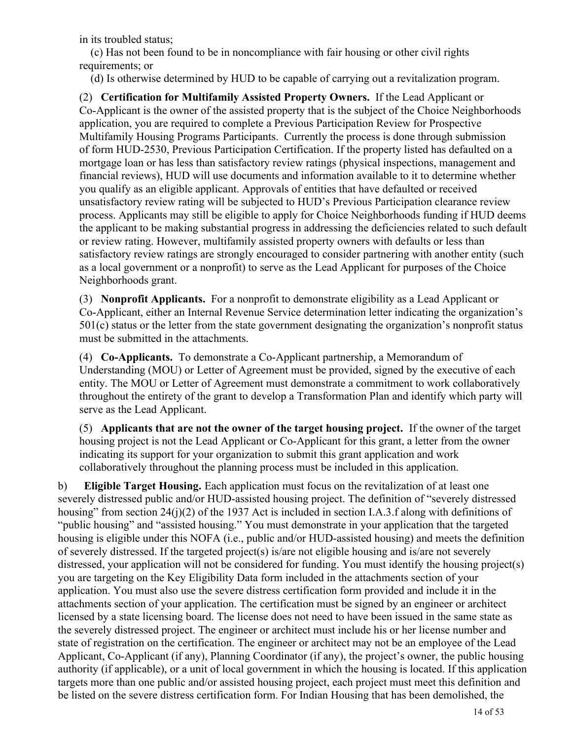in its troubled status;

 (c) Has not been found to be in noncompliance with fair housing or other civil rights requirements; or

(d) Is otherwise determined by HUD to be capable of carrying out a revitalization program.

(2)  **Certification for Multifamily Assisted Property Owners.** If the Lead Applicant or Co-Applicant is the owner of the assisted property that is the subject of the Choice Neighborhoods application, you are required to complete a Previous Participation Review for Prospective Multifamily Housing Programs Participants. Currently the process is done through submission of form HUD-2530, Previous Participation Certification. If the property listed has defaulted on a mortgage loan or has less than satisfactory review ratings (physical inspections, management and financial reviews), HUD will use documents and information available to it to determine whether you qualify as an eligible applicant. Approvals of entities that have defaulted or received unsatisfactory review rating will be subjected to HUD's Previous Participation clearance review process. Applicants may still be eligible to apply for Choice Neighborhoods funding if HUD deems the applicant to be making substantial progress in addressing the deficiencies related to such default or review rating. However, multifamily assisted property owners with defaults or less than satisfactory review ratings are strongly encouraged to consider partnering with another entity (such as a local government or a nonprofit) to serve as the Lead Applicant for purposes of the Choice Neighborhoods grant.

(3) **Nonprofit Applicants.** For a nonprofit to demonstrate eligibility as a Lead Applicant or Co-Applicant, either an Internal Revenue Service determination letter indicating the organization's 501(c) status or the letter from the state government designating the organization's nonprofit status must be submitted in the attachments.

(4) **Co-Applicants.** To demonstrate a Co-Applicant partnership, a Memorandum of Understanding (MOU) or Letter of Agreement must be provided, signed by the executive of each entity. The MOU or Letter of Agreement must demonstrate a commitment to work collaboratively throughout the entirety of the grant to develop a Transformation Plan and identify which party will serve as the Lead Applicant.

(5) **Applicants that are not the owner of the target housing project.** If the owner of the target housing project is not the Lead Applicant or Co-Applicant for this grant, a letter from the owner indicating its support for your organization to submit this grant application and work collaboratively throughout the planning process must be included in this application.

b) **Eligible Target Housing.** Each application must focus on the revitalization of at least one severely distressed public and/or HUD-assisted housing project. The definition of "severely distressed housing" from section 24(j)(2) of the 1937 Act is included in section I.A.3.f along with definitions of "public housing" and "assisted housing." You must demonstrate in your application that the targeted housing is eligible under this NOFA (i.e., public and/or HUD-assisted housing) and meets the definition of severely distressed. If the targeted project(s) is/are not eligible housing and is/are not severely distressed, your application will not be considered for funding. You must identify the housing project(s) you are targeting on the Key Eligibility Data form included in the attachments section of your application. You must also use the severe distress certification form provided and include it in the attachments section of your application. The certification must be signed by an engineer or architect licensed by a state licensing board. The license does not need to have been issued in the same state as the severely distressed project. The engineer or architect must include his or her license number and state of registration on the certification. The engineer or architect may not be an employee of the Lead Applicant, Co-Applicant (if any), Planning Coordinator (if any), the project's owner, the public housing authority (if applicable), or a unit of local government in which the housing is located. If this application targets more than one public and/or assisted housing project, each project must meet this definition and be listed on the severe distress certification form. For Indian Housing that has been demolished, the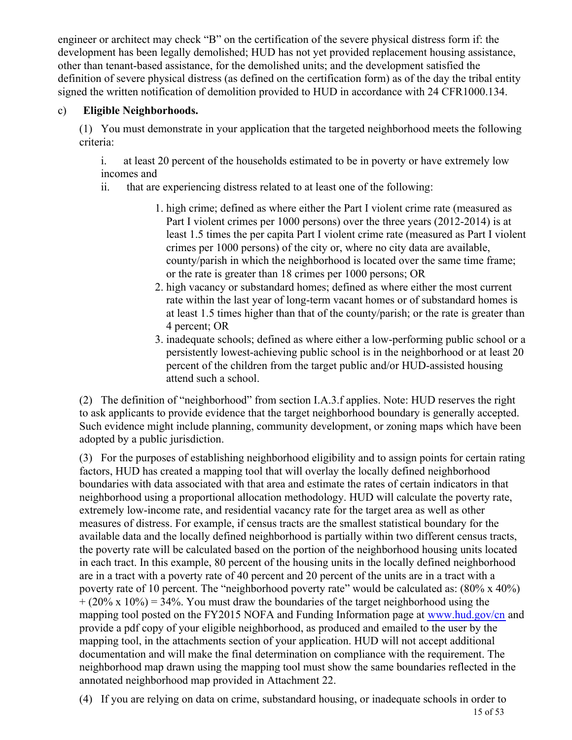engineer or architect may check "B" on the certification of the severe physical distress form if: the development has been legally demolished; HUD has not yet provided replacement housing assistance, other than tenant-based assistance, for the demolished units; and the development satisfied the definition of severe physical distress (as defined on the certification form) as of the day the tribal entity signed the written notification of demolition provided to HUD in accordance with 24 CFR1000.134.

## c) **Eligible Neighborhoods.**

(1) You must demonstrate in your application that the targeted neighborhood meets the following criteria:

i. at least 20 percent of the households estimated to be in poverty or have extremely low incomes and

ii. that are experiencing distress related to at least one of the following:

- 1. high crime; defined as where either the Part I violent crime rate (measured as Part I violent crimes per 1000 persons) over the three years (2012-2014) is at least 1.5 times the per capita Part I violent crime rate (measured as Part I violent crimes per 1000 persons) of the city or, where no city data are available, county/parish in which the neighborhood is located over the same time frame; or the rate is greater than 18 crimes per 1000 persons; OR
- 2. high vacancy or substandard homes; defined as where either the most current rate within the last year of long-term vacant homes or of substandard homes is at least 1.5 times higher than that of the county/parish; or the rate is greater than 4 percent; OR
- 3. inadequate schools; defined as where either a low-performing public school or a persistently lowest-achieving public school is in the neighborhood or at least 20 percent of the children from the target public and/or HUD-assisted housing attend such a school.

(2) The definition of "neighborhood" from section I.A.3.f applies. Note: HUD reserves the right to ask applicants to provide evidence that the target neighborhood boundary is generally accepted. Such evidence might include planning, community development, or zoning maps which have been adopted by a public jurisdiction.

(3) For the purposes of establishing neighborhood eligibility and to assign points for certain rating factors, HUD has created a mapping tool that will overlay the locally defined neighborhood boundaries with data associated with that area and estimate the rates of certain indicators in that neighborhood using a proportional allocation methodology. HUD will calculate the poverty rate, extremely low-income rate, and residential vacancy rate for the target area as well as other measures of distress. For example, if census tracts are the smallest statistical boundary for the available data and the locally defined neighborhood is partially within two different census tracts, the poverty rate will be calculated based on the portion of the neighborhood housing units located in each tract. In this example, 80 percent of the housing units in the locally defined neighborhood are in a tract with a poverty rate of 40 percent and 20 percent of the units are in a tract with a poverty rate of 10 percent. The "neighborhood poverty rate" would be calculated as: (80% x 40%)  $+ (20\% \times 10\%) = 34\%$ . You must draw the boundaries of the target neighborhood using the mapping tool posted on the FY2015 NOFA and Funding Information page at [www.hud.gov/cn](http://www.hud.gov/cn) and provide a pdf copy of your eligible neighborhood, as produced and emailed to the user by the mapping tool, in the attachments section of your application. HUD will not accept additional documentation and will make the final determination on compliance with the requirement. The neighborhood map drawn using the mapping tool must show the same boundaries reflected in the annotated neighborhood map provided in Attachment 22.

(4) If you are relying on data on crime, substandard housing, or inadequate schools in order to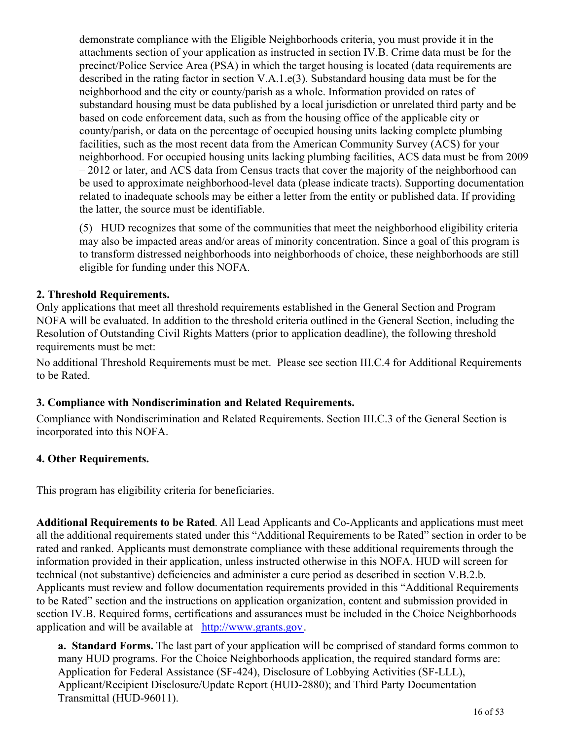demonstrate compliance with the Eligible Neighborhoods criteria, you must provide it in the attachments section of your application as instructed in section IV.B. Crime data must be for the precinct/Police Service Area (PSA) in which the target housing is located (data requirements are described in the rating factor in section V.A.1.e(3). Substandard housing data must be for the neighborhood and the city or county/parish as a whole. Information provided on rates of substandard housing must be data published by a local jurisdiction or unrelated third party and be based on code enforcement data, such as from the housing office of the applicable city or county/parish, or data on the percentage of occupied housing units lacking complete plumbing facilities, such as the most recent data from the American Community Survey (ACS) for your neighborhood. For occupied housing units lacking plumbing facilities, ACS data must be from 2009 – 2012 or later, and ACS data from Census tracts that cover the majority of the neighborhood can be used to approximate neighborhood-level data (please indicate tracts). Supporting documentation related to inadequate schools may be either a letter from the entity or published data. If providing the latter, the source must be identifiable.

(5) HUD recognizes that some of the communities that meet the neighborhood eligibility criteria may also be impacted areas and/or areas of minority concentration. Since a goal of this program is to transform distressed neighborhoods into neighborhoods of choice, these neighborhoods are still eligible for funding under this NOFA.

## **2. Threshold Requirements.**

Only applications that meet all threshold requirements established in the General Section and Program NOFA will be evaluated. In addition to the threshold criteria outlined in the General Section, including the Resolution of Outstanding Civil Rights Matters (prior to application deadline), the following threshold requirements must be met:

No additional Threshold Requirements must be met. Please see section III.C.4 for Additional Requirements to be Rated.

## **3. Compliance with Nondiscrimination and Related Requirements.**

Compliance with Nondiscrimination and Related Requirements. Section III.C.3 of the General Section is incorporated into this NOFA.

#### **4. Other Requirements.**

This program has eligibility criteria for beneficiaries.

**Additional Requirements to be Rated**. All Lead Applicants and Co-Applicants and applications must meet all the additional requirements stated under this "Additional Requirements to be Rated" section in order to be rated and ranked. Applicants must demonstrate compliance with these additional requirements through the information provided in their application, unless instructed otherwise in this NOFA. HUD will screen for technical (not substantive) deficiencies and administer a cure period as described in section V.B.2.b. Applicants must review and follow documentation requirements provided in this "Additional Requirements to be Rated" section and the instructions on application organization, content and submission provided in section IV.B. Required forms, certifications and assurances must be included in the Choice Neighborhoods application and will be available at <http://www.grants.gov>.

**a. Standard Forms.** The last part of your application will be comprised of standard forms common to many HUD programs. For the Choice Neighborhoods application, the required standard forms are: Application for Federal Assistance (SF-424), Disclosure of Lobbying Activities (SF-LLL), Applicant/Recipient Disclosure/Update Report (HUD-2880); and Third Party Documentation Transmittal (HUD-96011).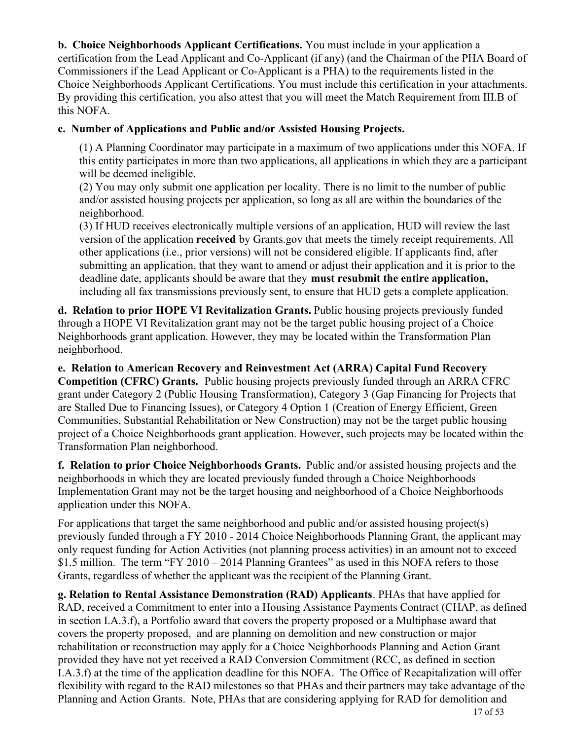**b. Choice Neighborhoods Applicant Certifications.** You must include in your application a certification from the Lead Applicant and Co-Applicant (if any) (and the Chairman of the PHA Board of Commissioners if the Lead Applicant or Co-Applicant is a PHA) to the requirements listed in the Choice Neighborhoods Applicant Certifications. You must include this certification in your attachments. By providing this certification, you also attest that you will meet the Match Requirement from III.B of this NOFA.

## **c. Number of Applications and Public and/or Assisted Housing Projects.**

(1) A Planning Coordinator may participate in a maximum of two applications under this NOFA. If this entity participates in more than two applications, all applications in which they are a participant will be deemed ineligible.

(2) You may only submit one application per locality. There is no limit to the number of public and/or assisted housing projects per application, so long as all are within the boundaries of the neighborhood.

(3) If HUD receives electronically multiple versions of an application, HUD will review the last version of the application **received** by Grants.gov that meets the timely receipt requirements. All other applications (i.e., prior versions) will not be considered eligible. If applicants find, after submitting an application, that they want to amend or adjust their application and it is prior to the deadline date, applicants should be aware that they **must resubmit the entire application,** including all fax transmissions previously sent, to ensure that HUD gets a complete application.

**d. Relation to prior HOPE VI Revitalization Grants.** Public housing projects previously funded through a HOPE VI Revitalization grant may not be the target public housing project of a Choice Neighborhoods grant application. However, they may be located within the Transformation Plan neighborhood.

**e. Relation to American Recovery and Reinvestment Act (ARRA) Capital Fund Recovery Competition (CFRC) Grants.** Public housing projects previously funded through an ARRA CFRC grant under Category 2 (Public Housing Transformation), Category 3 (Gap Financing for Projects that are Stalled Due to Financing Issues), or Category 4 Option 1 (Creation of Energy Efficient, Green Communities, Substantial Rehabilitation or New Construction) may not be the target public housing project of a Choice Neighborhoods grant application. However, such projects may be located within the Transformation Plan neighborhood.

**f. Relation to prior Choice Neighborhoods Grants.** Public and/or assisted housing projects and the neighborhoods in which they are located previously funded through a Choice Neighborhoods Implementation Grant may not be the target housing and neighborhood of a Choice Neighborhoods application under this NOFA.

For applications that target the same neighborhood and public and/or assisted housing project(s) previously funded through a FY 2010 - 2014 Choice Neighborhoods Planning Grant, the applicant may only request funding for Action Activities (not planning process activities) in an amount not to exceed \$1.5 million. The term "FY 2010 – 2014 Planning Grantees" as used in this NOFA refers to those Grants, regardless of whether the applicant was the recipient of the Planning Grant.

**g. Relation to Rental Assistance Demonstration (RAD) Applicants**. PHAs that have applied for RAD, received a Commitment to enter into a Housing Assistance Payments Contract (CHAP, as defined in section I.A.3.f), a Portfolio award that covers the property proposed or a Multiphase award that covers the property proposed, and are planning on demolition and new construction or major rehabilitation or reconstruction may apply for a Choice Neighborhoods Planning and Action Grant provided they have not yet received a RAD Conversion Commitment (RCC, as defined in section I.A.3.f) at the time of the application deadline for this NOFA. The Office of Recapitalization will offer flexibility with regard to the RAD milestones so that PHAs and their partners may take advantage of the Planning and Action Grants. Note, PHAs that are considering applying for RAD for demolition and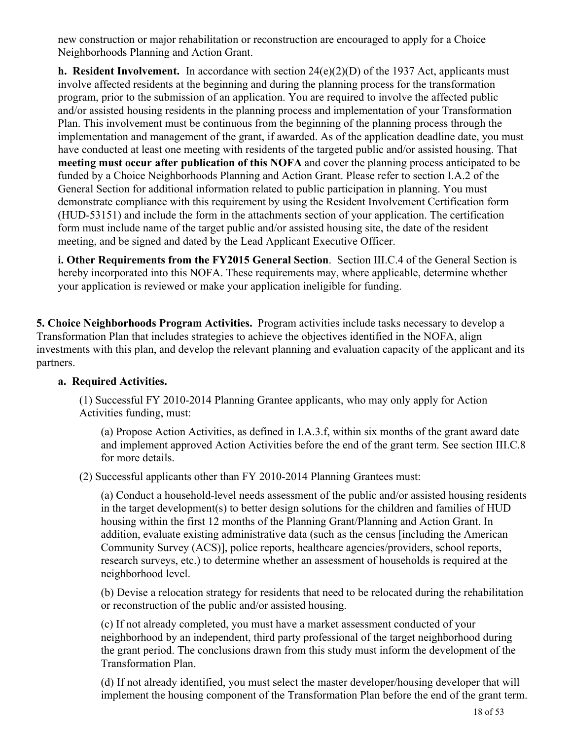new construction or major rehabilitation or reconstruction are encouraged to apply for a Choice Neighborhoods Planning and Action Grant.

**h. Resident Involvement.**  In accordance with section 24(e)(2)(D) of the 1937 Act, applicants must involve affected residents at the beginning and during the planning process for the transformation program, prior to the submission of an application. You are required to involve the affected public and/or assisted housing residents in the planning process and implementation of your Transformation Plan. This involvement must be continuous from the beginning of the planning process through the implementation and management of the grant, if awarded. As of the application deadline date, you must have conducted at least one meeting with residents of the targeted public and/or assisted housing. That **meeting must occur after publication of this NOFA** and cover the planning process anticipated to be funded by a Choice Neighborhoods Planning and Action Grant. Please refer to section I.A.2 of the General Section for additional information related to public participation in planning. You must demonstrate compliance with this requirement by using the Resident Involvement Certification form (HUD-53151) and include the form in the attachments section of your application. The certification form must include name of the target public and/or assisted housing site, the date of the resident meeting, and be signed and dated by the Lead Applicant Executive Officer.

**i. Other Requirements from the FY2015 General Section**. Section III.C.4 of the General Section is hereby incorporated into this NOFA. These requirements may, where applicable, determine whether your application is reviewed or make your application ineligible for funding.

**5. Choice Neighborhoods Program Activities.** Program activities include tasks necessary to develop a Transformation Plan that includes strategies to achieve the objectives identified in the NOFA, align investments with this plan, and develop the relevant planning and evaluation capacity of the applicant and its partners.

#### **a. Required Activities.**

(1) Successful FY 2010-2014 Planning Grantee applicants, who may only apply for Action Activities funding, must:

(a) Propose Action Activities, as defined in I.A.3.f, within six months of the grant award date and implement approved Action Activities before the end of the grant term. See section III.C.8 for more details.

(2) Successful applicants other than FY 2010-2014 Planning Grantees must:

(a) Conduct a household-level needs assessment of the public and/or assisted housing residents in the target development(s) to better design solutions for the children and families of HUD housing within the first 12 months of the Planning Grant/Planning and Action Grant. In addition, evaluate existing administrative data (such as the census [including the American Community Survey (ACS)], police reports, healthcare agencies/providers, school reports, research surveys, etc.) to determine whether an assessment of households is required at the neighborhood level.

(b) Devise a relocation strategy for residents that need to be relocated during the rehabilitation or reconstruction of the public and/or assisted housing.

(c) If not already completed, you must have a market assessment conducted of your neighborhood by an independent, third party professional of the target neighborhood during the grant period. The conclusions drawn from this study must inform the development of the Transformation Plan.

(d) If not already identified, you must select the master developer/housing developer that will implement the housing component of the Transformation Plan before the end of the grant term.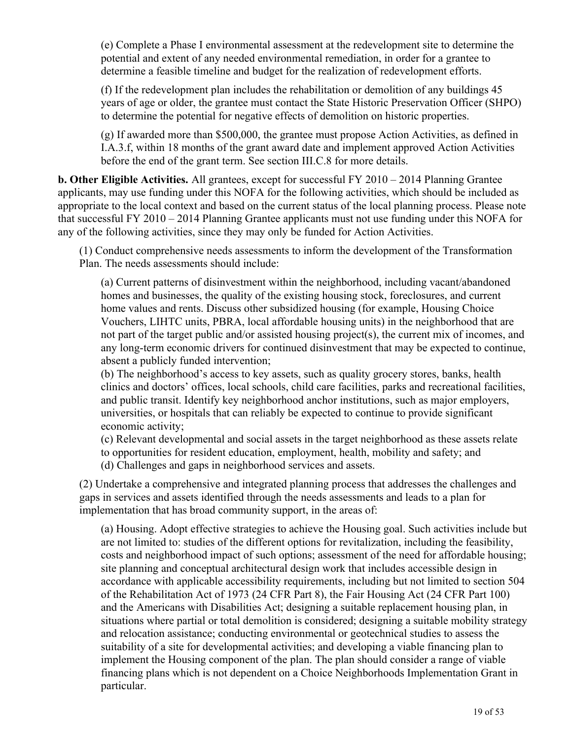(e) Complete a Phase I environmental assessment at the redevelopment site to determine the potential and extent of any needed environmental remediation, in order for a grantee to determine a feasible timeline and budget for the realization of redevelopment efforts.

(f) If the redevelopment plan includes the rehabilitation or demolition of any buildings 45 years of age or older, the grantee must contact the State Historic Preservation Officer (SHPO) to determine the potential for negative effects of demolition on historic properties.

(g) If awarded more than \$500,000, the grantee must propose Action Activities, as defined in I.A.3.f, within 18 months of the grant award date and implement approved Action Activities before the end of the grant term. See section III.C.8 for more details.

**b. Other Eligible Activities.** All grantees, except for successful FY 2010 – 2014 Planning Grantee applicants, may use funding under this NOFA for the following activities, which should be included as appropriate to the local context and based on the current status of the local planning process. Please note that successful FY 2010 – 2014 Planning Grantee applicants must not use funding under this NOFA for any of the following activities, since they may only be funded for Action Activities.

(1) Conduct comprehensive needs assessments to inform the development of the Transformation Plan. The needs assessments should include:

(a) Current patterns of disinvestment within the neighborhood, including vacant/abandoned homes and businesses, the quality of the existing housing stock, foreclosures, and current home values and rents. Discuss other subsidized housing (for example, Housing Choice Vouchers, LIHTC units, PBRA, local affordable housing units) in the neighborhood that are not part of the target public and/or assisted housing project(s), the current mix of incomes, and any long-term economic drivers for continued disinvestment that may be expected to continue, absent a publicly funded intervention;

(b) The neighborhood's access to key assets, such as quality grocery stores, banks, health clinics and doctors' offices, local schools, child care facilities, parks and recreational facilities, and public transit. Identify key neighborhood anchor institutions, such as major employers, universities, or hospitals that can reliably be expected to continue to provide significant economic activity;

(c) Relevant developmental and social assets in the target neighborhood as these assets relate to opportunities for resident education, employment, health, mobility and safety; and (d) Challenges and gaps in neighborhood services and assets.

(2) Undertake a comprehensive and integrated planning process that addresses the challenges and gaps in services and assets identified through the needs assessments and leads to a plan for implementation that has broad community support, in the areas of:

(a) Housing. Adopt effective strategies to achieve the Housing goal. Such activities include but are not limited to: studies of the different options for revitalization, including the feasibility, costs and neighborhood impact of such options; assessment of the need for affordable housing; site planning and conceptual architectural design work that includes accessible design in accordance with applicable accessibility requirements, including but not limited to section 504 of the Rehabilitation Act of 1973 (24 CFR Part 8), the Fair Housing Act (24 CFR Part 100) and the Americans with Disabilities Act; designing a suitable replacement housing plan, in situations where partial or total demolition is considered; designing a suitable mobility strategy and relocation assistance; conducting environmental or geotechnical studies to assess the suitability of a site for developmental activities; and developing a viable financing plan to implement the Housing component of the plan. The plan should consider a range of viable financing plans which is not dependent on a Choice Neighborhoods Implementation Grant in particular.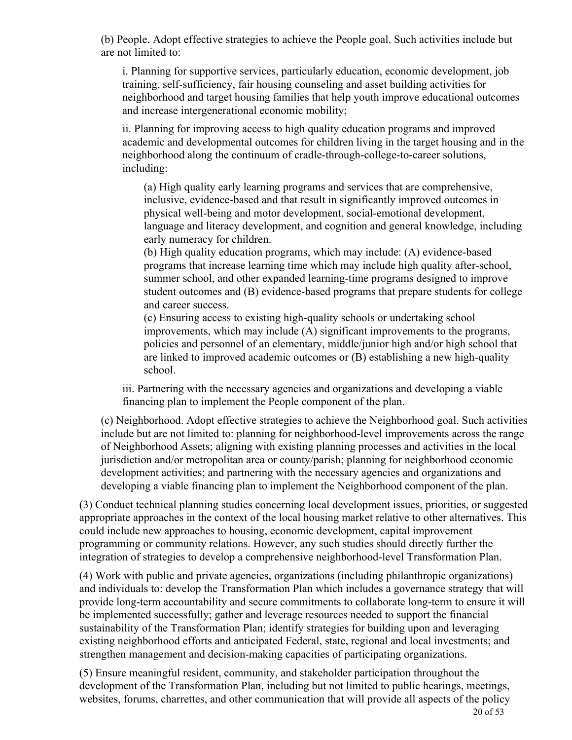(b) People. Adopt effective strategies to achieve the People goal. Such activities include but are not limited to:

i. Planning for supportive services, particularly education, economic development, job training, self-sufficiency, fair housing counseling and asset building activities for neighborhood and target housing families that help youth improve educational outcomes and increase intergenerational economic mobility;

ii. Planning for improving access to high quality education programs and improved academic and developmental outcomes for children living in the target housing and in the neighborhood along the continuum of cradle-through-college-to-career solutions, including:

(a) High quality early learning programs and services that are comprehensive, inclusive, evidence-based and that result in significantly improved outcomes in physical well-being and motor development, social-emotional development, language and literacy development, and cognition and general knowledge, including early numeracy for children.

(b) High quality education programs, which may include: (A) evidence-based programs that increase learning time which may include high quality after-school, summer school, and other expanded learning-time programs designed to improve student outcomes and (B) evidence-based programs that prepare students for college and career success.

(c) Ensuring access to existing high-quality schools or undertaking school improvements, which may include (A) significant improvements to the programs, policies and personnel of an elementary, middle/junior high and/or high school that are linked to improved academic outcomes or (B) establishing a new high-quality school.

iii. Partnering with the necessary agencies and organizations and developing a viable financing plan to implement the People component of the plan.

(c) Neighborhood. Adopt effective strategies to achieve the Neighborhood goal. Such activities include but are not limited to: planning for neighborhood-level improvements across the range of Neighborhood Assets; aligning with existing planning processes and activities in the local jurisdiction and/or metropolitan area or county/parish; planning for neighborhood economic development activities; and partnering with the necessary agencies and organizations and developing a viable financing plan to implement the Neighborhood component of the plan.

(3) Conduct technical planning studies concerning local development issues, priorities, or suggested appropriate approaches in the context of the local housing market relative to other alternatives. This could include new approaches to housing, economic development, capital improvement programming or community relations. However, any such studies should directly further the integration of strategies to develop a comprehensive neighborhood-level Transformation Plan.

(4) Work with public and private agencies, organizations (including philanthropic organizations) and individuals to: develop the Transformation Plan which includes a governance strategy that will provide long-term accountability and secure commitments to collaborate long-term to ensure it will be implemented successfully; gather and leverage resources needed to support the financial sustainability of the Transformation Plan; identify strategies for building upon and leveraging existing neighborhood efforts and anticipated Federal, state, regional and local investments; and strengthen management and decision-making capacities of participating organizations.

(5) Ensure meaningful resident, community, and stakeholder participation throughout the development of the Transformation Plan, including but not limited to public hearings, meetings, websites, forums, charrettes, and other communication that will provide all aspects of the policy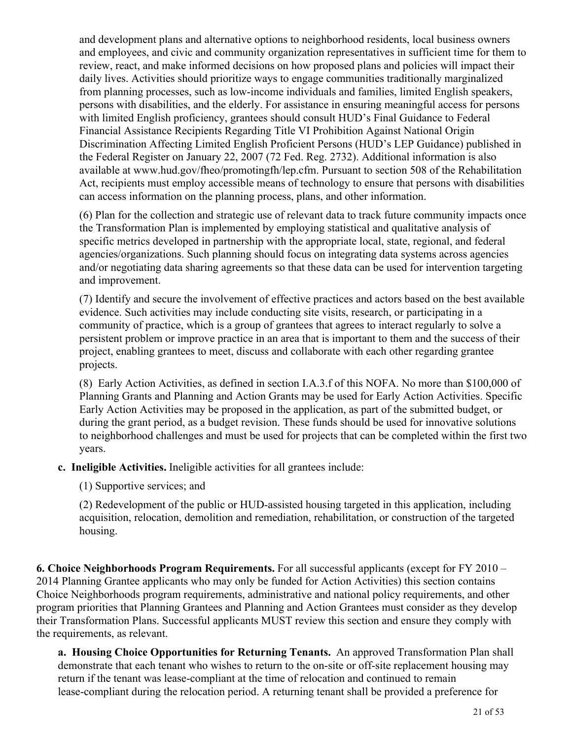and development plans and alternative options to neighborhood residents, local business owners and employees, and civic and community organization representatives in sufficient time for them to review, react, and make informed decisions on how proposed plans and policies will impact their daily lives. Activities should prioritize ways to engage communities traditionally marginalized from planning processes, such as low-income individuals and families, limited English speakers, persons with disabilities, and the elderly. For assistance in ensuring meaningful access for persons with limited English proficiency, grantees should consult HUD's Final Guidance to Federal Financial Assistance Recipients Regarding Title VI Prohibition Against National Origin Discrimination Affecting Limited English Proficient Persons (HUD's LEP Guidance) published in the Federal Register on January 22, 2007 (72 Fed. Reg. 2732). Additional information is also available at www.hud.gov/fheo/promotingfh/lep.cfm. Pursuant to section 508 of the Rehabilitation Act, recipients must employ accessible means of technology to ensure that persons with disabilities can access information on the planning process, plans, and other information.

(6) Plan for the collection and strategic use of relevant data to track future community impacts once the Transformation Plan is implemented by employing statistical and qualitative analysis of specific metrics developed in partnership with the appropriate local, state, regional, and federal agencies/organizations. Such planning should focus on integrating data systems across agencies and/or negotiating data sharing agreements so that these data can be used for intervention targeting and improvement.

(7) Identify and secure the involvement of effective practices and actors based on the best available evidence. Such activities may include conducting site visits, research, or participating in a community of practice, which is a group of grantees that agrees to interact regularly to solve a persistent problem or improve practice in an area that is important to them and the success of their project, enabling grantees to meet, discuss and collaborate with each other regarding grantee projects.

(8) Early Action Activities, as defined in section I.A.3.f of this NOFA. No more than \$100,000 of Planning Grants and Planning and Action Grants may be used for Early Action Activities. Specific Early Action Activities may be proposed in the application, as part of the submitted budget, or during the grant period, as a budget revision. These funds should be used for innovative solutions to neighborhood challenges and must be used for projects that can be completed within the first two years.

**c. Ineligible Activities.** Ineligible activities for all grantees include:

(1) Supportive services; and

(2) Redevelopment of the public or HUD-assisted housing targeted in this application, including acquisition, relocation, demolition and remediation, rehabilitation, or construction of the targeted housing.

**6. Choice Neighborhoods Program Requirements.** For all successful applicants (except for FY 2010 – 2014 Planning Grantee applicants who may only be funded for Action Activities) this section contains Choice Neighborhoods program requirements, administrative and national policy requirements, and other program priorities that Planning Grantees and Planning and Action Grantees must consider as they develop their Transformation Plans. Successful applicants MUST review this section and ensure they comply with the requirements, as relevant.

**a. Housing Choice Opportunities for Returning Tenants.** An approved Transformation Plan shall demonstrate that each tenant who wishes to return to the on-site or off-site replacement housing may return if the tenant was lease-compliant at the time of relocation and continued to remain lease-compliant during the relocation period. A returning tenant shall be provided a preference for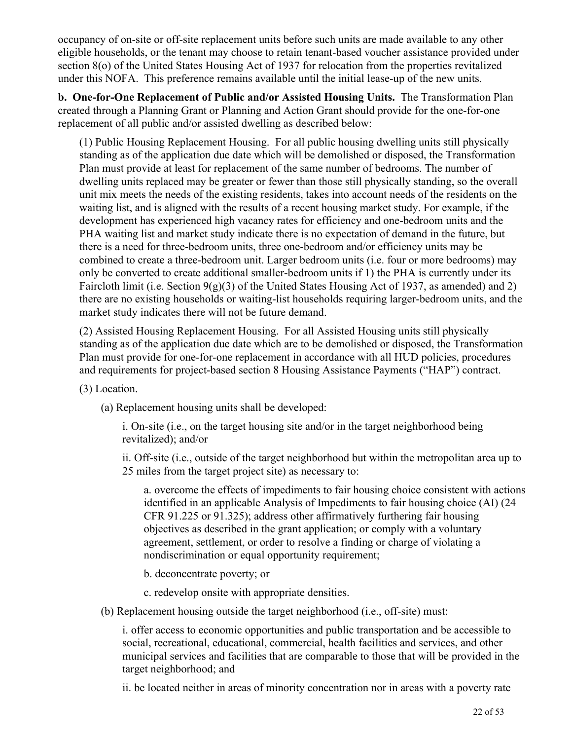occupancy of on-site or off-site replacement units before such units are made available to any other eligible households, or the tenant may choose to retain tenant-based voucher assistance provided under section 8(o) of the United States Housing Act of 1937 for relocation from the properties revitalized under this NOFA. This preference remains available until the initial lease-up of the new units.

**b. One-for-One Replacement of Public and/or Assisted Housing Units.** The Transformation Plan created through a Planning Grant or Planning and Action Grant should provide for the one-for-one replacement of all public and/or assisted dwelling as described below:

(1) Public Housing Replacement Housing. For all public housing dwelling units still physically standing as of the application due date which will be demolished or disposed, the Transformation Plan must provide at least for replacement of the same number of bedrooms. The number of dwelling units replaced may be greater or fewer than those still physically standing, so the overall unit mix meets the needs of the existing residents, takes into account needs of the residents on the waiting list, and is aligned with the results of a recent housing market study. For example, if the development has experienced high vacancy rates for efficiency and one-bedroom units and the PHA waiting list and market study indicate there is no expectation of demand in the future, but there is a need for three-bedroom units, three one-bedroom and/or efficiency units may be combined to create a three-bedroom unit. Larger bedroom units (i.e. four or more bedrooms) may only be converted to create additional smaller-bedroom units if 1) the PHA is currently under its Faircloth limit (i.e. Section 9(g)(3) of the United States Housing Act of 1937, as amended) and 2) there are no existing households or waiting-list households requiring larger-bedroom units, and the market study indicates there will not be future demand.

(2) Assisted Housing Replacement Housing. For all Assisted Housing units still physically standing as of the application due date which are to be demolished or disposed, the Transformation Plan must provide for one-for-one replacement in accordance with all HUD policies, procedures and requirements for project-based section 8 Housing Assistance Payments ("HAP") contract.

(3) Location.

(a) Replacement housing units shall be developed:

i. On-site (i.e., on the target housing site and/or in the target neighborhood being revitalized); and/or

ii. Off-site (i.e., outside of the target neighborhood but within the metropolitan area up to 25 miles from the target project site) as necessary to:

a. overcome the effects of impediments to fair housing choice consistent with actions identified in an applicable Analysis of Impediments to fair housing choice (AI) (24 CFR 91.225 or 91.325); address other affirmatively furthering fair housing objectives as described in the grant application; or comply with a voluntary agreement, settlement, or order to resolve a finding or charge of violating a nondiscrimination or equal opportunity requirement;

b. deconcentrate poverty; or

c. redevelop onsite with appropriate densities.

(b) Replacement housing outside the target neighborhood (i.e., off-site) must:

i. offer access to economic opportunities and public transportation and be accessible to social, recreational, educational, commercial, health facilities and services, and other municipal services and facilities that are comparable to those that will be provided in the target neighborhood; and

ii. be located neither in areas of minority concentration nor in areas with a poverty rate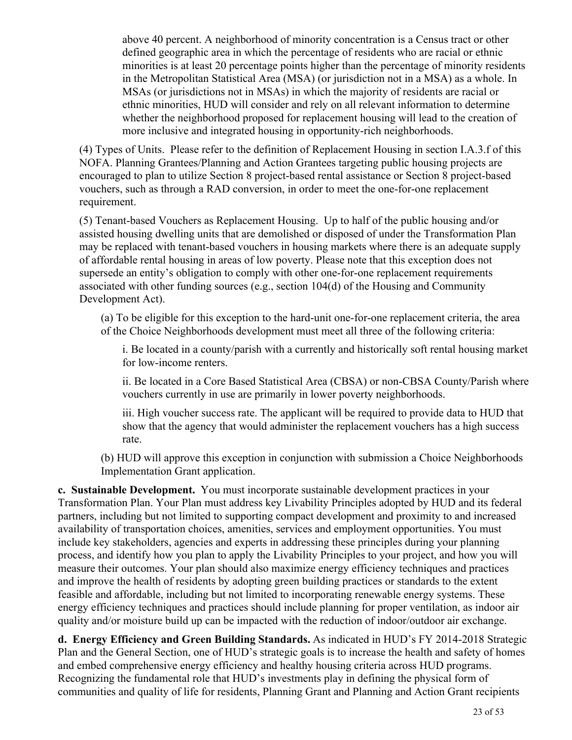above 40 percent. A neighborhood of minority concentration is a Census tract or other defined geographic area in which the percentage of residents who are racial or ethnic minorities is at least 20 percentage points higher than the percentage of minority residents in the Metropolitan Statistical Area (MSA) (or jurisdiction not in a MSA) as a whole. In MSAs (or jurisdictions not in MSAs) in which the majority of residents are racial or ethnic minorities, HUD will consider and rely on all relevant information to determine whether the neighborhood proposed for replacement housing will lead to the creation of more inclusive and integrated housing in opportunity-rich neighborhoods.

(4) Types of Units. Please refer to the definition of Replacement Housing in section I.A.3.f of this NOFA. Planning Grantees/Planning and Action Grantees targeting public housing projects are encouraged to plan to utilize Section 8 project-based rental assistance or Section 8 project-based vouchers, such as through a RAD conversion, in order to meet the one-for-one replacement requirement.

(5) Tenant-based Vouchers as Replacement Housing. Up to half of the public housing and/or assisted housing dwelling units that are demolished or disposed of under the Transformation Plan may be replaced with tenant-based vouchers in housing markets where there is an adequate supply of affordable rental housing in areas of low poverty. Please note that this exception does not supersede an entity's obligation to comply with other one-for-one replacement requirements associated with other funding sources (e.g., section 104(d) of the Housing and Community Development Act).

(a) To be eligible for this exception to the hard-unit one-for-one replacement criteria, the area of the Choice Neighborhoods development must meet all three of the following criteria:

i. Be located in a county/parish with a currently and historically soft rental housing market for low-income renters.

ii. Be located in a Core Based Statistical Area (CBSA) or non-CBSA County/Parish where vouchers currently in use are primarily in lower poverty neighborhoods.

iii. High voucher success rate. The applicant will be required to provide data to HUD that show that the agency that would administer the replacement vouchers has a high success rate.

(b) HUD will approve this exception in conjunction with submission a Choice Neighborhoods Implementation Grant application.

**c. Sustainable Development.** You must incorporate sustainable development practices in your Transformation Plan. Your Plan must address key Livability Principles adopted by HUD and its federal partners, including but not limited to supporting compact development and proximity to and increased availability of transportation choices, amenities, services and employment opportunities. You must include key stakeholders, agencies and experts in addressing these principles during your planning process, and identify how you plan to apply the Livability Principles to your project, and how you will measure their outcomes. Your plan should also maximize energy efficiency techniques and practices and improve the health of residents by adopting green building practices or standards to the extent feasible and affordable, including but not limited to incorporating renewable energy systems. These energy efficiency techniques and practices should include planning for proper ventilation, as indoor air quality and/or moisture build up can be impacted with the reduction of indoor/outdoor air exchange.

**d. Energy Efficiency and Green Building Standards.** As indicated in HUD's FY 2014-2018 Strategic Plan and the General Section, one of HUD's strategic goals is to increase the health and safety of homes and embed comprehensive energy efficiency and healthy housing criteria across HUD programs. Recognizing the fundamental role that HUD's investments play in defining the physical form of communities and quality of life for residents, Planning Grant and Planning and Action Grant recipients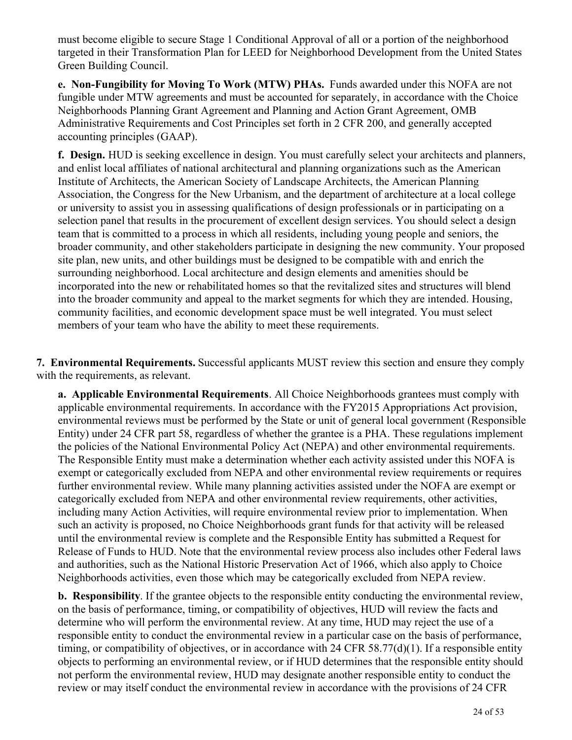must become eligible to secure Stage 1 Conditional Approval of all or a portion of the neighborhood targeted in their Transformation Plan for LEED for Neighborhood Development from the United States Green Building Council.

**e. Non-Fungibility for Moving To Work (MTW) PHAs.** Funds awarded under this NOFA are not fungible under MTW agreements and must be accounted for separately, in accordance with the Choice Neighborhoods Planning Grant Agreement and Planning and Action Grant Agreement, OMB Administrative Requirements and Cost Principles set forth in 2 CFR 200, and generally accepted accounting principles (GAAP).

**f. Design.** HUD is seeking excellence in design. You must carefully select your architects and planners, and enlist local affiliates of national architectural and planning organizations such as the American Institute of Architects, the American Society of Landscape Architects, the American Planning Association, the Congress for the New Urbanism, and the department of architecture at a local college or university to assist you in assessing qualifications of design professionals or in participating on a selection panel that results in the procurement of excellent design services. You should select a design team that is committed to a process in which all residents, including young people and seniors, the broader community, and other stakeholders participate in designing the new community. Your proposed site plan, new units, and other buildings must be designed to be compatible with and enrich the surrounding neighborhood. Local architecture and design elements and amenities should be incorporated into the new or rehabilitated homes so that the revitalized sites and structures will blend into the broader community and appeal to the market segments for which they are intended. Housing, community facilities, and economic development space must be well integrated. You must select members of your team who have the ability to meet these requirements.

**7. Environmental Requirements.** Successful applicants MUST review this section and ensure they comply with the requirements, as relevant.

**a. Applicable Environmental Requirements**. All Choice Neighborhoods grantees must comply with applicable environmental requirements. In accordance with the FY2015 Appropriations Act provision, environmental reviews must be performed by the State or unit of general local government (Responsible Entity) under 24 CFR part 58, regardless of whether the grantee is a PHA. These regulations implement the policies of the National Environmental Policy Act (NEPA) and other environmental requirements. The Responsible Entity must make a determination whether each activity assisted under this NOFA is exempt or categorically excluded from NEPA and other environmental review requirements or requires further environmental review. While many planning activities assisted under the NOFA are exempt or categorically excluded from NEPA and other environmental review requirements, other activities, including many Action Activities, will require environmental review prior to implementation. When such an activity is proposed, no Choice Neighborhoods grant funds for that activity will be released until the environmental review is complete and the Responsible Entity has submitted a Request for Release of Funds to HUD. Note that the environmental review process also includes other Federal laws and authorities, such as the National Historic Preservation Act of 1966, which also apply to Choice Neighborhoods activities, even those which may be categorically excluded from NEPA review.

**b. Responsibility**. If the grantee objects to the responsible entity conducting the environmental review, on the basis of performance, timing, or compatibility of objectives, HUD will review the facts and determine who will perform the environmental review. At any time, HUD may reject the use of a responsible entity to conduct the environmental review in a particular case on the basis of performance, timing, or compatibility of objectives, or in accordance with 24 CFR 58.77(d)(1). If a responsible entity objects to performing an environmental review, or if HUD determines that the responsible entity should not perform the environmental review, HUD may designate another responsible entity to conduct the review or may itself conduct the environmental review in accordance with the provisions of 24 CFR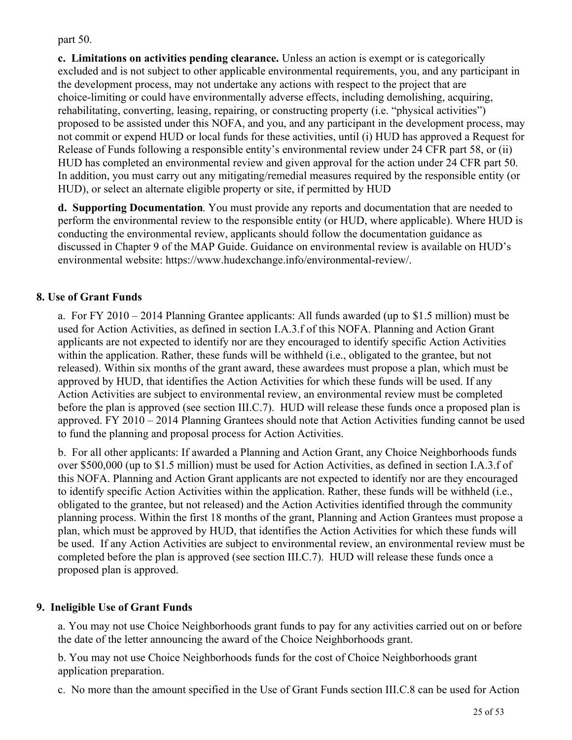part 50.

**c. Limitations on activities pending clearance.** Unless an action is exempt or is categorically excluded and is not subject to other applicable environmental requirements, you, and any participant in the development process, may not undertake any actions with respect to the project that are choice-limiting or could have environmentally adverse effects, including demolishing, acquiring, rehabilitating, converting, leasing, repairing, or constructing property (i.e. "physical activities") proposed to be assisted under this NOFA, and you, and any participant in the development process, may not commit or expend HUD or local funds for these activities, until (i) HUD has approved a Request for Release of Funds following a responsible entity's environmental review under 24 CFR part 58, or (ii) HUD has completed an environmental review and given approval for the action under 24 CFR part 50. In addition, you must carry out any mitigating/remedial measures required by the responsible entity (or HUD), or select an alternate eligible property or site, if permitted by HUD

**d. Supporting Documentation**. You must provide any reports and documentation that are needed to perform the environmental review to the responsible entity (or HUD, where applicable). Where HUD is conducting the environmental review, applicants should follow the documentation guidance as discussed in Chapter 9 of the MAP Guide. Guidance on environmental review is available on HUD's environmental website: https://www.hudexchange.info/environmental-review/.

## **8. Use of Grant Funds**

a. For FY 2010 – 2014 Planning Grantee applicants: All funds awarded (up to \$1.5 million) must be used for Action Activities, as defined in section I.A.3.f of this NOFA. Planning and Action Grant applicants are not expected to identify nor are they encouraged to identify specific Action Activities within the application. Rather, these funds will be withheld (i.e., obligated to the grantee, but not released). Within six months of the grant award, these awardees must propose a plan, which must be approved by HUD, that identifies the Action Activities for which these funds will be used. If any Action Activities are subject to environmental review, an environmental review must be completed before the plan is approved (see section III.C.7). HUD will release these funds once a proposed plan is approved. FY 2010 – 2014 Planning Grantees should note that Action Activities funding cannot be used to fund the planning and proposal process for Action Activities.

b. For all other applicants: If awarded a Planning and Action Grant, any Choice Neighborhoods funds over \$500,000 (up to \$1.5 million) must be used for Action Activities, as defined in section I.A.3.f of this NOFA. Planning and Action Grant applicants are not expected to identify nor are they encouraged to identify specific Action Activities within the application. Rather, these funds will be withheld (i.e., obligated to the grantee, but not released) and the Action Activities identified through the community planning process. Within the first 18 months of the grant, Planning and Action Grantees must propose a plan, which must be approved by HUD, that identifies the Action Activities for which these funds will be used. If any Action Activities are subject to environmental review, an environmental review must be completed before the plan is approved (see section III.C.7). HUD will release these funds once a proposed plan is approved.

## **9. Ineligible Use of Grant Funds**

a. You may not use Choice Neighborhoods grant funds to pay for any activities carried out on or before the date of the letter announcing the award of the Choice Neighborhoods grant.

b. You may not use Choice Neighborhoods funds for the cost of Choice Neighborhoods grant application preparation.

c. No more than the amount specified in the Use of Grant Funds section III.C.8 can be used for Action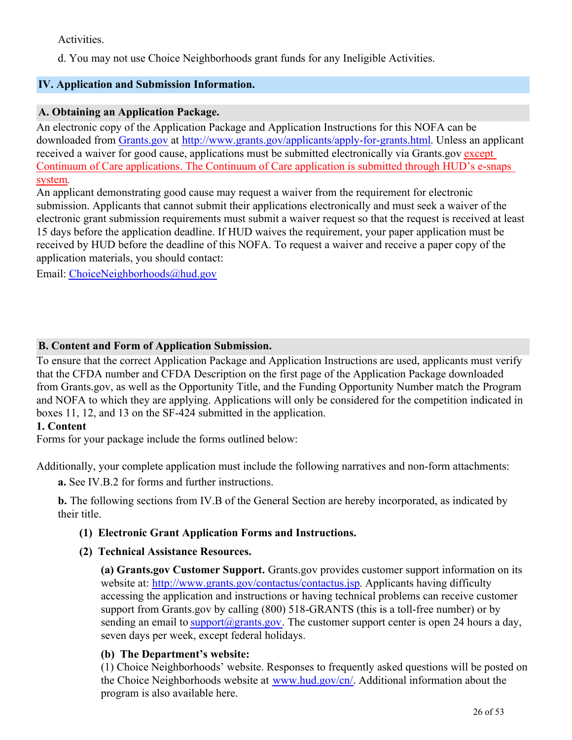Activities.

d. You may not use Choice Neighborhoods grant funds for any Ineligible Activities.

## <span id="page-27-0"></span>**IV. Application and Submission Information.**

### **A. Obtaining an Application Package.**

An electronic copy of the Application Package and Application Instructions for this NOFA can be downloaded from [Grants.gov](http://www.grants.gov/applicants/apply-for-grants.html) at <http://www.grants.gov/applicants/apply-for-grants.html>. Unless an applicant received a waiver for good cause, applications must be submitted electronically via Grants.gov except Continuum of Care applications. The Continuum of Care application is submitted through HUD's e-snaps system.

An applicant demonstrating good cause may request a waiver from the requirement for electronic submission. Applicants that cannot submit their applications electronically and must seek a waiver of the electronic grant submission requirements must submit a waiver request so that the request is received at least 15 days before the application deadline. If HUD waives the requirement, your paper application must be received by HUD before the deadline of this NOFA. To request a waiver and receive a paper copy of the application materials, you should contact:

Email: [ChoiceNeighborhoods@hud.gov](mailto:ChoiceNeighborhoods@hud.gov)

## **B. Content and Form of Application Submission.**

To ensure that the correct Application Package and Application Instructions are used, applicants must verify that the CFDA number and CFDA Description on the first page of the Application Package downloaded from Grants.gov, as well as the Opportunity Title, and the Funding Opportunity Number match the Program and NOFA to which they are applying. Applications will only be considered for the competition indicated in boxes 11, 12, and 13 on the SF-424 submitted in the application.

#### **1. Content**

Forms for your package include the forms outlined below:

Additionally, your complete application must include the following narratives and non-form attachments:

**a.** See IV.B.2 for forms and further instructions.

**b.** The following sections from IV.B of the General Section are hereby incorporated, as indicated by their title.

## **(1) Electronic Grant Application Forms and Instructions.**

## **(2) Technical Assistance Resources.**

**(a) Grants.gov Customer Support.** Grants.gov provides customer support information on its website at: <http://www.grants.gov/contactus/contactus.jsp>. Applicants having difficulty accessing the application and instructions or having technical problems can receive customer support from Grants.gov by calling (800) 518-GRANTS (this is a toll-free number) or by sending an email to [support@grants.gov](mailto:support@grants.gov). The customer support center is open 24 hours a day, seven days per week, except federal holidays.

## **(b) The Department's website:**

(1) Choice Neighborhoods' website. Responses to frequently asked questions will be posted on the Choice Neighborhoods website at [www.hud.gov/cn/](http://www.hud.gov/cn/). Additional information about the program is also available here.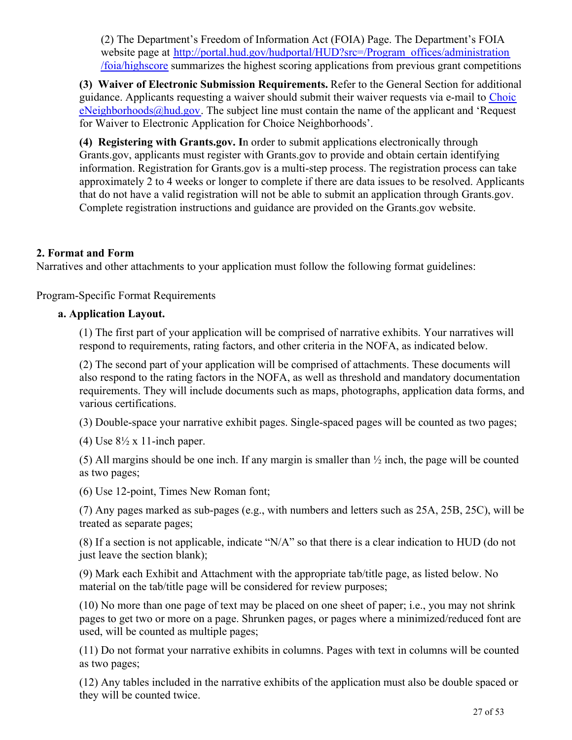(2) The Department's Freedom of Information Act (FOIA) Page. The Department's FOIA website page at [http://portal.hud.gov/hudportal/HUD?src=/Program\\_offices/administration](http://portal.hud.gov/hudportal/HUD?src=/Program_offices/administration/foia/highscore) [/foia/highscore](http://portal.hud.gov/hudportal/HUD?src=/Program_offices/administration/foia/highscore) summarizes the highest scoring applications from previous grant competitions

**(3) Waiver of Electronic Submission Requirements.** Refer to the General Section for additional guidance. Applicants requesting a waiver should submit their waiver requests via e-mail to [Choic](mailto:ChoiceNeighborhoods@hud.gov)  $eNeighbourhoods@hud.gov$ . The subject line must contain the name of the applicant and 'Request for Waiver to Electronic Application for Choice Neighborhoods'.

**(4) Registering with Grants.gov. I**n order to submit applications electronically through Grants.gov, applicants must register with Grants.gov to provide and obtain certain identifying information. Registration for Grants.gov is a multi-step process. The registration process can take approximately 2 to 4 weeks or longer to complete if there are data issues to be resolved. Applicants that do not have a valid registration will not be able to submit an application through Grants.gov. Complete registration instructions and guidance are provided on the Grants.gov website.

## **2. Format and Form**

Narratives and other attachments to your application must follow the following format guidelines:

Program-Specific Format Requirements

#### **a. Application Layout.**

(1) The first part of your application will be comprised of narrative exhibits. Your narratives will respond to requirements, rating factors, and other criteria in the NOFA, as indicated below.

(2) The second part of your application will be comprised of attachments. These documents will also respond to the rating factors in the NOFA, as well as threshold and mandatory documentation requirements. They will include documents such as maps, photographs, application data forms, and various certifications.

(3) Double-space your narrative exhibit pages. Single-spaced pages will be counted as two pages;

(4) Use  $8\frac{1}{2}$  x 11-inch paper.

(5) All margins should be one inch. If any margin is smaller than  $\frac{1}{2}$  inch, the page will be counted as two pages;

(6) Use 12-point, Times New Roman font;

(7) Any pages marked as sub-pages (e.g., with numbers and letters such as 25A, 25B, 25C), will be treated as separate pages;

(8) If a section is not applicable, indicate "N/A" so that there is a clear indication to HUD (do not just leave the section blank);

(9) Mark each Exhibit and Attachment with the appropriate tab/title page, as listed below. No material on the tab/title page will be considered for review purposes;

(10) No more than one page of text may be placed on one sheet of paper; i.e., you may not shrink pages to get two or more on a page. Shrunken pages, or pages where a minimized/reduced font are used, will be counted as multiple pages;

(11) Do not format your narrative exhibits in columns. Pages with text in columns will be counted as two pages;

(12) Any tables included in the narrative exhibits of the application must also be double spaced or they will be counted twice.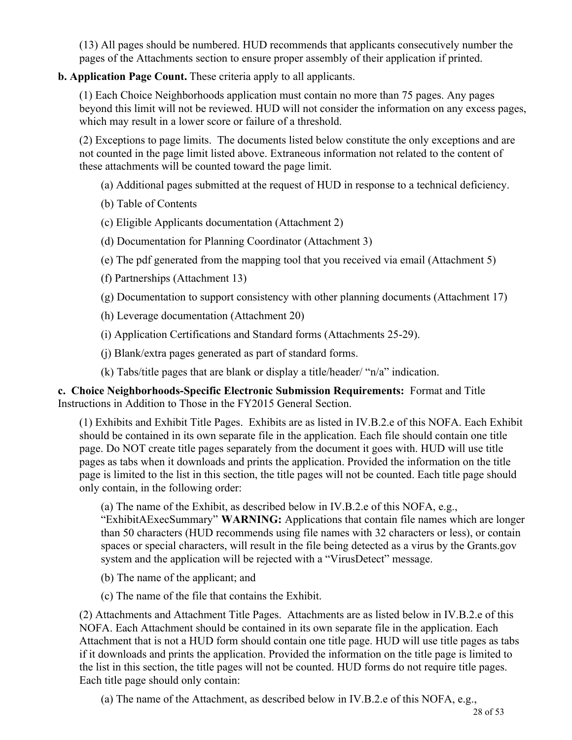(13) All pages should be numbered. HUD recommends that applicants consecutively number the pages of the Attachments section to ensure proper assembly of their application if printed.

## **b. Application Page Count.** These criteria apply to all applicants.

(1) Each Choice Neighborhoods application must contain no more than 75 pages. Any pages beyond this limit will not be reviewed. HUD will not consider the information on any excess pages, which may result in a lower score or failure of a threshold.

(2) Exceptions to page limits. The documents listed below constitute the only exceptions and are not counted in the page limit listed above. Extraneous information not related to the content of these attachments will be counted toward the page limit.

(a) Additional pages submitted at the request of HUD in response to a technical deficiency.

(b) Table of Contents

(c) Eligible Applicants documentation (Attachment 2)

(d) Documentation for Planning Coordinator (Attachment 3)

- (e) The pdf generated from the mapping tool that you received via email (Attachment 5)
- (f) Partnerships (Attachment 13)
- (g) Documentation to support consistency with other planning documents (Attachment 17)

(h) Leverage documentation (Attachment 20)

- (i) Application Certifications and Standard forms (Attachments 25-29).
- (j) Blank/extra pages generated as part of standard forms.
- (k) Tabs/title pages that are blank or display a title/header/ "n/a" indication.

**c. Choice Neighborhoods-Specific Electronic Submission Requirements:** Format and Title Instructions in Addition to Those in the FY2015 General Section.

(1) Exhibits and Exhibit Title Pages. Exhibits are as listed in IV.B.2.e of this NOFA. Each Exhibit should be contained in its own separate file in the application. Each file should contain one title page. Do NOT create title pages separately from the document it goes with. HUD will use title pages as tabs when it downloads and prints the application. Provided the information on the title page is limited to the list in this section, the title pages will not be counted. Each title page should only contain, in the following order:

(a) The name of the Exhibit, as described below in IV.B.2.e of this NOFA, e.g.,

"ExhibitAExecSummary" **WARNING:** Applications that contain file names which are longer than 50 characters (HUD recommends using file names with 32 characters or less), or contain spaces or special characters, will result in the file being detected as a virus by the Grants.gov system and the application will be rejected with a "VirusDetect" message.

- (b) The name of the applicant; and
- (c) The name of the file that contains the Exhibit.

(2) Attachments and Attachment Title Pages. Attachments are as listed below in IV.B.2.e of this NOFA. Each Attachment should be contained in its own separate file in the application. Each Attachment that is not a HUD form should contain one title page. HUD will use title pages as tabs if it downloads and prints the application. Provided the information on the title page is limited to the list in this section, the title pages will not be counted. HUD forms do not require title pages. Each title page should only contain:

(a) The name of the Attachment, as described below in IV.B.2.e of this NOFA, e.g.,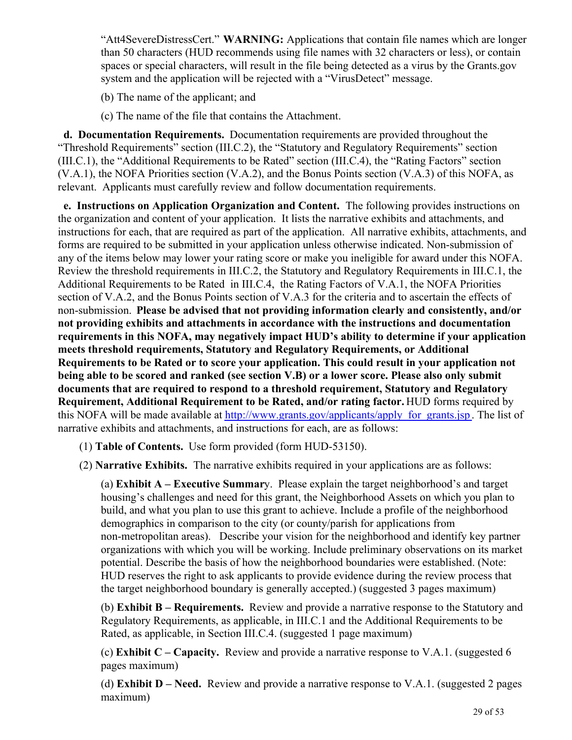"Att4SevereDistressCert." **WARNING:** Applications that contain file names which are longer than 50 characters (HUD recommends using file names with 32 characters or less), or contain spaces or special characters, will result in the file being detected as a virus by the Grants.gov system and the application will be rejected with a "VirusDetect" message.

- (b) The name of the applicant; and
- (c) The name of the file that contains the Attachment.

 **d. Documentation Requirements.** Documentation requirements are provided throughout the "Threshold Requirements" section (III.C.2), the "Statutory and Regulatory Requirements" section (III.C.1), the "Additional Requirements to be Rated" section (III.C.4), the "Rating Factors" section (V.A.1), the NOFA Priorities section (V.A.2), and the Bonus Points section (V.A.3) of this NOFA, as relevant. Applicants must carefully review and follow documentation requirements.

 **e. Instructions on Application Organization and Content.** The following provides instructions on the organization and content of your application. It lists the narrative exhibits and attachments, and instructions for each, that are required as part of the application. All narrative exhibits, attachments, and forms are required to be submitted in your application unless otherwise indicated. Non-submission of any of the items below may lower your rating score or make you ineligible for award under this NOFA. Review the threshold requirements in III.C.2, the Statutory and Regulatory Requirements in III.C.1, the Additional Requirements to be Rated in III.C.4, the Rating Factors of V.A.1, the NOFA Priorities section of V.A.2, and the Bonus Points section of V.A.3 for the criteria and to ascertain the effects of non-submission. **Please be advised that not providing information clearly and consistently, and/or not providing exhibits and attachments in accordance with the instructions and documentation requirements in this NOFA, may negatively impact HUD's ability to determine if your application meets threshold requirements, Statutory and Regulatory Requirements, or Additional Requirements to be Rated or to score your application. This could result in your application not being able to be scored and ranked (see section V.B) or a lower score. Please also only submit documents that are required to respond to a threshold requirement, Statutory and Regulatory Requirement, Additional Requirement to be Rated, and/or rating factor.** HUD forms required by this NOFA will be made available at http://www.grants.gov/applicants/apply for grants.jsp. The list of narrative exhibits and attachments, and instructions for each, are as follows:

- (1) **Table of Contents.** Use form provided (form HUD-53150).
- (2) **Narrative Exhibits.** The narrative exhibits required in your applications are as follows:

(a) **Exhibit A – Executive Summar**y. Please explain the target neighborhood's and target housing's challenges and need for this grant, the Neighborhood Assets on which you plan to build, and what you plan to use this grant to achieve. Include a profile of the neighborhood demographics in comparison to the city (or county/parish for applications from non-metropolitan areas). Describe your vision for the neighborhood and identify key partner organizations with which you will be working. Include preliminary observations on its market potential. Describe the basis of how the neighborhood boundaries were established. (Note: HUD reserves the right to ask applicants to provide evidence during the review process that the target neighborhood boundary is generally accepted.) (suggested 3 pages maximum)

(b) **Exhibit B – Requirements.** Review and provide a narrative response to the Statutory and Regulatory Requirements, as applicable, in III.C.1 and the Additional Requirements to be Rated, as applicable, in Section III.C.4. (suggested 1 page maximum)

(c) **Exhibit C – Capacity.** Review and provide a narrative response to V.A.1. (suggested 6 pages maximum)

(d) **Exhibit D – Need.** Review and provide a narrative response to V.A.1. (suggested 2 pages maximum)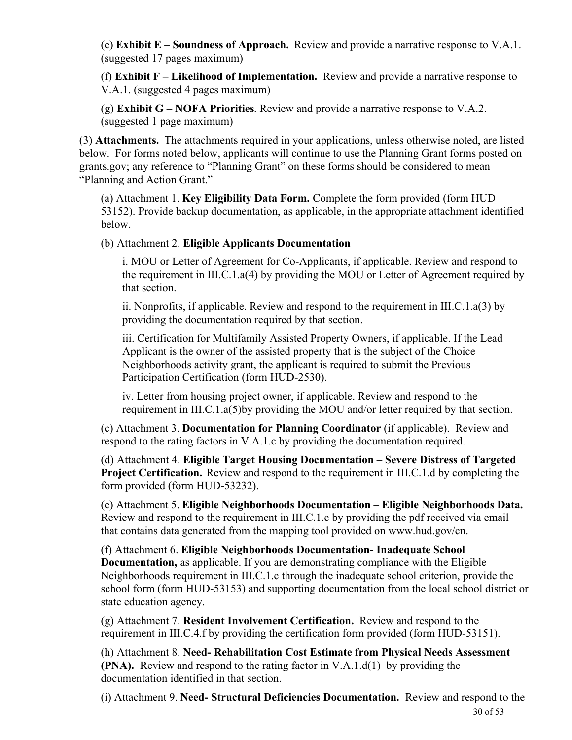(e) **Exhibit E – Soundness of Approach.** Review and provide a narrative response to V.A.1. (suggested 17 pages maximum)

(f) **Exhibit F – Likelihood of Implementation.**  Review and provide a narrative response to V.A.1. (suggested 4 pages maximum)

(g) **Exhibit G – NOFA Priorities**. Review and provide a narrative response to V.A.2. (suggested 1 page maximum)

(3) **Attachments.** The attachments required in your applications, unless otherwise noted, are listed below. For forms noted below, applicants will continue to use the Planning Grant forms posted on grants.gov; any reference to "Planning Grant" on these forms should be considered to mean "Planning and Action Grant."

(a) Attachment 1. **Key Eligibility Data Form.** Complete the form provided (form HUD 53152). Provide backup documentation, as applicable, in the appropriate attachment identified below.

(b) Attachment 2. **Eligible Applicants Documentation**

i. MOU or Letter of Agreement for Co-Applicants, if applicable. Review and respond to the requirement in III.C.1.a(4) by providing the MOU or Letter of Agreement required by that section.

ii. Nonprofits, if applicable. Review and respond to the requirement in III.C.1.a(3) by providing the documentation required by that section.

iii. Certification for Multifamily Assisted Property Owners, if applicable. If the Lead Applicant is the owner of the assisted property that is the subject of the Choice Neighborhoods activity grant, the applicant is required to submit the Previous Participation Certification (form HUD-2530).

iv. Letter from housing project owner, if applicable. Review and respond to the requirement in III.C.1.a(5)by providing the MOU and/or letter required by that section.

(c) Attachment 3. **Documentation for Planning Coordinator** (if applicable). Review and respond to the rating factors in V.A.1.c by providing the documentation required.

(d) Attachment 4. **Eligible Target Housing Documentation – Severe Distress of Targeted Project Certification.** Review and respond to the requirement in III.C.1.d by completing the form provided (form HUD-53232).

(e) Attachment 5. **Eligible Neighborhoods Documentation – Eligible Neighborhoods Data.** Review and respond to the requirement in III.C.1.c by providing the pdf received via email that contains data generated from the mapping tool provided on www.hud.gov/cn.

(f) Attachment 6. **Eligible Neighborhoods Documentation- Inadequate School Documentation,** as applicable. If you are demonstrating compliance with the Eligible Neighborhoods requirement in III.C.1.c through the inadequate school criterion, provide the school form (form HUD-53153) and supporting documentation from the local school district or state education agency.

(g) Attachment 7. **Resident Involvement Certification.** Review and respond to the requirement in III.C.4.f by providing the certification form provided (form HUD-53151).

(h) Attachment 8. **Need- Rehabilitation Cost Estimate from Physical Needs Assessment (PNA).** Review and respond to the rating factor in V.A.1.d(1) by providing the documentation identified in that section.

(i) Attachment 9. **Need- Structural Deficiencies Documentation.** Review and respond to the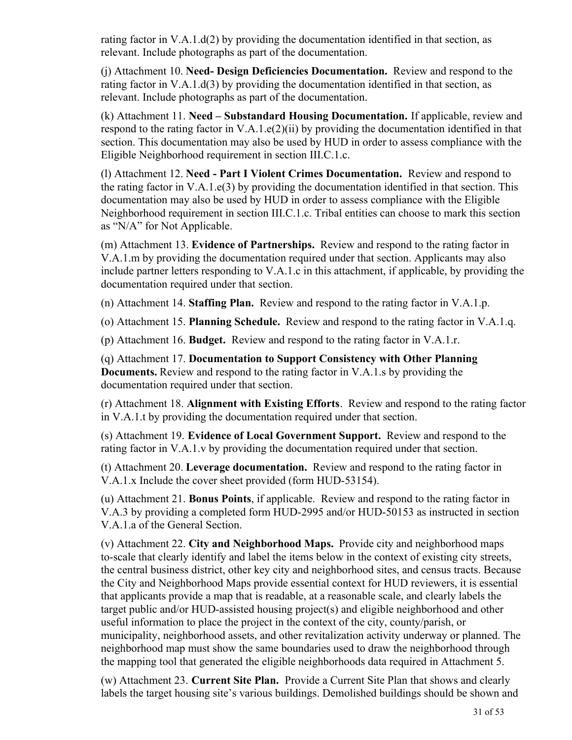rating factor in V.A.1.d(2) by providing the documentation identified in that section, as relevant. Include photographs as part of the documentation.

(j) Attachment 10. **Need- Design Deficiencies Documentation.** Review and respond to the rating factor in V.A.1.d(3) by providing the documentation identified in that section, as relevant. Include photographs as part of the documentation.

(k) Attachment 11. **Need – Substandard Housing Documentation.** If applicable, review and respond to the rating factor in V.A.1.e(2)(ii) by providing the documentation identified in that section. This documentation may also be used by HUD in order to assess compliance with the Eligible Neighborhood requirement in section III.C.1.c.

(l) Attachment 12. **Need - Part I Violent Crimes Documentation.** Review and respond to the rating factor in V.A.1.e(3) by providing the documentation identified in that section. This documentation may also be used by HUD in order to assess compliance with the Eligible Neighborhood requirement in section III.C.1.c. Tribal entities can choose to mark this section as "N/A" for Not Applicable.

(m) Attachment 13. **Evidence of Partnerships.** Review and respond to the rating factor in V.A.1.m by providing the documentation required under that section. Applicants may also include partner letters responding to V.A.1.c in this attachment, if applicable, by providing the documentation required under that section.

(n) Attachment 14. **Staffing Plan.** Review and respond to the rating factor in V.A.1.p.

(o) Attachment 15. **Planning Schedule.** Review and respond to the rating factor in V.A.1.q.

(p) Attachment 16. **Budget.** Review and respond to the rating factor in V.A.1.r.

(q) Attachment 17. **Documentation to Support Consistency with Other Planning Documents.** Review and respond to the rating factor in V.A.1.s by providing the documentation required under that section.

(r) Attachment 18. **Alignment with Existing Efforts**. Review and respond to the rating factor in V.A.1.t by providing the documentation required under that section.

(s) Attachment 19. **Evidence of Local Government Support.** Review and respond to the rating factor in V.A.1.v by providing the documentation required under that section.

(t) Attachment 20. **Leverage documentation.** Review and respond to the rating factor in V.A.1.x Include the cover sheet provided (form HUD-53154).

(u) Attachment 21. **Bonus Points**, if applicable. Review and respond to the rating factor in V.A.3 by providing a completed form HUD-2995 and/or HUD-50153 as instructed in section V.A.1.a of the General Section.

(v) Attachment 22. **City and Neighborhood Maps.** Provide city and neighborhood maps to-scale that clearly identify and label the items below in the context of existing city streets, the central business district, other key city and neighborhood sites, and census tracts. Because the City and Neighborhood Maps provide essential context for HUD reviewers, it is essential that applicants provide a map that is readable, at a reasonable scale, and clearly labels the target public and/or HUD-assisted housing project(s) and eligible neighborhood and other useful information to place the project in the context of the city, county/parish, or municipality, neighborhood assets, and other revitalization activity underway or planned. The neighborhood map must show the same boundaries used to draw the neighborhood through the mapping tool that generated the eligible neighborhoods data required in Attachment 5.

(w) Attachment 23. **Current Site Plan.**  Provide a Current Site Plan that shows and clearly labels the target housing site's various buildings. Demolished buildings should be shown and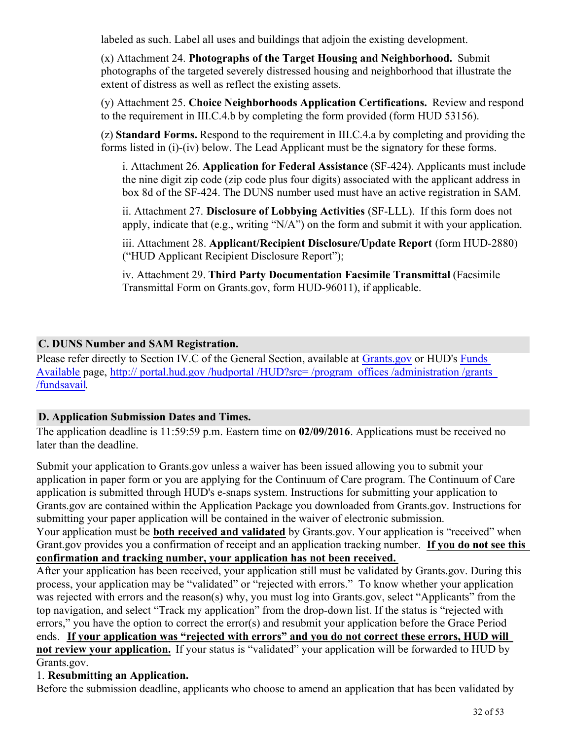labeled as such. Label all uses and buildings that adjoin the existing development.

(x) Attachment 24. **Photographs of the Target Housing and Neighborhood.** Submit photographs of the targeted severely distressed housing and neighborhood that illustrate the extent of distress as well as reflect the existing assets.

(y) Attachment 25. **Choice Neighborhoods Application Certifications.** Review and respond to the requirement in III.C.4.b by completing the form provided (form HUD 53156).

(z) **Standard Forms.** Respond to the requirement in III.C.4.a by completing and providing the forms listed in (i)-(iv) below. The Lead Applicant must be the signatory for these forms.

i. Attachment 26. **Application for Federal Assistance** (SF-424). Applicants must include the nine digit zip code (zip code plus four digits) associated with the applicant address in box 8d of the SF-424. The DUNS number used must have an active registration in SAM.

ii. Attachment 27. **Disclosure of Lobbying Activities** (SF-LLL). If this form does not apply, indicate that (e.g., writing "N/A") on the form and submit it with your application.

iii. Attachment 28. **Applicant/Recipient Disclosure/Update Report** (form HUD-2880) ("HUD Applicant Recipient Disclosure Report");

iv. Attachment 29. **Third Party Documentation Facsimile Transmittal** (Facsimile Transmittal Form on Grants.gov, form HUD-96011), if applicable.

## **C. DUNS Number and SAM Registration.**

Please refer directly to Section IV.C of the General Section, available at [Grants.gov](http://www.grants.gov) or HUD's [Funds](http://portal.hud.gov/hudportal/HUD?src=/program_offices/administration/grants/fundsavail) [Available](http://portal.hud.gov/hudportal/HUD?src=/program_offices/administration/grants/fundsavail) page, http:// portal.hud.gov/hudportal/HUD?src=/program\_offices/administration/grants [/fundsavail](http://portal.hud.gov/hudportal/HUD?src=/program_offices/administration/grants/fundsavail).

## **D. Application Submission Dates and Times.**

The application deadline is 11:59:59 p.m. Eastern time on **02/09/2016**. Applications must be received no later than the deadline.

Submit your application to Grants.gov unless a waiver has been issued allowing you to submit your application in paper form or you are applying for the Continuum of Care program. The Continuum of Care application is submitted through HUD's e-snaps system. Instructions for submitting your application to Grants.gov are contained within the Application Package you downloaded from Grants.gov. Instructions for submitting your paper application will be contained in the waiver of electronic submission.

Your application must be **both received and validated** by Grants.gov. Your application is "received" when Grant.gov provides you a confirmation of receipt and an application tracking number. **If you do not see this confirmation and tracking number, your application has not been received.** 

After your application has been received, your application still must be validated by Grants.gov. During this process, your application may be "validated" or "rejected with errors." To know whether your application was rejected with errors and the reason(s) why, you must log into Grants.gov, select "Applicants" from the top navigation, and select "Track my application" from the drop-down list. If the status is "rejected with errors," you have the option to correct the error(s) and resubmit your application before the Grace Period ends. **If your application was "rejected with errors" and you do not correct these errors, HUD will not review your application.** If your status is "validated" your application will be forwarded to HUD by Grants.gov.

## 1. **Resubmitting an Application.**

Before the submission deadline, applicants who choose to amend an application that has been validated by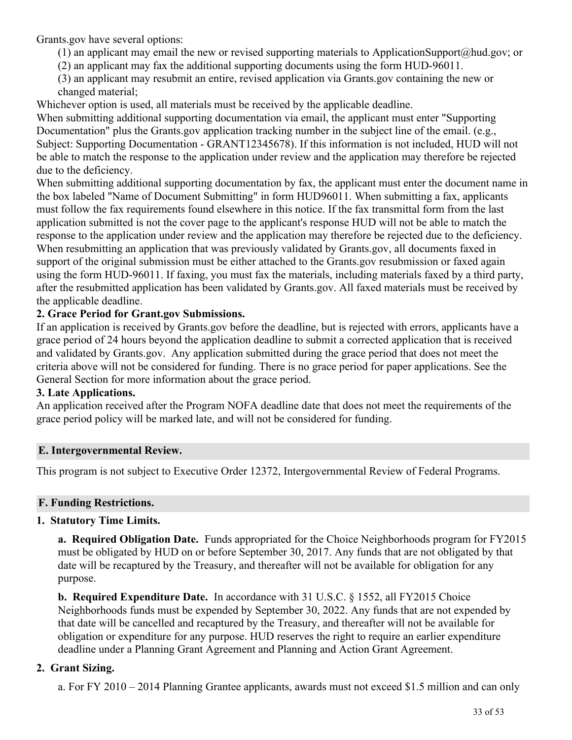Grants.gov have several options:

- (1) an applicant may email the new or revised supporting materials to ApplicationSupport@hud.gov; or
- (2) an applicant may fax the additional supporting documents using the form HUD-96011.
- (3) an applicant may resubmit an entire, revised application via Grants.gov containing the new or changed material;

Whichever option is used, all materials must be received by the applicable deadline.

When submitting additional supporting documentation via email, the applicant must enter "Supporting Documentation" plus the Grants.gov application tracking number in the subject line of the email. (e.g., Subject: Supporting Documentation - GRANT12345678). If this information is not included, HUD will not be able to match the response to the application under review and the application may therefore be rejected due to the deficiency.

When submitting additional supporting documentation by fax, the applicant must enter the document name in the box labeled "Name of Document Submitting" in form HUD96011. When submitting a fax, applicants must follow the fax requirements found elsewhere in this notice. If the fax transmittal form from the last application submitted is not the cover page to the applicant's response HUD will not be able to match the response to the application under review and the application may therefore be rejected due to the deficiency. When resubmitting an application that was previously validated by Grants.gov, all documents faxed in support of the original submission must be either attached to the Grants.gov resubmission or faxed again using the form HUD-96011. If faxing, you must fax the materials, including materials faxed by a third party, after the resubmitted application has been validated by Grants.gov. All faxed materials must be received by the applicable deadline.

## **2. Grace Period for Grant.gov Submissions.**

If an application is received by Grants.gov before the deadline, but is rejected with errors, applicants have a grace period of 24 hours beyond the application deadline to submit a corrected application that is received and validated by Grants.gov. Any application submitted during the grace period that does not meet the criteria above will not be considered for funding. There is no grace period for paper applications. See the General Section for more information about the grace period.

## **3. Late Applications.**

An application received after the Program NOFA deadline date that does not meet the requirements of the grace period policy will be marked late, and will not be considered for funding.

## **E. Intergovernmental Review.**

This program is not subject to Executive Order 12372, Intergovernmental Review of Federal Programs.

## **F. Funding Restrictions.**

## **1. Statutory Time Limits.**

**a. Required Obligation Date.** Funds appropriated for the Choice Neighborhoods program for FY2015 must be obligated by HUD on or before September 30, 2017. Any funds that are not obligated by that date will be recaptured by the Treasury, and thereafter will not be available for obligation for any purpose.

**b. Required Expenditure Date.** In accordance with 31 U.S.C. § 1552, all FY2015 Choice Neighborhoods funds must be expended by September 30, 2022. Any funds that are not expended by that date will be cancelled and recaptured by the Treasury, and thereafter will not be available for obligation or expenditure for any purpose. HUD reserves the right to require an earlier expenditure deadline under a Planning Grant Agreement and Planning and Action Grant Agreement.

## **2. Grant Sizing.**

a. For FY 2010 – 2014 Planning Grantee applicants, awards must not exceed \$1.5 million and can only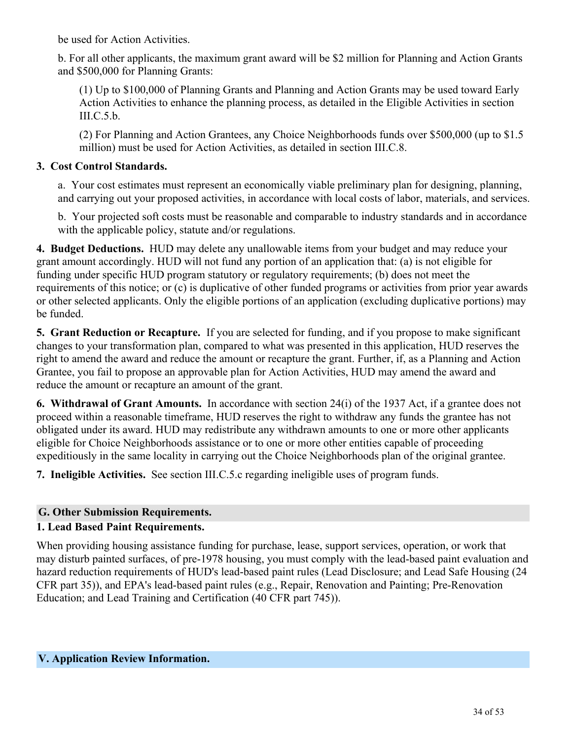be used for Action Activities.

b. For all other applicants, the maximum grant award will be \$2 million for Planning and Action Grants and \$500,000 for Planning Grants:

(1) Up to \$100,000 of Planning Grants and Planning and Action Grants may be used toward Early Action Activities to enhance the planning process, as detailed in the Eligible Activities in section III.C.5.b.

(2) For Planning and Action Grantees, any Choice Neighborhoods funds over \$500,000 (up to \$1.5 million) must be used for Action Activities, as detailed in section III.C.8.

### **3. Cost Control Standards.**

a. Your cost estimates must represent an economically viable preliminary plan for designing, planning, and carrying out your proposed activities, in accordance with local costs of labor, materials, and services.

b. Your projected soft costs must be reasonable and comparable to industry standards and in accordance with the applicable policy, statute and/or regulations.

**4. Budget Deductions.** HUD may delete any unallowable items from your budget and may reduce your grant amount accordingly. HUD will not fund any portion of an application that: (a) is not eligible for funding under specific HUD program statutory or regulatory requirements; (b) does not meet the requirements of this notice; or (c) is duplicative of other funded programs or activities from prior year awards or other selected applicants. Only the eligible portions of an application (excluding duplicative portions) may be funded.

**5. Grant Reduction or Recapture.**  If you are selected for funding, and if you propose to make significant changes to your transformation plan, compared to what was presented in this application, HUD reserves the right to amend the award and reduce the amount or recapture the grant. Further, if, as a Planning and Action Grantee, you fail to propose an approvable plan for Action Activities, HUD may amend the award and reduce the amount or recapture an amount of the grant.

**6. Withdrawal of Grant Amounts.** In accordance with section 24(i) of the 1937 Act, if a grantee does not proceed within a reasonable timeframe, HUD reserves the right to withdraw any funds the grantee has not obligated under its award. HUD may redistribute any withdrawn amounts to one or more other applicants eligible for Choice Neighborhoods assistance or to one or more other entities capable of proceeding expeditiously in the same locality in carrying out the Choice Neighborhoods plan of the original grantee.

**7. Ineligible Activities.** See section III.C.5.c regarding ineligible uses of program funds.

## **G. Other Submission Requirements.**

## **1. Lead Based Paint Requirements.**

<span id="page-35-0"></span>When providing housing assistance funding for purchase, lease, support services, operation, or work that may disturb painted surfaces, of pre-1978 housing, you must comply with the lead-based paint evaluation and hazard reduction requirements of HUD's lead-based paint rules (Lead Disclosure; and Lead Safe Housing (24 CFR part 35)), and EPA's lead-based paint rules (e.g., Repair, Renovation and Painting; Pre-Renovation Education; and Lead Training and Certification (40 CFR part 745)).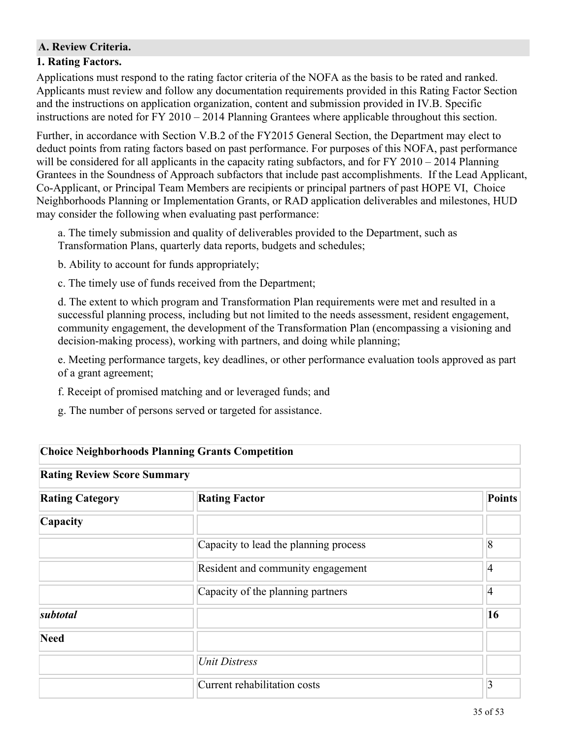### **A. Review Criteria.**

#### **1. Rating Factors.**

Applications must respond to the rating factor criteria of the NOFA as the basis to be rated and ranked. Applicants must review and follow any documentation requirements provided in this Rating Factor Section and the instructions on application organization, content and submission provided in IV.B. Specific instructions are noted for FY 2010 – 2014 Planning Grantees where applicable throughout this section.

Further, in accordance with Section V.B.2 of the FY2015 General Section, the Department may elect to deduct points from rating factors based on past performance. For purposes of this NOFA, past performance will be considered for all applicants in the capacity rating subfactors, and for FY 2010 – 2014 Planning Grantees in the Soundness of Approach subfactors that include past accomplishments. If the Lead Applicant, Co-Applicant, or Principal Team Members are recipients or principal partners of past HOPE VI, Choice Neighborhoods Planning or Implementation Grants, or RAD application deliverables and milestones, HUD may consider the following when evaluating past performance:

a. The timely submission and quality of deliverables provided to the Department, such as Transformation Plans, quarterly data reports, budgets and schedules;

b. Ability to account for funds appropriately;

c. The timely use of funds received from the Department;

d. The extent to which program and Transformation Plan requirements were met and resulted in a successful planning process, including but not limited to the needs assessment, resident engagement, community engagement, the development of the Transformation Plan (encompassing a visioning and decision-making process), working with partners, and doing while planning;

e. Meeting performance targets, key deadlines, or other performance evaluation tools approved as part of a grant agreement;

- f. Receipt of promised matching and or leveraged funds; and
- g. The number of persons served or targeted for assistance.

| <b>Choice Neighborhoods Planning Grants Competition</b> |                                       |                |
|---------------------------------------------------------|---------------------------------------|----------------|
| <b>Rating Review Score Summary</b>                      |                                       |                |
| <b>Rating Category</b>                                  | <b>Rating Factor</b>                  | <b>Points</b>  |
| Capacity                                                |                                       |                |
|                                                         | Capacity to lead the planning process | 8              |
|                                                         | Resident and community engagement     | 4              |
|                                                         | Capacity of the planning partners     | $\overline{4}$ |
| subtotal                                                |                                       | 16             |
| <b>Need</b>                                             |                                       |                |
|                                                         | <b>Unit Distress</b>                  |                |
|                                                         | Current rehabilitation costs          | 3              |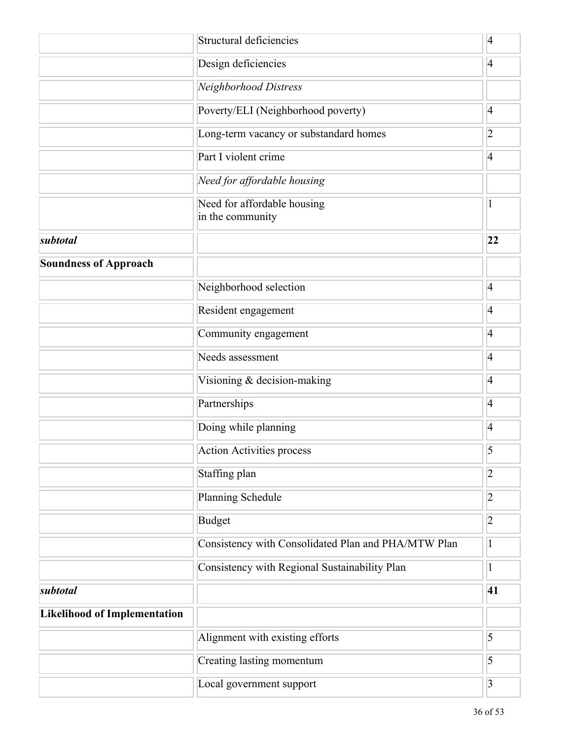|                                     | Structural deficiencies                             |                         |
|-------------------------------------|-----------------------------------------------------|-------------------------|
|                                     | Design deficiencies                                 | $\overline{4}$          |
|                                     | Neighborhood Distress                               |                         |
|                                     | Poverty/ELI (Neighborhood poverty)                  | $\overline{4}$          |
|                                     | Long-term vacancy or substandard homes              | $ 2\rangle$             |
|                                     | Part I violent crime                                | $\overline{4}$          |
|                                     | Need for affordable housing                         |                         |
|                                     | Need for affordable housing<br>in the community     | 1                       |
| subtotal                            |                                                     | 22                      |
| <b>Soundness of Approach</b>        |                                                     |                         |
|                                     | Neighborhood selection                              | $\overline{4}$          |
|                                     | Resident engagement                                 | $\vert 4 \vert$         |
|                                     | Community engagement                                | $\overline{4}$          |
|                                     | Needs assessment                                    | $\overline{4}$          |
|                                     | Visioning & decision-making                         | $\overline{4}$          |
|                                     | Partnerships                                        | $\vert 4 \vert$         |
|                                     | Doing while planning                                | $\overline{4}$          |
|                                     | <b>Action Activities process</b>                    | 5                       |
|                                     | Staffing plan                                       | $\overline{2}$          |
|                                     | <b>Planning Schedule</b>                            | $\overline{2}$          |
|                                     | <b>Budget</b>                                       | $\overline{2}$          |
|                                     | Consistency with Consolidated Plan and PHA/MTW Plan | $\mathbf{1}$            |
|                                     | Consistency with Regional Sustainability Plan       | $\mathbf{1}$            |
| subtotal                            |                                                     | 41                      |
| <b>Likelihood of Implementation</b> |                                                     |                         |
|                                     | Alignment with existing efforts                     | 5                       |
|                                     | Creating lasting momentum                           | 5                       |
|                                     | Local government support                            | $\overline{\mathbf{3}}$ |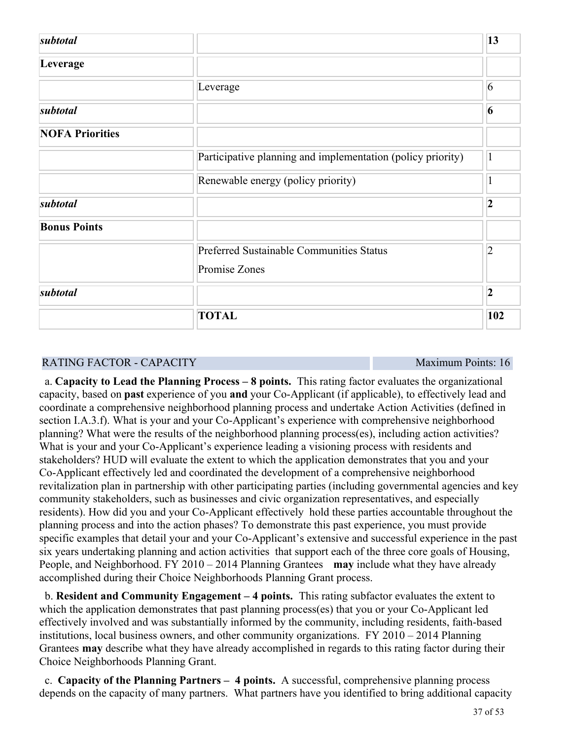| subtotal               |                                                             | 13             |
|------------------------|-------------------------------------------------------------|----------------|
| Leverage               |                                                             |                |
|                        | Leverage                                                    | 6              |
| subtotal               |                                                             | 6              |
| <b>NOFA Priorities</b> |                                                             |                |
|                        | Participative planning and implementation (policy priority) | 1              |
|                        | Renewable energy (policy priority)                          | 1              |
| subtotal               |                                                             | $\overline{2}$ |
| <b>Bonus Points</b>    |                                                             |                |
|                        | Preferred Sustainable Communities Status                    | $\overline{2}$ |
|                        | Promise Zones                                               |                |
| subtotal               |                                                             | $\overline{2}$ |
|                        | <b>TOTAL</b>                                                | 102            |

#### RATING FACTOR - CAPACITY **Maximum Points: 16**

 a. **Capacity to Lead the Planning Process – 8 points.** This rating factor evaluates the organizational capacity, based on **past** experience of you **and** your Co-Applicant (if applicable), to effectively lead and coordinate a comprehensive neighborhood planning process and undertake Action Activities (defined in section I.A.3.f). What is your and your Co-Applicant's experience with comprehensive neighborhood planning? What were the results of the neighborhood planning process(es), including action activities? What is your and your Co-Applicant's experience leading a visioning process with residents and stakeholders? HUD will evaluate the extent to which the application demonstrates that you and your Co-Applicant effectively led and coordinated the development of a comprehensive neighborhood revitalization plan in partnership with other participating parties (including governmental agencies and key community stakeholders, such as businesses and civic organization representatives, and especially residents). How did you and your Co-Applicant effectively hold these parties accountable throughout the planning process and into the action phases? To demonstrate this past experience, you must provide specific examples that detail your and your Co-Applicant's extensive and successful experience in the past six years undertaking planning and action activities that support each of the three core goals of Housing, People, and Neighborhood. FY 2010 – 2014 Planning Grantees **may** include what they have already accomplished during their Choice Neighborhoods Planning Grant process.

 b. **Resident and Community Engagement – 4 points.**  This rating subfactor evaluates the extent to which the application demonstrates that past planning process(es) that you or your Co-Applicant led effectively involved and was substantially informed by the community, including residents, faith-based institutions, local business owners, and other community organizations. FY 2010 – 2014 Planning Grantees **may** describe what they have already accomplished in regards to this rating factor during their Choice Neighborhoods Planning Grant.

 c. **Capacity of the Planning Partners – 4 points.** A successful, comprehensive planning process depends on the capacity of many partners. What partners have you identified to bring additional capacity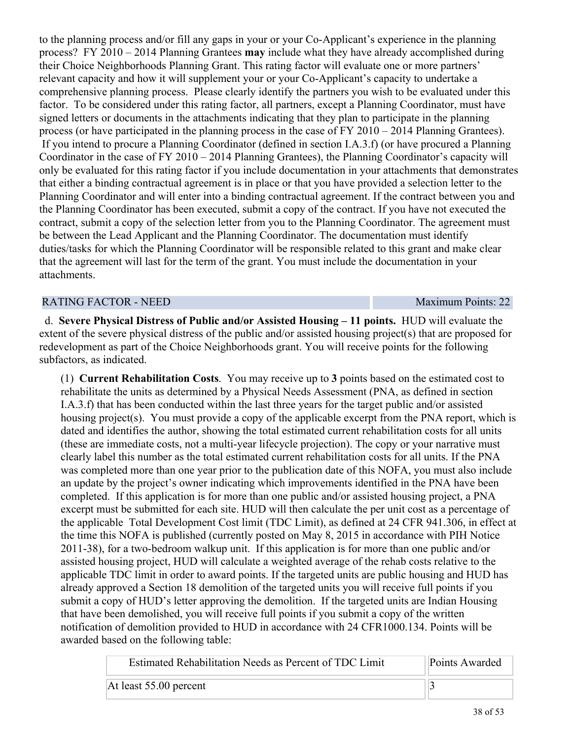to the planning process and/or fill any gaps in your or your Co-Applicant's experience in the planning process? FY 2010 – 2014 Planning Grantees **may** include what they have already accomplished during their Choice Neighborhoods Planning Grant. This rating factor will evaluate one or more partners' relevant capacity and how it will supplement your or your Co-Applicant's capacity to undertake a comprehensive planning process. Please clearly identify the partners you wish to be evaluated under this factor. To be considered under this rating factor, all partners, except a Planning Coordinator, must have signed letters or documents in the attachments indicating that they plan to participate in the planning process (or have participated in the planning process in the case of FY 2010 – 2014 Planning Grantees). If you intend to procure a Planning Coordinator (defined in section I.A.3.f) (or have procured a Planning Coordinator in the case of FY 2010 – 2014 Planning Grantees), the Planning Coordinator's capacity will only be evaluated for this rating factor if you include documentation in your attachments that demonstrates that either a binding contractual agreement is in place or that you have provided a selection letter to the Planning Coordinator and will enter into a binding contractual agreement. If the contract between you and the Planning Coordinator has been executed, submit a copy of the contract. If you have not executed the contract, submit a copy of the selection letter from you to the Planning Coordinator. The agreement must be between the Lead Applicant and the Planning Coordinator. The documentation must identify duties/tasks for which the Planning Coordinator will be responsible related to this grant and make clear that the agreement will last for the term of the grant. You must include the documentation in your attachments.

#### RATING FACTOR - NEED Maximum Points: 22

 d. **Severe Physical Distress of Public and/or Assisted Housing – 11 points.** HUD will evaluate the extent of the severe physical distress of the public and/or assisted housing project(s) that are proposed for redevelopment as part of the Choice Neighborhoods grant. You will receive points for the following subfactors, as indicated.

(1) **Current Rehabilitation Costs**. You may receive up to **3** points based on the estimated cost to rehabilitate the units as determined by a Physical Needs Assessment (PNA, as defined in section I.A.3.f) that has been conducted within the last three years for the target public and/or assisted housing project(s). You must provide a copy of the applicable excerpt from the PNA report, which is dated and identifies the author, showing the total estimated current rehabilitation costs for all units (these are immediate costs, not a multi-year lifecycle projection). The copy or your narrative must clearly label this number as the total estimated current rehabilitation costs for all units. If the PNA was completed more than one year prior to the publication date of this NOFA, you must also include an update by the project's owner indicating which improvements identified in the PNA have been completed. If this application is for more than one public and/or assisted housing project, a PNA excerpt must be submitted for each site. HUD will then calculate the per unit cost as a percentage of the applicable Total Development Cost limit (TDC Limit), as defined at 24 CFR 941.306, in effect at the time this NOFA is published (currently posted on May 8, 2015 in accordance with PIH Notice 2011-38), for a two-bedroom walkup unit. If this application is for more than one public and/or assisted housing project, HUD will calculate a weighted average of the rehab costs relative to the applicable TDC limit in order to award points. If the targeted units are public housing and HUD has already approved a Section 18 demolition of the targeted units you will receive full points if you submit a copy of HUD's letter approving the demolition. If the targeted units are Indian Housing that have been demolished, you will receive full points if you submit a copy of the written notification of demolition provided to HUD in accordance with 24 CFR1000.134. Points will be awarded based on the following table:

| Estimated Rehabilitation Needs as Percent of TDC Limit | Points Awarded |
|--------------------------------------------------------|----------------|
| At least 55.00 percent                                 |                |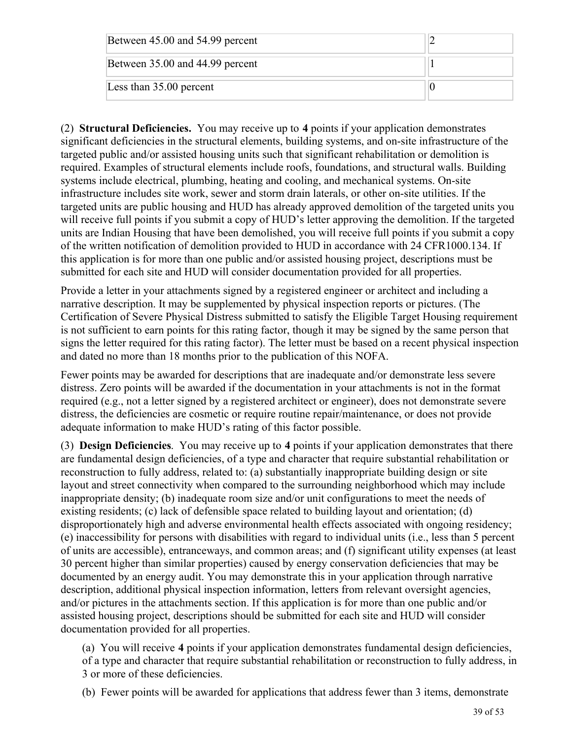| Between 45.00 and 54.99 percent |  |
|---------------------------------|--|
| Between 35.00 and 44.99 percent |  |
| Less than 35.00 percent         |  |

(2) **Structural Deficiencies.** You may receive up to **4** points if your application demonstrates significant deficiencies in the structural elements, building systems, and on-site infrastructure of the targeted public and/or assisted housing units such that significant rehabilitation or demolition is required. Examples of structural elements include roofs, foundations, and structural walls. Building systems include electrical, plumbing, heating and cooling, and mechanical systems. On-site infrastructure includes site work, sewer and storm drain laterals, or other on-site utilities. If the targeted units are public housing and HUD has already approved demolition of the targeted units you will receive full points if you submit a copy of HUD's letter approving the demolition. If the targeted units are Indian Housing that have been demolished, you will receive full points if you submit a copy of the written notification of demolition provided to HUD in accordance with 24 CFR1000.134. If this application is for more than one public and/or assisted housing project, descriptions must be submitted for each site and HUD will consider documentation provided for all properties.

Provide a letter in your attachments signed by a registered engineer or architect and including a narrative description. It may be supplemented by physical inspection reports or pictures. (The Certification of Severe Physical Distress submitted to satisfy the Eligible Target Housing requirement is not sufficient to earn points for this rating factor, though it may be signed by the same person that signs the letter required for this rating factor). The letter must be based on a recent physical inspection and dated no more than 18 months prior to the publication of this NOFA.

Fewer points may be awarded for descriptions that are inadequate and/or demonstrate less severe distress. Zero points will be awarded if the documentation in your attachments is not in the format required (e.g., not a letter signed by a registered architect or engineer), does not demonstrate severe distress, the deficiencies are cosmetic or require routine repair/maintenance, or does not provide adequate information to make HUD's rating of this factor possible.

(3) **Design Deficiencies**. You may receive up to **4** points if your application demonstrates that there are fundamental design deficiencies, of a type and character that require substantial rehabilitation or reconstruction to fully address, related to: (a) substantially inappropriate building design or site layout and street connectivity when compared to the surrounding neighborhood which may include inappropriate density; (b) inadequate room size and/or unit configurations to meet the needs of existing residents; (c) lack of defensible space related to building layout and orientation; (d) disproportionately high and adverse environmental health effects associated with ongoing residency; (e) inaccessibility for persons with disabilities with regard to individual units (i.e., less than 5 percent of units are accessible), entranceways, and common areas; and (f) significant utility expenses (at least 30 percent higher than similar properties) caused by energy conservation deficiencies that may be documented by an energy audit. You may demonstrate this in your application through narrative description, additional physical inspection information, letters from relevant oversight agencies, and/or pictures in the attachments section. If this application is for more than one public and/or assisted housing project, descriptions should be submitted for each site and HUD will consider documentation provided for all properties.

(a) You will receive **4** points if your application demonstrates fundamental design deficiencies, of a type and character that require substantial rehabilitation or reconstruction to fully address, in 3 or more of these deficiencies.

(b) Fewer points will be awarded for applications that address fewer than 3 items, demonstrate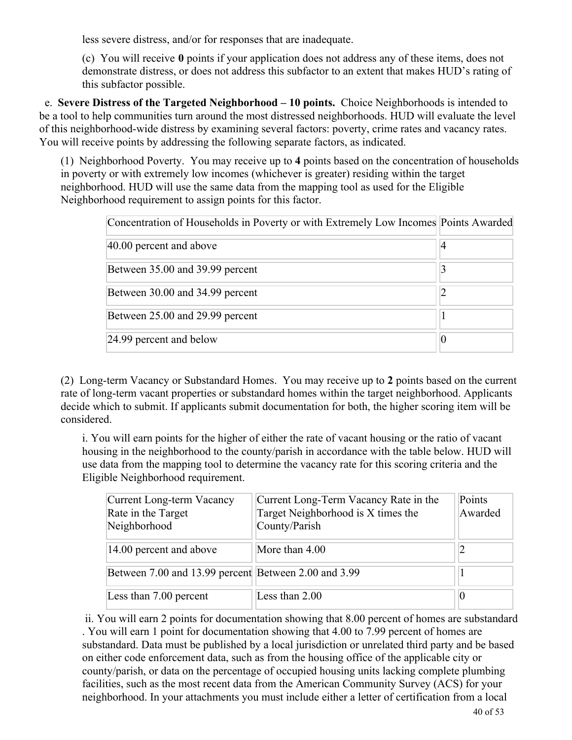less severe distress, and/or for responses that are inadequate.

(c) You will receive **0** points if your application does not address any of these items, does not demonstrate distress, or does not address this subfactor to an extent that makes HUD's rating of this subfactor possible.

 e. **Severe Distress of the Targeted Neighborhood – 10 points.** Choice Neighborhoods is intended to be a tool to help communities turn around the most distressed neighborhoods. HUD will evaluate the level of this neighborhood-wide distress by examining several factors: poverty, crime rates and vacancy rates. You will receive points by addressing the following separate factors, as indicated.

(1) Neighborhood Poverty. You may receive up to **4** points based on the concentration of households in poverty or with extremely low incomes (whichever is greater) residing within the target neighborhood. HUD will use the same data from the mapping tool as used for the Eligible Neighborhood requirement to assign points for this factor.

| Concentration of Households in Poverty or with Extremely Low Incomes Points Awarded |    |
|-------------------------------------------------------------------------------------|----|
| 40.00 percent and above                                                             | 14 |
| Between 35.00 and 39.99 percent                                                     |    |
| Between 30.00 and 34.99 percent                                                     |    |
| Between 25.00 and 29.99 percent                                                     |    |
| 24.99 percent and below                                                             | 0  |

(2) Long-term Vacancy or Substandard Homes. You may receive up to **2** points based on the current rate of long-term vacant properties or substandard homes within the target neighborhood. Applicants decide which to submit. If applicants submit documentation for both, the higher scoring item will be considered.

i. You will earn points for the higher of either the rate of vacant housing or the ratio of vacant housing in the neighborhood to the county/parish in accordance with the table below. HUD will use data from the mapping tool to determine the vacancy rate for this scoring criteria and the Eligible Neighborhood requirement.

| Current Long-term Vacancy<br>Rate in the Target<br>Neighborhood | Current Long-Term Vacancy Rate in the<br>Target Neighborhood is X times the<br>County/Parish | Points<br>Awarded |
|-----------------------------------------------------------------|----------------------------------------------------------------------------------------------|-------------------|
| 14.00 percent and above                                         | More than 4.00                                                                               |                   |
| Between 7.00 and 13.99 percent Between 2.00 and 3.99            |                                                                                              |                   |
| Less than 7.00 percent                                          | Less than 2.00                                                                               |                   |

 ii. You will earn 2 points for documentation showing that 8.00 percent of homes are substandard . You will earn 1 point for documentation showing that 4.00 to 7.99 percent of homes are substandard. Data must be published by a local jurisdiction or unrelated third party and be based on either code enforcement data, such as from the housing office of the applicable city or county/parish, or data on the percentage of occupied housing units lacking complete plumbing facilities, such as the most recent data from the American Community Survey (ACS) for your neighborhood. In your attachments you must include either a letter of certification from a local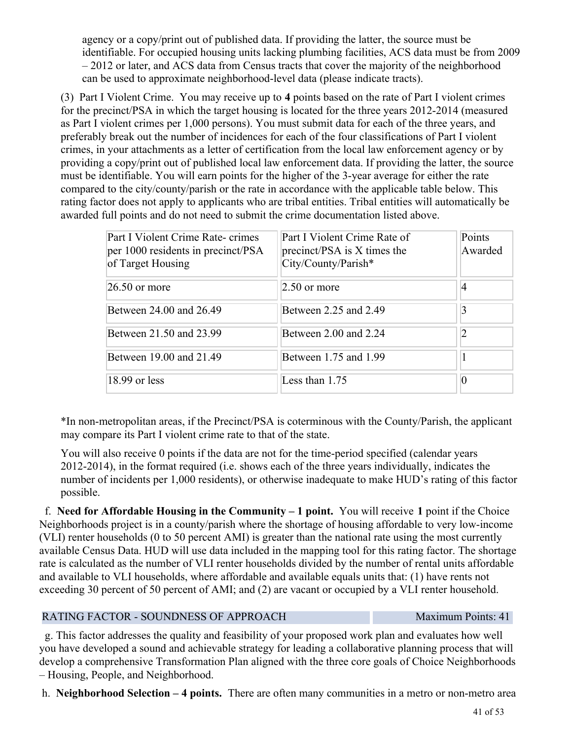agency or a copy/print out of published data. If providing the latter, the source must be identifiable. For occupied housing units lacking plumbing facilities, ACS data must be from 2009 – 2012 or later, and ACS data from Census tracts that cover the majority of the neighborhood can be used to approximate neighborhood-level data (please indicate tracts).

(3) Part I Violent Crime. You may receive up to **4** points based on the rate of Part I violent crimes for the precinct/PSA in which the target housing is located for the three years 2012-2014 (measured as Part I violent crimes per 1,000 persons). You must submit data for each of the three years, and preferably break out the number of incidences for each of the four classifications of Part I violent crimes, in your attachments as a letter of certification from the local law enforcement agency or by providing a copy/print out of published local law enforcement data. If providing the latter, the source must be identifiable. You will earn points for the higher of the 3-year average for either the rate compared to the city/county/parish or the rate in accordance with the applicable table below. This rating factor does not apply to applicants who are tribal entities. Tribal entities will automatically be awarded full points and do not need to submit the crime documentation listed above.

| Part I Violent Crime Rate-crimes<br>per 1000 residents in precinct/PSA<br>of Target Housing | Part I Violent Crime Rate of<br>precinct/PSA is X times the<br>City/County/Parish* | Points<br>Awarded |
|---------------------------------------------------------------------------------------------|------------------------------------------------------------------------------------|-------------------|
| $26.50$ or more                                                                             | $2.50$ or more                                                                     | $\overline{4}$    |
| Between 24.00 and 26.49                                                                     | Between 2.25 and 2.49                                                              | 3                 |
| Between 21.50 and 23.99                                                                     | Between 2.00 and 2.24                                                              | 2                 |
| Between 19.00 and 21.49                                                                     | Between 1.75 and 1.99                                                              |                   |
| 18.99 or less                                                                               | Less than 1.75                                                                     | 0                 |

\*In non-metropolitan areas, if the Precinct/PSA is coterminous with the County/Parish, the applicant may compare its Part I violent crime rate to that of the state.

You will also receive 0 points if the data are not for the time-period specified (calendar years 2012-2014), in the format required (i.e. shows each of the three years individually, indicates the number of incidents per 1,000 residents), or otherwise inadequate to make HUD's rating of this factor possible.

 f. **Need for Affordable Housing in the Community – 1 point.** You will receive **1** point if the Choice Neighborhoods project is in a county/parish where the shortage of housing affordable to very low-income (VLI) renter households (0 to 50 percent AMI) is greater than the national rate using the most currently available Census Data. HUD will use data included in the mapping tool for this rating factor. The shortage rate is calculated as the number of VLI renter households divided by the number of rental units affordable and available to VLI households, where affordable and available equals units that: (1) have rents not exceeding 30 percent of 50 percent of AMI; and (2) are vacant or occupied by a VLI renter household.

#### RATING FACTOR - SOUNDNESS OF APPROACH Maximum Points: 41

 g. This factor addresses the quality and feasibility of your proposed work plan and evaluates how well you have developed a sound and achievable strategy for leading a collaborative planning process that will develop a comprehensive Transformation Plan aligned with the three core goals of Choice Neighborhoods – Housing, People, and Neighborhood.

h. **Neighborhood Selection – 4 points.** There are often many communities in a metro or non-metro area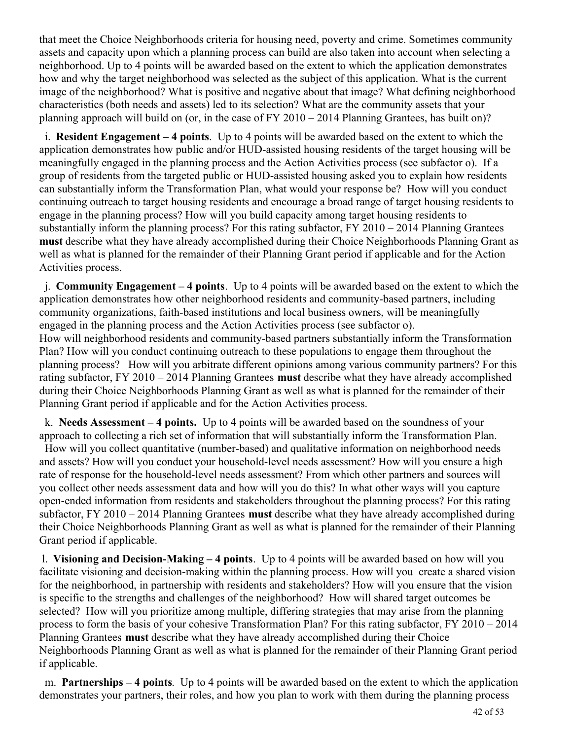that meet the Choice Neighborhoods criteria for housing need, poverty and crime. Sometimes community assets and capacity upon which a planning process can build are also taken into account when selecting a neighborhood. Up to 4 points will be awarded based on the extent to which the application demonstrates how and why the target neighborhood was selected as the subject of this application. What is the current image of the neighborhood? What is positive and negative about that image? What defining neighborhood characteristics (both needs and assets) led to its selection? What are the community assets that your planning approach will build on (or, in the case of FY 2010 – 2014 Planning Grantees, has built on)?

 i. **Resident Engagement – 4 points**. Up to 4 points will be awarded based on the extent to which the application demonstrates how public and/or HUD-assisted housing residents of the target housing will be meaningfully engaged in the planning process and the Action Activities process (see subfactor o). If a group of residents from the targeted public or HUD-assisted housing asked you to explain how residents can substantially inform the Transformation Plan, what would your response be? How will you conduct continuing outreach to target housing residents and encourage a broad range of target housing residents to engage in the planning process? How will you build capacity among target housing residents to substantially inform the planning process? For this rating subfactor, FY 2010 – 2014 Planning Grantees **must** describe what they have already accomplished during their Choice Neighborhoods Planning Grant as well as what is planned for the remainder of their Planning Grant period if applicable and for the Action Activities process.

 j. **Community Engagement – 4 points**. Up to 4 points will be awarded based on the extent to which the application demonstrates how other neighborhood residents and community-based partners, including community organizations, faith-based institutions and local business owners, will be meaningfully engaged in the planning process and the Action Activities process (see subfactor o).

How will neighborhood residents and community-based partners substantially inform the Transformation Plan? How will you conduct continuing outreach to these populations to engage them throughout the planning process? How will you arbitrate different opinions among various community partners? For this rating subfactor, FY 2010 – 2014 Planning Grantees **must** describe what they have already accomplished during their Choice Neighborhoods Planning Grant as well as what is planned for the remainder of their Planning Grant period if applicable and for the Action Activities process.

 k. **Needs Assessment – 4 points.**  Up to 4 points will be awarded based on the soundness of your approach to collecting a rich set of information that will substantially inform the Transformation Plan.

 How will you collect quantitative (number-based) and qualitative information on neighborhood needs and assets? How will you conduct your household-level needs assessment? How will you ensure a high rate of response for the household-level needs assessment? From which other partners and sources will you collect other needs assessment data and how will you do this? In what other ways will you capture open-ended information from residents and stakeholders throughout the planning process? For this rating subfactor, FY 2010 – 2014 Planning Grantees **must** describe what they have already accomplished during their Choice Neighborhoods Planning Grant as well as what is planned for the remainder of their Planning Grant period if applicable.

 l. **Visioning and Decision-Making – 4 points**. Up to 4 points will be awarded based on how will you facilitate visioning and decision-making within the planning process. How will you create a shared vision for the neighborhood, in partnership with residents and stakeholders? How will you ensure that the vision is specific to the strengths and challenges of the neighborhood? How will shared target outcomes be selected? How will you prioritize among multiple, differing strategies that may arise from the planning process to form the basis of your cohesive Transformation Plan? For this rating subfactor, FY 2010 – 2014 Planning Grantees **must** describe what they have already accomplished during their Choice Neighborhoods Planning Grant as well as what is planned for the remainder of their Planning Grant period if applicable.

 m. **Partnerships – 4 points**. Up to 4 points will be awarded based on the extent to which the application demonstrates your partners, their roles, and how you plan to work with them during the planning process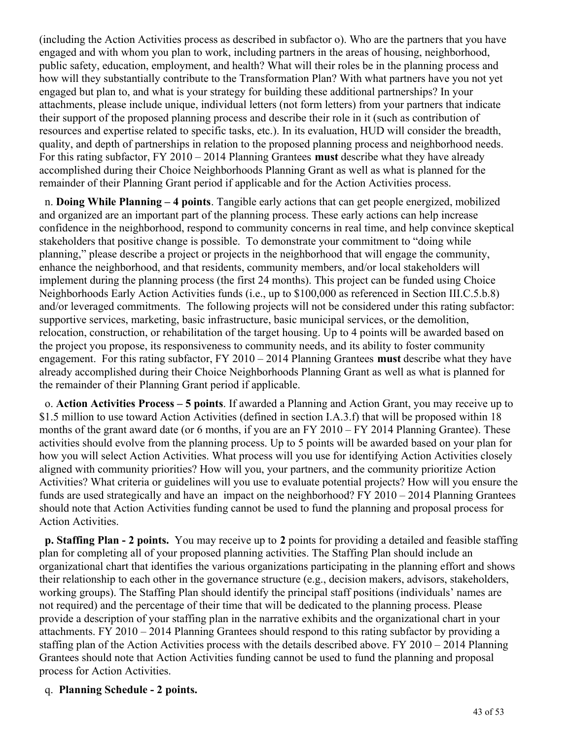(including the Action Activities process as described in subfactor o). Who are the partners that you have engaged and with whom you plan to work, including partners in the areas of housing, neighborhood, public safety, education, employment, and health? What will their roles be in the planning process and how will they substantially contribute to the Transformation Plan? With what partners have you not yet engaged but plan to, and what is your strategy for building these additional partnerships? In your attachments, please include unique, individual letters (not form letters) from your partners that indicate their support of the proposed planning process and describe their role in it (such as contribution of resources and expertise related to specific tasks, etc.). In its evaluation, HUD will consider the breadth, quality, and depth of partnerships in relation to the proposed planning process and neighborhood needs. For this rating subfactor, FY 2010 – 2014 Planning Grantees **must** describe what they have already accomplished during their Choice Neighborhoods Planning Grant as well as what is planned for the remainder of their Planning Grant period if applicable and for the Action Activities process.

 n. **Doing While Planning – 4 points**. Tangible early actions that can get people energized, mobilized and organized are an important part of the planning process. These early actions can help increase confidence in the neighborhood, respond to community concerns in real time, and help convince skeptical stakeholders that positive change is possible. To demonstrate your commitment to "doing while planning," please describe a project or projects in the neighborhood that will engage the community, enhance the neighborhood, and that residents, community members, and/or local stakeholders will implement during the planning process (the first 24 months). This project can be funded using Choice Neighborhoods Early Action Activities funds (i.e., up to \$100,000 as referenced in Section III.C.5.b.8) and/or leveraged commitments. The following projects will not be considered under this rating subfactor: supportive services, marketing, basic infrastructure, basic municipal services, or the demolition, relocation, construction, or rehabilitation of the target housing. Up to 4 points will be awarded based on the project you propose, its responsiveness to community needs, and its ability to foster community engagement. For this rating subfactor, FY 2010 – 2014 Planning Grantees **must** describe what they have already accomplished during their Choice Neighborhoods Planning Grant as well as what is planned for the remainder of their Planning Grant period if applicable.

 o. **Action Activities Process – 5 points**. If awarded a Planning and Action Grant, you may receive up to \$1.5 million to use toward Action Activities (defined in section I.A.3.f) that will be proposed within 18 months of the grant award date (or 6 months, if you are an FY 2010 – FY 2014 Planning Grantee). These activities should evolve from the planning process. Up to 5 points will be awarded based on your plan for how you will select Action Activities. What process will you use for identifying Action Activities closely aligned with community priorities? How will you, your partners, and the community prioritize Action Activities? What criteria or guidelines will you use to evaluate potential projects? How will you ensure the funds are used strategically and have an impact on the neighborhood? FY 2010 – 2014 Planning Grantees should note that Action Activities funding cannot be used to fund the planning and proposal process for Action Activities.

 **p. Staffing Plan - 2 points.**  You may receive up to **2** points for providing a detailed and feasible staffing plan for completing all of your proposed planning activities. The Staffing Plan should include an organizational chart that identifies the various organizations participating in the planning effort and shows their relationship to each other in the governance structure (e.g., decision makers, advisors, stakeholders, working groups). The Staffing Plan should identify the principal staff positions (individuals' names are not required) and the percentage of their time that will be dedicated to the planning process. Please provide a description of your staffing plan in the narrative exhibits and the organizational chart in your attachments. FY 2010 – 2014 Planning Grantees should respond to this rating subfactor by providing a staffing plan of the Action Activities process with the details described above. FY 2010 – 2014 Planning Grantees should note that Action Activities funding cannot be used to fund the planning and proposal process for Action Activities.

#### q. **Planning Schedule - 2 points.**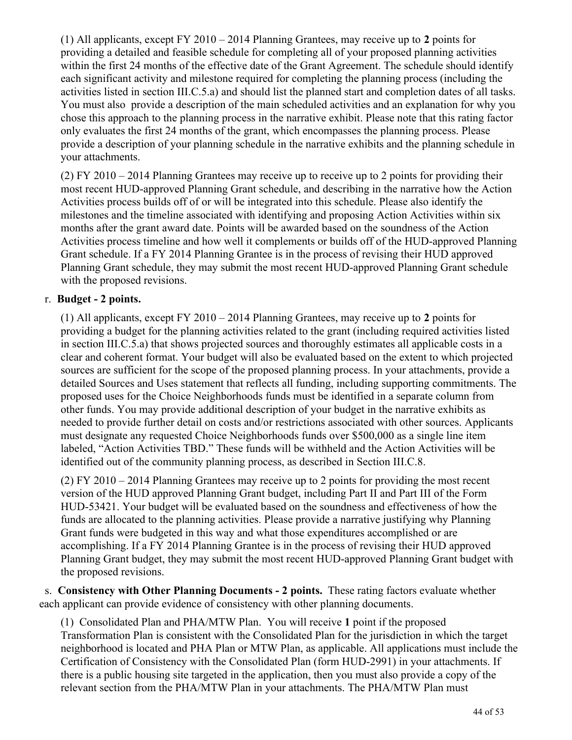(1) All applicants, except FY 2010 – 2014 Planning Grantees, may receive up to **2** points for providing a detailed and feasible schedule for completing all of your proposed planning activities within the first 24 months of the effective date of the Grant Agreement. The schedule should identify each significant activity and milestone required for completing the planning process (including the activities listed in section III.C.5.a) and should list the planned start and completion dates of all tasks. You must also provide a description of the main scheduled activities and an explanation for why you chose this approach to the planning process in the narrative exhibit. Please note that this rating factor only evaluates the first 24 months of the grant, which encompasses the planning process. Please provide a description of your planning schedule in the narrative exhibits and the planning schedule in your attachments.

(2) FY 2010 – 2014 Planning Grantees may receive up to receive up to 2 points for providing their most recent HUD-approved Planning Grant schedule, and describing in the narrative how the Action Activities process builds off of or will be integrated into this schedule. Please also identify the milestones and the timeline associated with identifying and proposing Action Activities within six months after the grant award date. Points will be awarded based on the soundness of the Action Activities process timeline and how well it complements or builds off of the HUD-approved Planning Grant schedule. If a FY 2014 Planning Grantee is in the process of revising their HUD approved Planning Grant schedule, they may submit the most recent HUD-approved Planning Grant schedule with the proposed revisions.

#### r. **Budget - 2 points.**

(1) All applicants, except FY 2010 – 2014 Planning Grantees, may receive up to **2** points for providing a budget for the planning activities related to the grant (including required activities listed in section III.C.5.a) that shows projected sources and thoroughly estimates all applicable costs in a clear and coherent format. Your budget will also be evaluated based on the extent to which projected sources are sufficient for the scope of the proposed planning process. In your attachments, provide a detailed Sources and Uses statement that reflects all funding, including supporting commitments. The proposed uses for the Choice Neighborhoods funds must be identified in a separate column from other funds. You may provide additional description of your budget in the narrative exhibits as needed to provide further detail on costs and/or restrictions associated with other sources. Applicants must designate any requested Choice Neighborhoods funds over \$500,000 as a single line item labeled, "Action Activities TBD." These funds will be withheld and the Action Activities will be identified out of the community planning process, as described in Section III.C.8.

(2) FY 2010 – 2014 Planning Grantees may receive up to 2 points for providing the most recent version of the HUD approved Planning Grant budget, including Part II and Part III of the Form HUD-53421. Your budget will be evaluated based on the soundness and effectiveness of how the funds are allocated to the planning activities. Please provide a narrative justifying why Planning Grant funds were budgeted in this way and what those expenditures accomplished or are accomplishing. If a FY 2014 Planning Grantee is in the process of revising their HUD approved Planning Grant budget, they may submit the most recent HUD-approved Planning Grant budget with the proposed revisions.

 s. **Consistency with Other Planning Documents - 2 points.** These rating factors evaluate whether each applicant can provide evidence of consistency with other planning documents.

(1) Consolidated Plan and PHA/MTW Plan. You will receive **1** point if the proposed Transformation Plan is consistent with the Consolidated Plan for the jurisdiction in which the target neighborhood is located and PHA Plan or MTW Plan, as applicable. All applications must include the Certification of Consistency with the Consolidated Plan (form HUD-2991) in your attachments. If there is a public housing site targeted in the application, then you must also provide a copy of the relevant section from the PHA/MTW Plan in your attachments. The PHA/MTW Plan must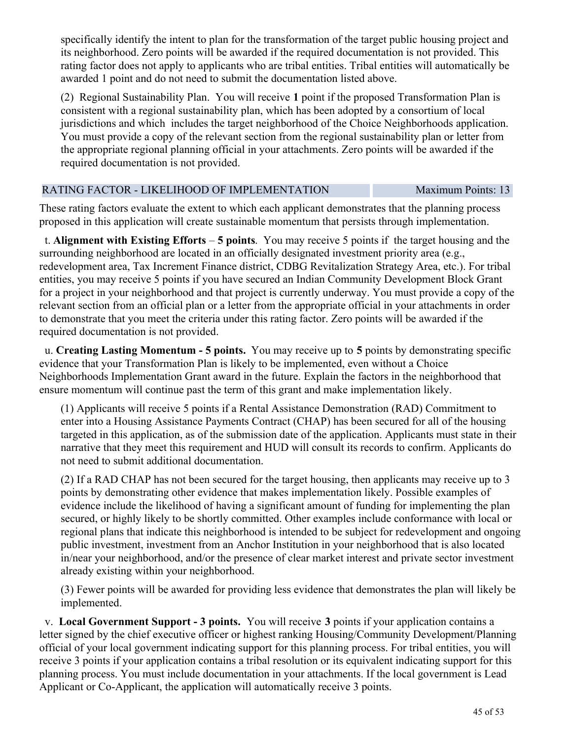specifically identify the intent to plan for the transformation of the target public housing project and its neighborhood. Zero points will be awarded if the required documentation is not provided. This rating factor does not apply to applicants who are tribal entities. Tribal entities will automatically be awarded 1 point and do not need to submit the documentation listed above.

(2) Regional Sustainability Plan. You will receive **1** point if the proposed Transformation Plan is consistent with a regional sustainability plan, which has been adopted by a consortium of local jurisdictions and which includes the target neighborhood of the Choice Neighborhoods application. You must provide a copy of the relevant section from the regional sustainability plan or letter from the appropriate regional planning official in your attachments. Zero points will be awarded if the required documentation is not provided.

#### RATING FACTOR - LIKELIHOOD OF IMPLEMENTATION Maximum Points: 13

These rating factors evaluate the extent to which each applicant demonstrates that the planning process proposed in this application will create sustainable momentum that persists through implementation.

 t. **Alignment with Existing Efforts** – **5 points**. You may receive 5 points if the target housing and the surrounding neighborhood are located in an officially designated investment priority area (e.g., redevelopment area, Tax Increment Finance district, CDBG Revitalization Strategy Area, etc.). For tribal entities, you may receive 5 points if you have secured an Indian Community Development Block Grant for a project in your neighborhood and that project is currently underway. You must provide a copy of the relevant section from an official plan or a letter from the appropriate official in your attachments in order to demonstrate that you meet the criteria under this rating factor. Zero points will be awarded if the required documentation is not provided.

 u. **Creating Lasting Momentum - 5 points.** You may receive up to **5** points by demonstrating specific evidence that your Transformation Plan is likely to be implemented, even without a Choice Neighborhoods Implementation Grant award in the future. Explain the factors in the neighborhood that ensure momentum will continue past the term of this grant and make implementation likely.

(1) Applicants will receive 5 points if a Rental Assistance Demonstration (RAD) Commitment to enter into a Housing Assistance Payments Contract (CHAP) has been secured for all of the housing targeted in this application, as of the submission date of the application. Applicants must state in their narrative that they meet this requirement and HUD will consult its records to confirm. Applicants do not need to submit additional documentation.

(2) If a RAD CHAP has not been secured for the target housing, then applicants may receive up to 3 points by demonstrating other evidence that makes implementation likely. Possible examples of evidence include the likelihood of having a significant amount of funding for implementing the plan secured, or highly likely to be shortly committed. Other examples include conformance with local or regional plans that indicate this neighborhood is intended to be subject for redevelopment and ongoing public investment, investment from an Anchor Institution in your neighborhood that is also located in/near your neighborhood, and/or the presence of clear market interest and private sector investment already existing within your neighborhood.

(3) Fewer points will be awarded for providing less evidence that demonstrates the plan will likely be implemented.

 v. **Local Government Support - 3 points.** You will receive **3** points if your application contains a letter signed by the chief executive officer or highest ranking Housing/Community Development/Planning official of your local government indicating support for this planning process. For tribal entities, you will receive 3 points if your application contains a tribal resolution or its equivalent indicating support for this planning process. You must include documentation in your attachments. If the local government is Lead Applicant or Co-Applicant, the application will automatically receive 3 points.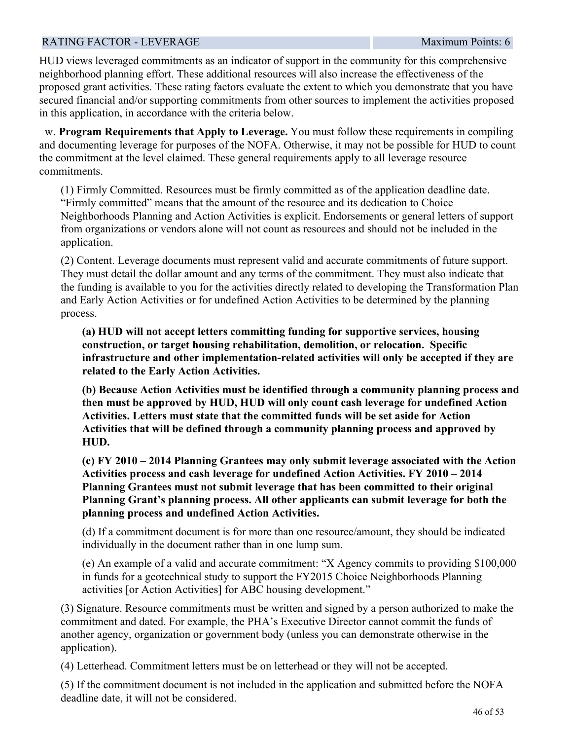#### RATING FACTOR - LEVERAGE  $Maximum$  Points: 6

HUD views leveraged commitments as an indicator of support in the community for this comprehensive neighborhood planning effort. These additional resources will also increase the effectiveness of the proposed grant activities. These rating factors evaluate the extent to which you demonstrate that you have secured financial and/or supporting commitments from other sources to implement the activities proposed in this application, in accordance with the criteria below.

 w. **Program Requirements that Apply to Leverage.** You must follow these requirements in compiling and documenting leverage for purposes of the NOFA. Otherwise, it may not be possible for HUD to count the commitment at the level claimed. These general requirements apply to all leverage resource commitments.

(1) Firmly Committed. Resources must be firmly committed as of the application deadline date. "Firmly committed" means that the amount of the resource and its dedication to Choice Neighborhoods Planning and Action Activities is explicit. Endorsements or general letters of support from organizations or vendors alone will not count as resources and should not be included in the application.

(2) Content. Leverage documents must represent valid and accurate commitments of future support. They must detail the dollar amount and any terms of the commitment. They must also indicate that the funding is available to you for the activities directly related to developing the Transformation Plan and Early Action Activities or for undefined Action Activities to be determined by the planning process.

**(a) HUD will not accept letters committing funding for supportive services, housing construction, or target housing rehabilitation, demolition, or relocation. Specific infrastructure and other implementation-related activities will only be accepted if they are related to the Early Action Activities.** 

**(b) Because Action Activities must be identified through a community planning process and then must be approved by HUD, HUD will only count cash leverage for undefined Action Activities. Letters must state that the committed funds will be set aside for Action Activities that will be defined through a community planning process and approved by HUD.**

**(c) FY 2010 – 2014 Planning Grantees may only submit leverage associated with the Action Activities process and cash leverage for undefined Action Activities. FY 2010 – 2014 Planning Grantees must not submit leverage that has been committed to their original Planning Grant's planning process. All other applicants can submit leverage for both the planning process and undefined Action Activities.**

(d) If a commitment document is for more than one resource/amount, they should be indicated individually in the document rather than in one lump sum.

(e) An example of a valid and accurate commitment: "X Agency commits to providing \$100,000 in funds for a geotechnical study to support the FY2015 Choice Neighborhoods Planning activities [or Action Activities] for ABC housing development."

(3) Signature. Resource commitments must be written and signed by a person authorized to make the commitment and dated. For example, the PHA's Executive Director cannot commit the funds of another agency, organization or government body (unless you can demonstrate otherwise in the application).

(4) Letterhead. Commitment letters must be on letterhead or they will not be accepted.

(5) If the commitment document is not included in the application and submitted before the NOFA deadline date, it will not be considered.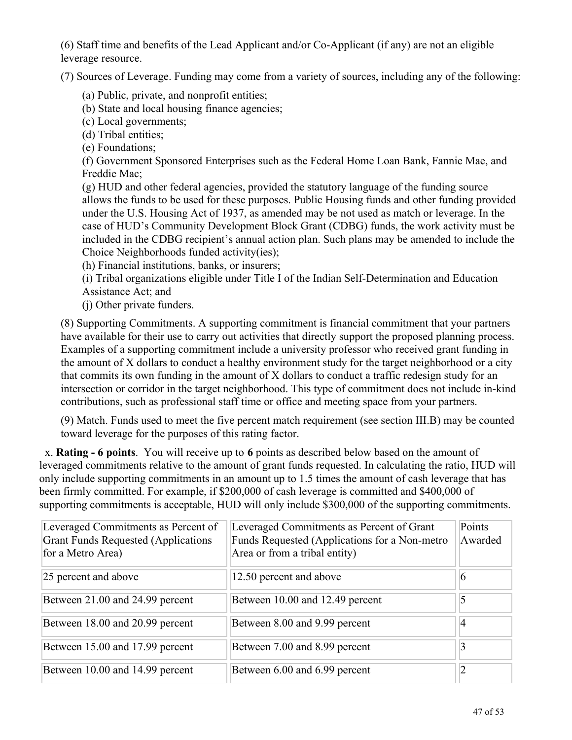(6) Staff time and benefits of the Lead Applicant and/or Co-Applicant (if any) are not an eligible leverage resource.

(7) Sources of Leverage. Funding may come from a variety of sources, including any of the following:

- (a) Public, private, and nonprofit entities;
- (b) State and local housing finance agencies;
- (c) Local governments;
- (d) Tribal entities;
- (e) Foundations;

(f) Government Sponsored Enterprises such as the Federal Home Loan Bank, Fannie Mae, and Freddie Mac;

(g) HUD and other federal agencies, provided the statutory language of the funding source allows the funds to be used for these purposes. Public Housing funds and other funding provided under the U.S. Housing Act of 1937, as amended may be not used as match or leverage. In the case of HUD's Community Development Block Grant (CDBG) funds, the work activity must be included in the CDBG recipient's annual action plan. Such plans may be amended to include the Choice Neighborhoods funded activity(ies);

(h) Financial institutions, banks, or insurers;

(i) Tribal organizations eligible under Title I of the Indian Self-Determination and Education Assistance Act; and

(j) Other private funders.

(8) Supporting Commitments. A supporting commitment is financial commitment that your partners have available for their use to carry out activities that directly support the proposed planning process. Examples of a supporting commitment include a university professor who received grant funding in the amount of X dollars to conduct a healthy environment study for the target neighborhood or a city that commits its own funding in the amount of X dollars to conduct a traffic redesign study for an intersection or corridor in the target neighborhood. This type of commitment does not include in-kind contributions, such as professional staff time or office and meeting space from your partners.

(9) Match. Funds used to meet the five percent match requirement (see section III.B) may be counted toward leverage for the purposes of this rating factor.

 x. **Rating - 6 points**. You will receive up to **6** points as described below based on the amount of leveraged commitments relative to the amount of grant funds requested. In calculating the ratio, HUD will only include supporting commitments in an amount up to 1.5 times the amount of cash leverage that has been firmly committed. For example, if \$200,000 of cash leverage is committed and \$400,000 of supporting commitments is acceptable, HUD will only include \$300,000 of the supporting commitments.

| Leveraged Commitments as Percent of<br><b>Grant Funds Requested (Applications</b><br>for a Metro Area) | Leveraged Commitments as Percent of Grant<br>Funds Requested (Applications for a Non-metro<br>Area or from a tribal entity) | Points<br>Awarded |
|--------------------------------------------------------------------------------------------------------|-----------------------------------------------------------------------------------------------------------------------------|-------------------|
| 25 percent and above                                                                                   | 12.50 percent and above                                                                                                     | 6                 |
| Between 21.00 and 24.99 percent                                                                        | Between 10.00 and 12.49 percent                                                                                             |                   |
| Between 18.00 and 20.99 percent                                                                        | Between 8.00 and 9.99 percent                                                                                               | 4                 |
| Between 15.00 and 17.99 percent                                                                        | Between 7.00 and 8.99 percent                                                                                               |                   |
| Between 10.00 and 14.99 percent                                                                        | Between 6.00 and 6.99 percent                                                                                               |                   |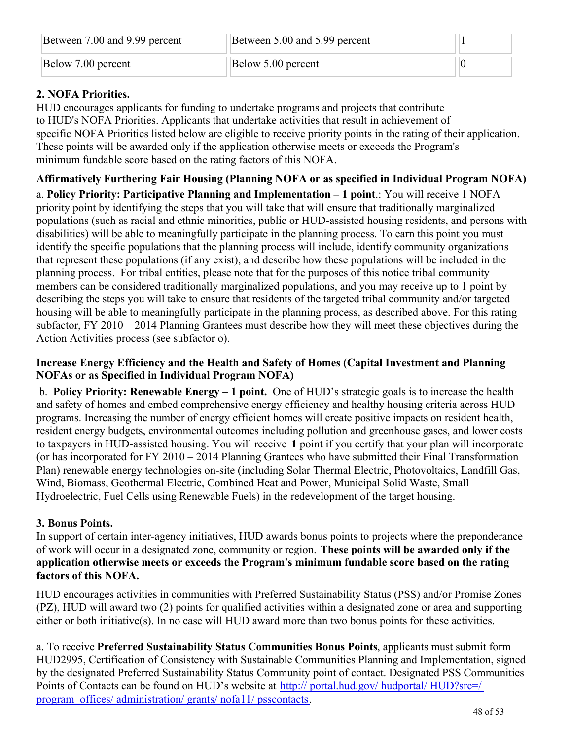| Between 7.00 and 9.99 percent | Between 5.00 and 5.99 percent |  |
|-------------------------------|-------------------------------|--|
| Below 7.00 percent            | Below 5.00 percent            |  |

## **2. NOFA Priorities.**

HUD encourages applicants for funding to undertake programs and projects that contribute to HUD's NOFA Priorities. Applicants that undertake activities that result in achievement of specific NOFA Priorities listed below are eligible to receive priority points in the rating of their application. These points will be awarded only if the application otherwise meets or exceeds the Program's minimum fundable score based on the rating factors of this NOFA.

## **Affirmatively Furthering Fair Housing (Planning NOFA or as specified in Individual Program NOFA)**

a. **Policy Priority: Participative Planning and Implementation – 1 point**.: You will receive 1 NOFA priority point by identifying the steps that you will take that will ensure that traditionally marginalized populations (such as racial and ethnic minorities, public or HUD-assisted housing residents, and persons with disabilities) will be able to meaningfully participate in the planning process. To earn this point you must identify the specific populations that the planning process will include, identify community organizations that represent these populations (if any exist), and describe how these populations will be included in the planning process. For tribal entities, please note that for the purposes of this notice tribal community members can be considered traditionally marginalized populations, and you may receive up to 1 point by describing the steps you will take to ensure that residents of the targeted tribal community and/or targeted housing will be able to meaningfully participate in the planning process, as described above. For this rating subfactor, FY 2010 – 2014 Planning Grantees must describe how they will meet these objectives during the Action Activities process (see subfactor o).

#### **Increase Energy Efficiency and the Health and Safety of Homes (Capital Investment and Planning NOFAs or as Specified in Individual Program NOFA)**

 b. **Policy Priority: Renewable Energy – 1 point.**  One of HUD's strategic goals is to increase the health and safety of homes and embed comprehensive energy efficiency and healthy housing criteria across HUD programs. Increasing the number of energy efficient homes will create positive impacts on resident health, resident energy budgets, environmental outcomes including pollution and greenhouse gases, and lower costs to taxpayers in HUD-assisted housing. You will receive **1** point if you certify that your plan will incorporate (or has incorporated for FY 2010 – 2014 Planning Grantees who have submitted their Final Transformation Plan) renewable energy technologies on-site (including Solar Thermal Electric, Photovoltaics, Landfill Gas, Wind, Biomass, Geothermal Electric, Combined Heat and Power, Municipal Solid Waste, Small Hydroelectric, Fuel Cells using Renewable Fuels) in the redevelopment of the target housing.

## **3. Bonus Points.**

In support of certain inter-agency initiatives, HUD awards bonus points to projects where the preponderance of work will occur in a designated zone, community or region. **These points will be awarded only if the application otherwise meets or exceeds the Program's minimum fundable score based on the rating factors of this NOFA.**

HUD encourages activities in communities with Preferred Sustainability Status (PSS) and/or Promise Zones (PZ), HUD will award two (2) points for qualified activities within a designated zone or area and supporting either or both initiative(s). In no case will HUD award more than two bonus points for these activities.

a. To receive **Preferred Sustainability Status Communities Bonus Points**, applicants must submit form HUD2995, Certification of Consistency with Sustainable Communities Planning and Implementation, signed by the designated Preferred Sustainability Status Community point of contact. Designated PSS Communities Points of Contacts can be found on HUD's website at [http:// portal.hud.gov/ hudportal/ HUD?src=/](http://portal.hud.gov/hudportal/HUD?src=/program_offices/administration/grants/nofa11/psscontacts) [program\\_offices/ administration/ grants/ nofa11/ psscontacts](http://portal.hud.gov/hudportal/HUD?src=/program_offices/administration/grants/nofa11/psscontacts).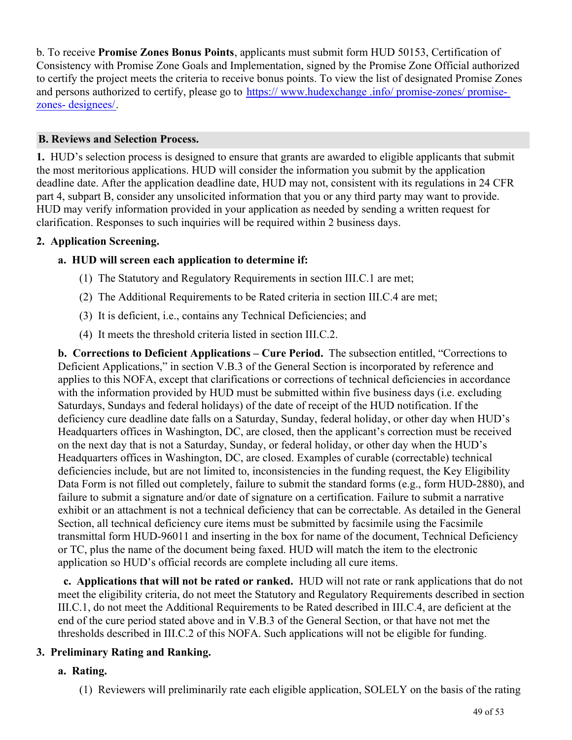b. To receive **Promise Zones Bonus Points**, applicants must submit form HUD 50153, Certification of Consistency with Promise Zone Goals and Implementation, signed by the Promise Zone Official authorized to certify the project meets the criteria to receive bonus points. To view the list of designated Promise Zones and persons authorized to certify, please go to [https:// www.hudexchange .info/ promise-zones/ promise](https://www.hudexchange.info/promise-zones/promise-zones-designees/)[zones- designees/](https://www.hudexchange.info/promise-zones/promise-zones-designees/).

## **B. Reviews and Selection Process.**

**1.**  HUD's selection process is designed to ensure that grants are awarded to eligible applicants that submit the most meritorious applications. HUD will consider the information you submit by the application deadline date. After the application deadline date, HUD may not, consistent with its regulations in 24 CFR part 4, subpart B, consider any unsolicited information that you or any third party may want to provide. HUD may verify information provided in your application as needed by sending a written request for clarification. Responses to such inquiries will be required within 2 business days.

#### **2. Application Screening.**

## **a. HUD will screen each application to determine if:**

- (1) The Statutory and Regulatory Requirements in section III.C.1 are met;
- (2) The Additional Requirements to be Rated criteria in section III.C.4 are met;
- (3) It is deficient, i.e., contains any Technical Deficiencies; and
- (4) It meets the threshold criteria listed in section III.C.2.

**b. Corrections to Deficient Applications – Cure Period.** The subsection entitled, "Corrections to Deficient Applications," in section V.B.3 of the General Section is incorporated by reference and applies to this NOFA, except that clarifications or corrections of technical deficiencies in accordance with the information provided by HUD must be submitted within five business days (i.e. excluding Saturdays, Sundays and federal holidays) of the date of receipt of the HUD notification. If the deficiency cure deadline date falls on a Saturday, Sunday, federal holiday, or other day when HUD's Headquarters offices in Washington, DC, are closed, then the applicant's correction must be received on the next day that is not a Saturday, Sunday, or federal holiday, or other day when the HUD's Headquarters offices in Washington, DC, are closed. Examples of curable (correctable) technical deficiencies include, but are not limited to, inconsistencies in the funding request, the Key Eligibility Data Form is not filled out completely, failure to submit the standard forms (e.g., form HUD-2880), and failure to submit a signature and/or date of signature on a certification. Failure to submit a narrative exhibit or an attachment is not a technical deficiency that can be correctable. As detailed in the General Section, all technical deficiency cure items must be submitted by facsimile using the Facsimile transmittal form HUD-96011 and inserting in the box for name of the document, Technical Deficiency or TC, plus the name of the document being faxed. HUD will match the item to the electronic application so HUD's official records are complete including all cure items.

 **c. Applications that will not be rated or ranked.** HUD will not rate or rank applications that do not meet the eligibility criteria, do not meet the Statutory and Regulatory Requirements described in section III.C.1, do not meet the Additional Requirements to be Rated described in III.C.4, are deficient at the end of the cure period stated above and in V.B.3 of the General Section, or that have not met the thresholds described in III.C.2 of this NOFA. Such applications will not be eligible for funding.

## **3. Preliminary Rating and Ranking.**

#### **a. Rating.**

(1) Reviewers will preliminarily rate each eligible application, SOLELY on the basis of the rating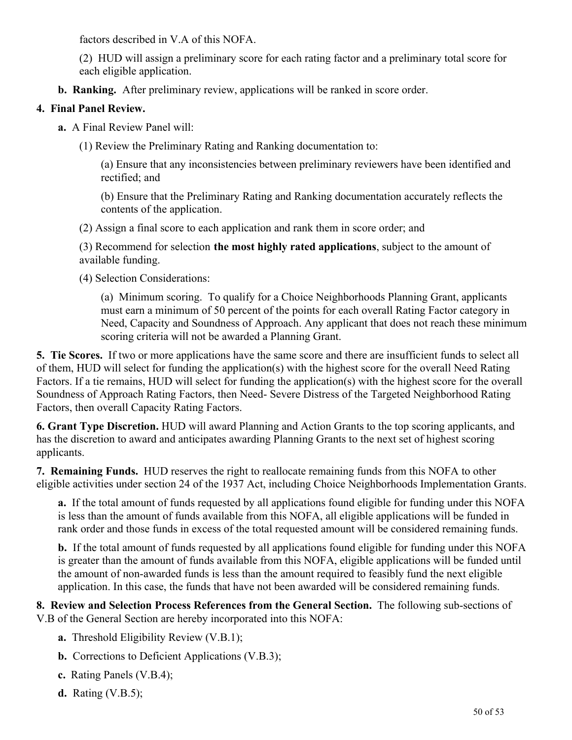factors described in V.A of this NOFA.

(2) HUD will assign a preliminary score for each rating factor and a preliminary total score for each eligible application.

**b. Ranking.** After preliminary review, applications will be ranked in score order.

## **4. Final Panel Review.**

- **a.** A Final Review Panel will:
	- (1) Review the Preliminary Rating and Ranking documentation to:

(a) Ensure that any inconsistencies between preliminary reviewers have been identified and rectified; and

(b) Ensure that the Preliminary Rating and Ranking documentation accurately reflects the contents of the application.

(2) Assign a final score to each application and rank them in score order; and

(3) Recommend for selection **the most highly rated applications**, subject to the amount of available funding.

(4) Selection Considerations:

(a) Minimum scoring. To qualify for a Choice Neighborhoods Planning Grant, applicants must earn a minimum of 50 percent of the points for each overall Rating Factor category in Need, Capacity and Soundness of Approach. Any applicant that does not reach these minimum scoring criteria will not be awarded a Planning Grant.

**5. Tie Scores.**  If two or more applications have the same score and there are insufficient funds to select all of them, HUD will select for funding the application(s) with the highest score for the overall Need Rating Factors. If a tie remains, HUD will select for funding the application(s) with the highest score for the overall Soundness of Approach Rating Factors, then Need- Severe Distress of the Targeted Neighborhood Rating Factors, then overall Capacity Rating Factors.

**6. Grant Type Discretion.** HUD will award Planning and Action Grants to the top scoring applicants, and has the discretion to award and anticipates awarding Planning Grants to the next set of highest scoring applicants.

**7. Remaining Funds.** HUD reserves the right to reallocate remaining funds from this NOFA to other eligible activities under section 24 of the 1937 Act, including Choice Neighborhoods Implementation Grants.

**a.**  If the total amount of funds requested by all applications found eligible for funding under this NOFA is less than the amount of funds available from this NOFA, all eligible applications will be funded in rank order and those funds in excess of the total requested amount will be considered remaining funds.

**b.** If the total amount of funds requested by all applications found eligible for funding under this NOFA is greater than the amount of funds available from this NOFA, eligible applications will be funded until the amount of non-awarded funds is less than the amount required to feasibly fund the next eligible application. In this case, the funds that have not been awarded will be considered remaining funds.

**8. Review and Selection Process References from the General Section.** The following sub-sections of V.B of the General Section are hereby incorporated into this NOFA:

- **a.** Threshold Eligibility Review (V.B.1);
- **b.** Corrections to Deficient Applications (V.B.3);
- **c.** Rating Panels (V.B.4);
- **d.** Rating (V.B.5);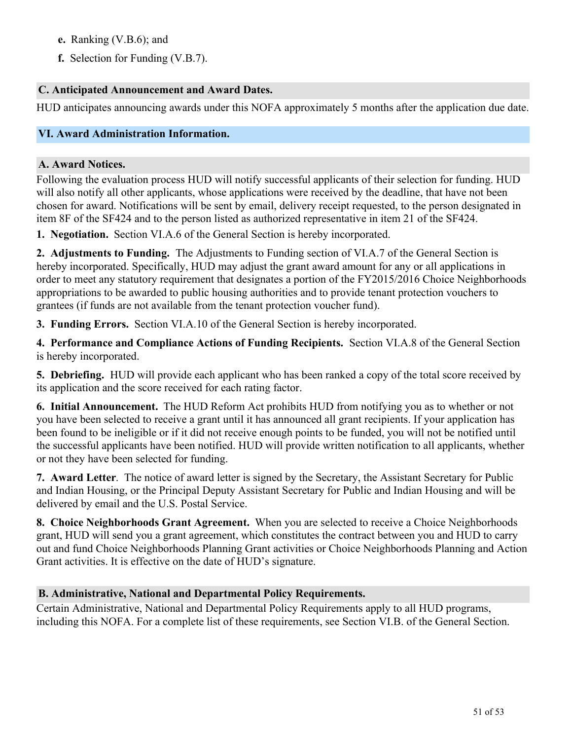- **e.** Ranking (V.B.6); and
- **f.** Selection for Funding (V.B.7).

### **C. Anticipated Announcement and Award Dates.**

HUD anticipates announcing awards under this NOFA approximately 5 months after the application due date.

## <span id="page-52-0"></span>**VI. Award Administration Information.**

#### **A. Award Notices.**

Following the evaluation process HUD will notify successful applicants of their selection for funding. HUD will also notify all other applicants, whose applications were received by the deadline, that have not been chosen for award. Notifications will be sent by email, delivery receipt requested, to the person designated in item 8F of the SF424 and to the person listed as authorized representative in item 21 of the SF424.

**1. Negotiation.** Section VI.A.6 of the General Section is hereby incorporated.

**2. Adjustments to Funding.** The Adjustments to Funding section of VI.A.7 of the General Section is hereby incorporated. Specifically, HUD may adjust the grant award amount for any or all applications in order to meet any statutory requirement that designates a portion of the FY2015/2016 Choice Neighborhoods appropriations to be awarded to public housing authorities and to provide tenant protection vouchers to grantees (if funds are not available from the tenant protection voucher fund).

**3. Funding Errors.** Section VI.A.10 of the General Section is hereby incorporated.

**4. Performance and Compliance Actions of Funding Recipients.** Section VI.A.8 of the General Section is hereby incorporated.

**5. Debriefing.** HUD will provide each applicant who has been ranked a copy of the total score received by its application and the score received for each rating factor.

**6. Initial Announcement.**  The HUD Reform Act prohibits HUD from notifying you as to whether or not you have been selected to receive a grant until it has announced all grant recipients. If your application has been found to be ineligible or if it did not receive enough points to be funded, you will not be notified until the successful applicants have been notified. HUD will provide written notification to all applicants, whether or not they have been selected for funding.

**7. Award Letter**. The notice of award letter is signed by the Secretary, the Assistant Secretary for Public and Indian Housing, or the Principal Deputy Assistant Secretary for Public and Indian Housing and will be delivered by email and the U.S. Postal Service.

**8. Choice Neighborhoods Grant Agreement.** When you are selected to receive a Choice Neighborhoods grant, HUD will send you a grant agreement, which constitutes the contract between you and HUD to carry out and fund Choice Neighborhoods Planning Grant activities or Choice Neighborhoods Planning and Action Grant activities. It is effective on the date of HUD's signature.

#### **B. Administrative, National and Departmental Policy Requirements.**

Certain Administrative, National and Departmental Policy Requirements apply to all HUD programs, including this NOFA. For a complete list of these requirements, see Section VI.B. of the General Section.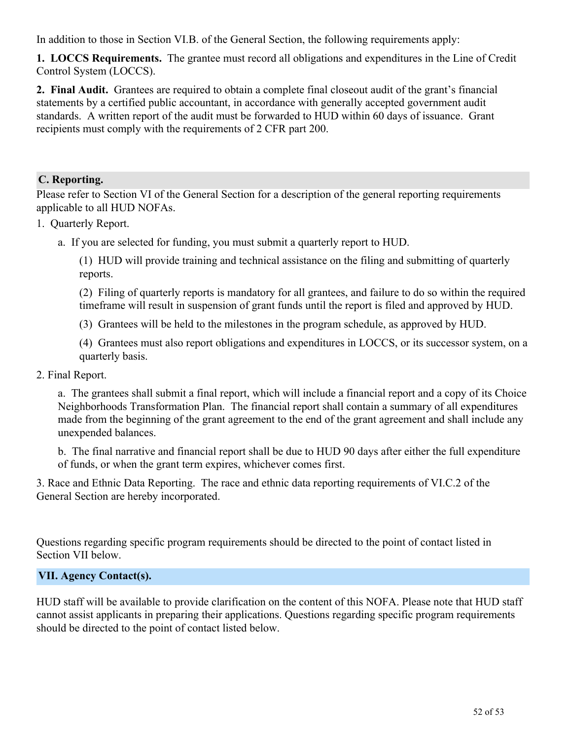In addition to those in Section VI.B. of the General Section, the following requirements apply:

**1. LOCCS Requirements.** The grantee must record all obligations and expenditures in the Line of Credit Control System (LOCCS).

**2. Final Audit.** Grantees are required to obtain a complete final closeout audit of the grant's financial statements by a certified public accountant, in accordance with generally accepted government audit standards. A written report of the audit must be forwarded to HUD within 60 days of issuance. Grant recipients must comply with the requirements of 2 CFR part 200.

## **C. Reporting.**

Please refer to Section VI of the General Section for a description of the general reporting requirements applicable to all HUD NOFAs.

## 1. Quarterly Report.

a. If you are selected for funding, you must submit a quarterly report to HUD.

(1) HUD will provide training and technical assistance on the filing and submitting of quarterly reports.

(2) Filing of quarterly reports is mandatory for all grantees, and failure to do so within the required timeframe will result in suspension of grant funds until the report is filed and approved by HUD.

(3) Grantees will be held to the milestones in the program schedule, as approved by HUD.

(4) Grantees must also report obligations and expenditures in LOCCS, or its successor system, on a quarterly basis.

### 2. Final Report.

a. The grantees shall submit a final report, which will include a financial report and a copy of its Choice Neighborhoods Transformation Plan. The financial report shall contain a summary of all expenditures made from the beginning of the grant agreement to the end of the grant agreement and shall include any unexpended balances.

b. The final narrative and financial report shall be due to HUD 90 days after either the full expenditure of funds, or when the grant term expires, whichever comes first.

3. Race and Ethnic Data Reporting. The race and ethnic data reporting requirements of VI.C.2 of the General Section are hereby incorporated.

Questions regarding specific program requirements should be directed to the point of contact listed in Section VII below.

## <span id="page-53-0"></span>**VII. Agency Contact(s).**

HUD staff will be available to provide clarification on the content of this NOFA. Please note that HUD staff cannot assist applicants in preparing their applications. Questions regarding specific program requirements should be directed to the point of contact listed below.